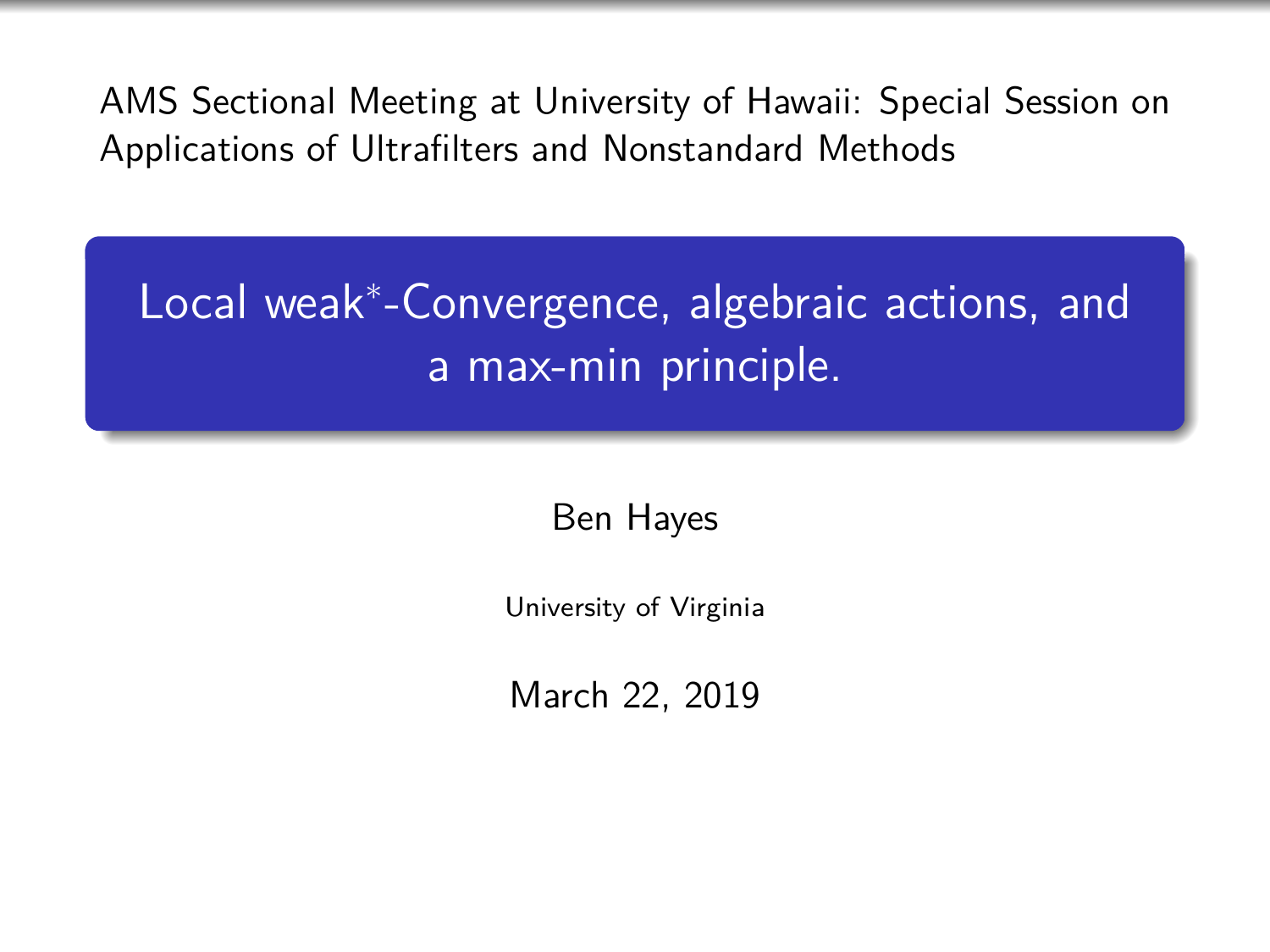AMS Sectional Meeting at University of Hawaii: Special Session on Applications of Ultrafilters and Nonstandard Methods

Local weak<sup>∗</sup> -Convergence, algebraic actions, and a max-min principle.

Ben Hayes

University of Virginia

March 22, 2019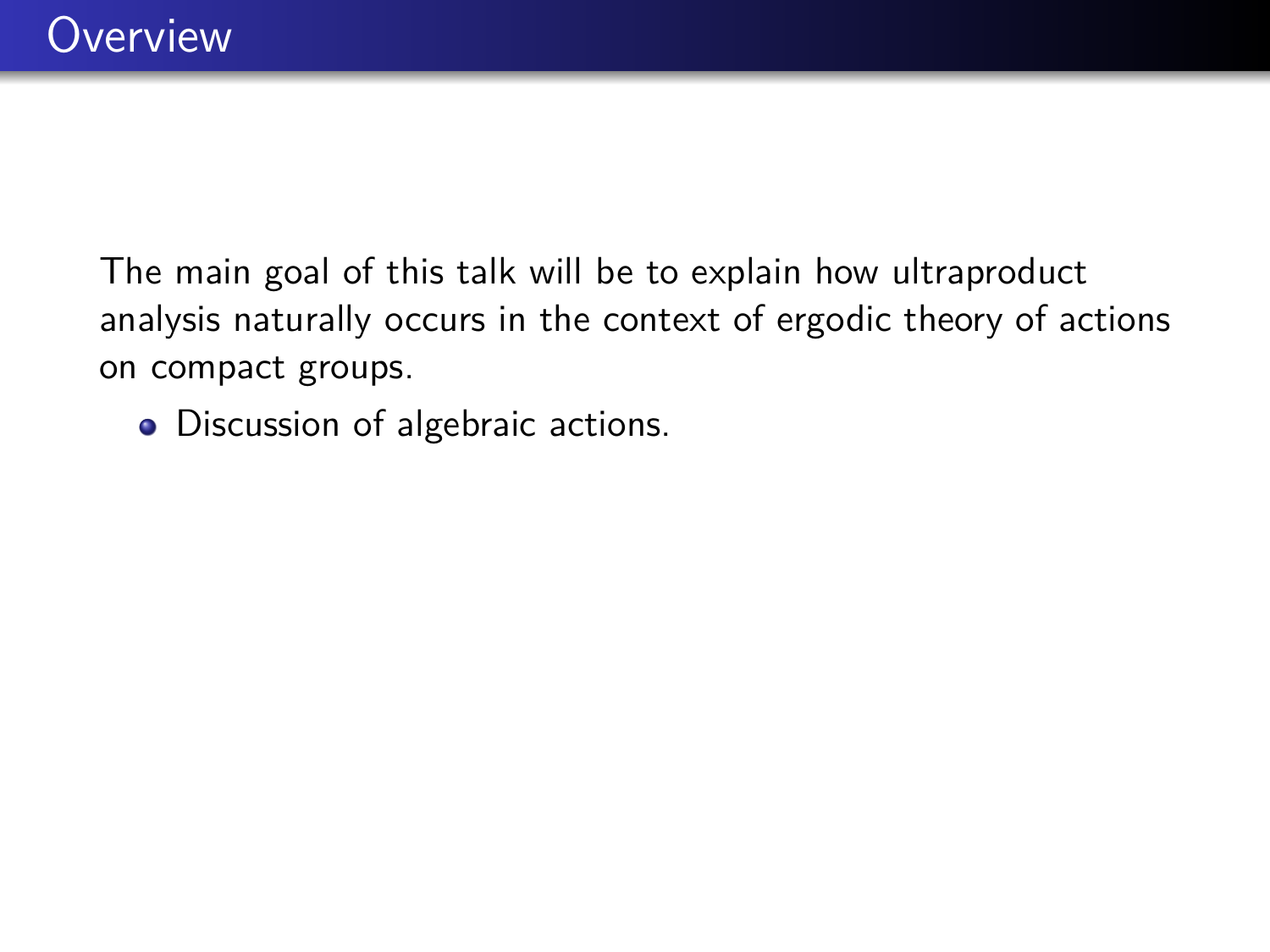• Discussion of algebraic actions.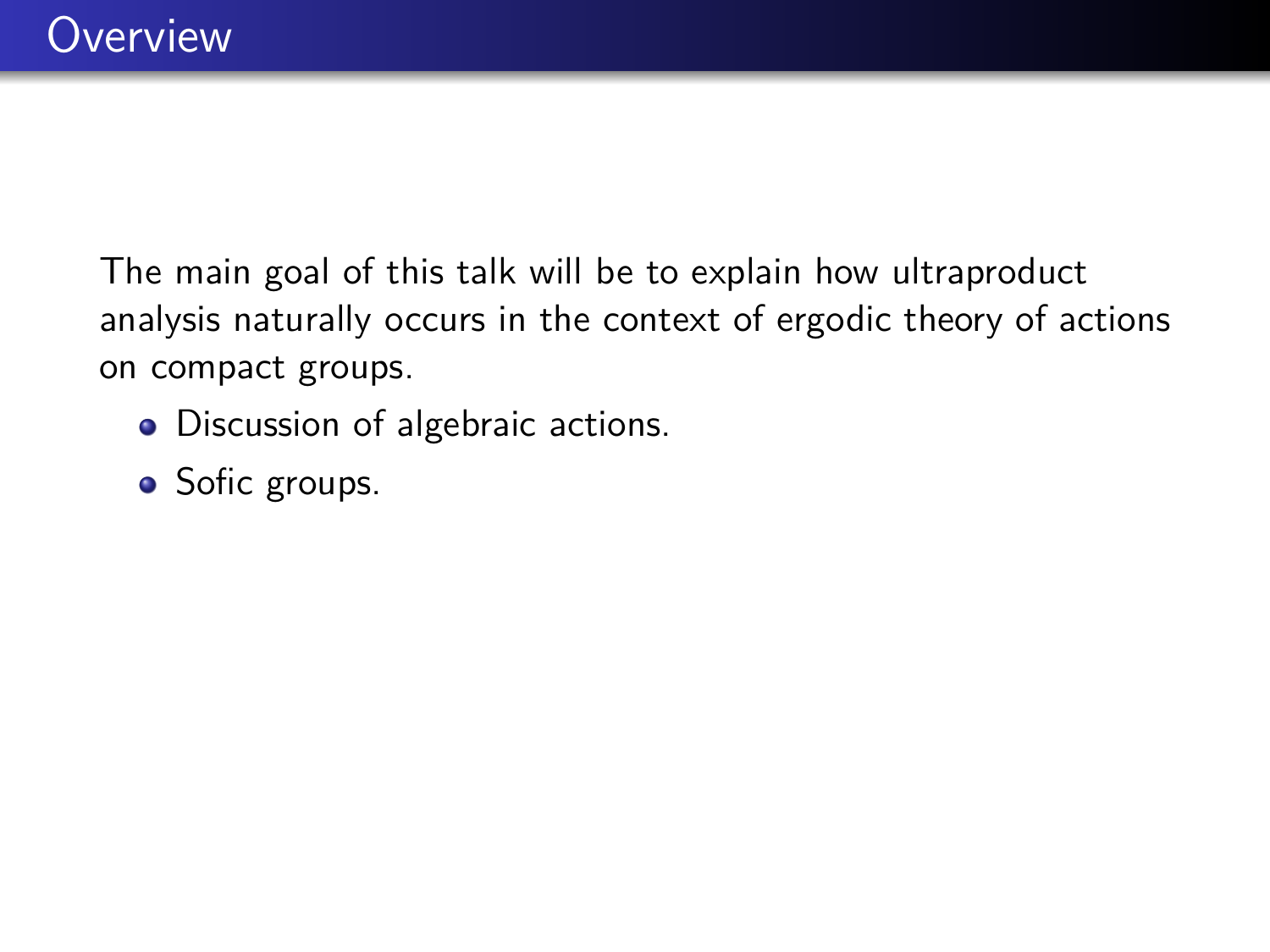- Discussion of algebraic actions.
- Sofic groups.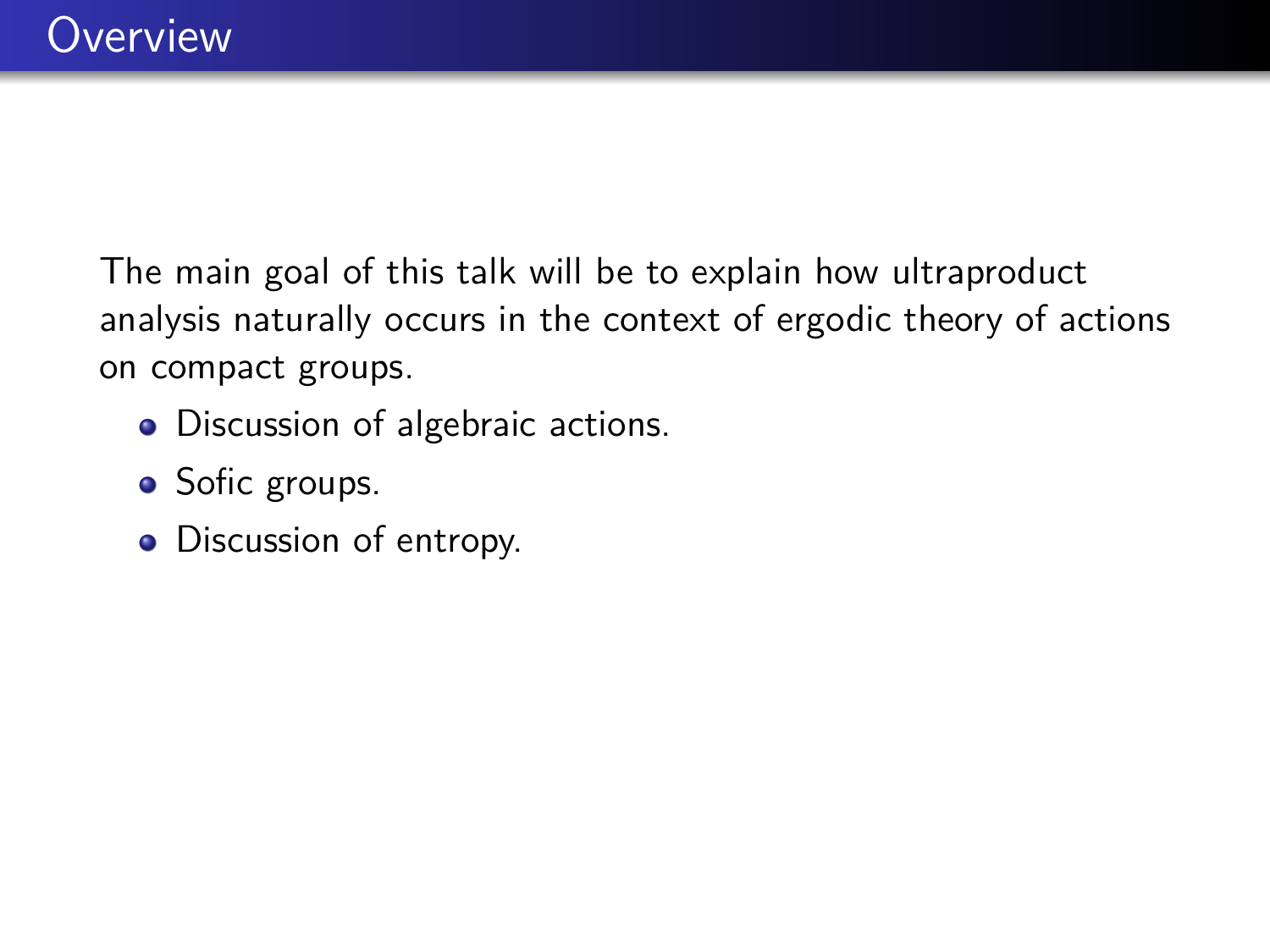- Discussion of algebraic actions.
- Sofic groups.
- Discussion of entropy.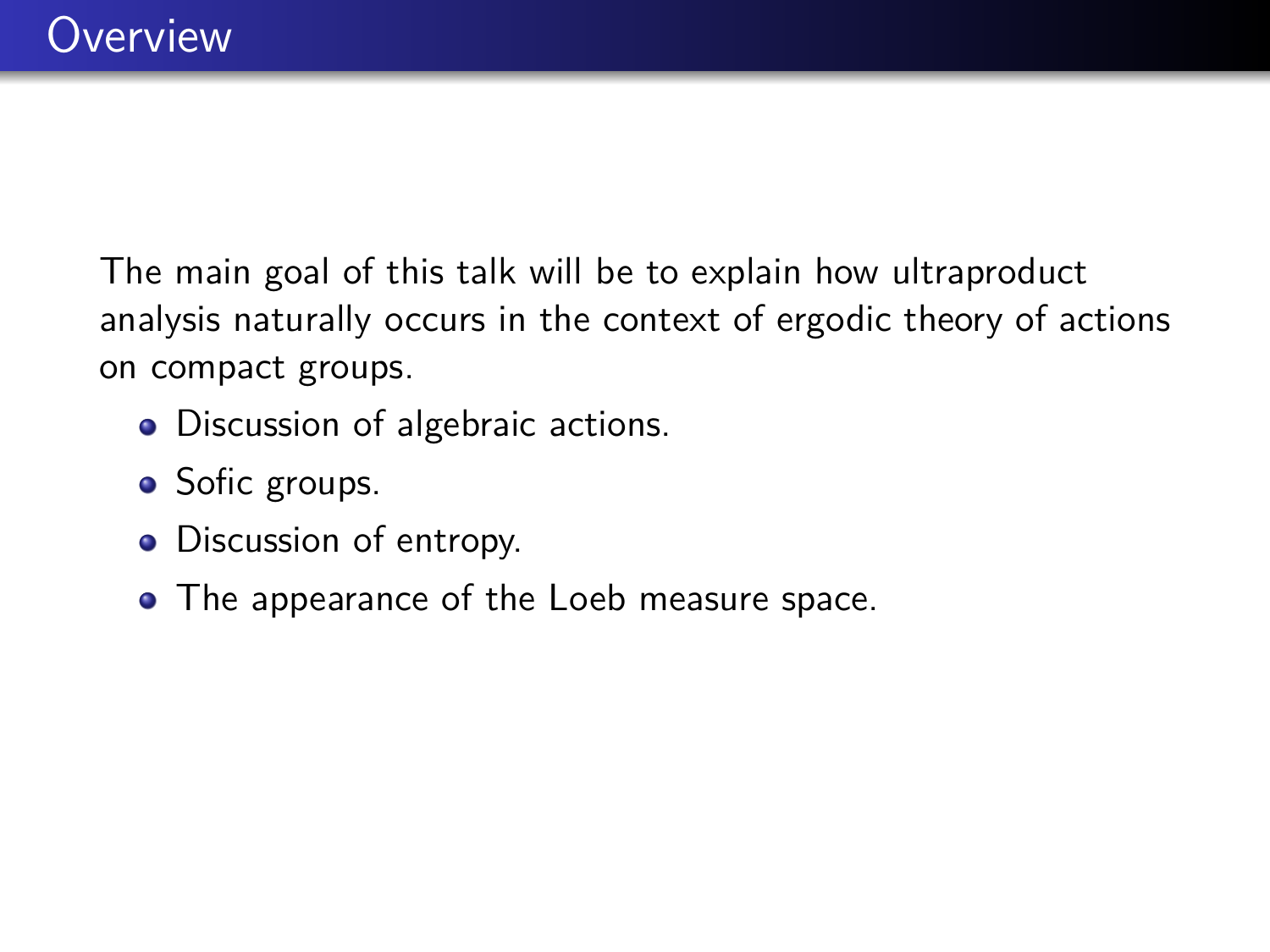- Discussion of algebraic actions.
- Sofic groups.
- Discussion of entropy.
- The appearance of the Loeb measure space.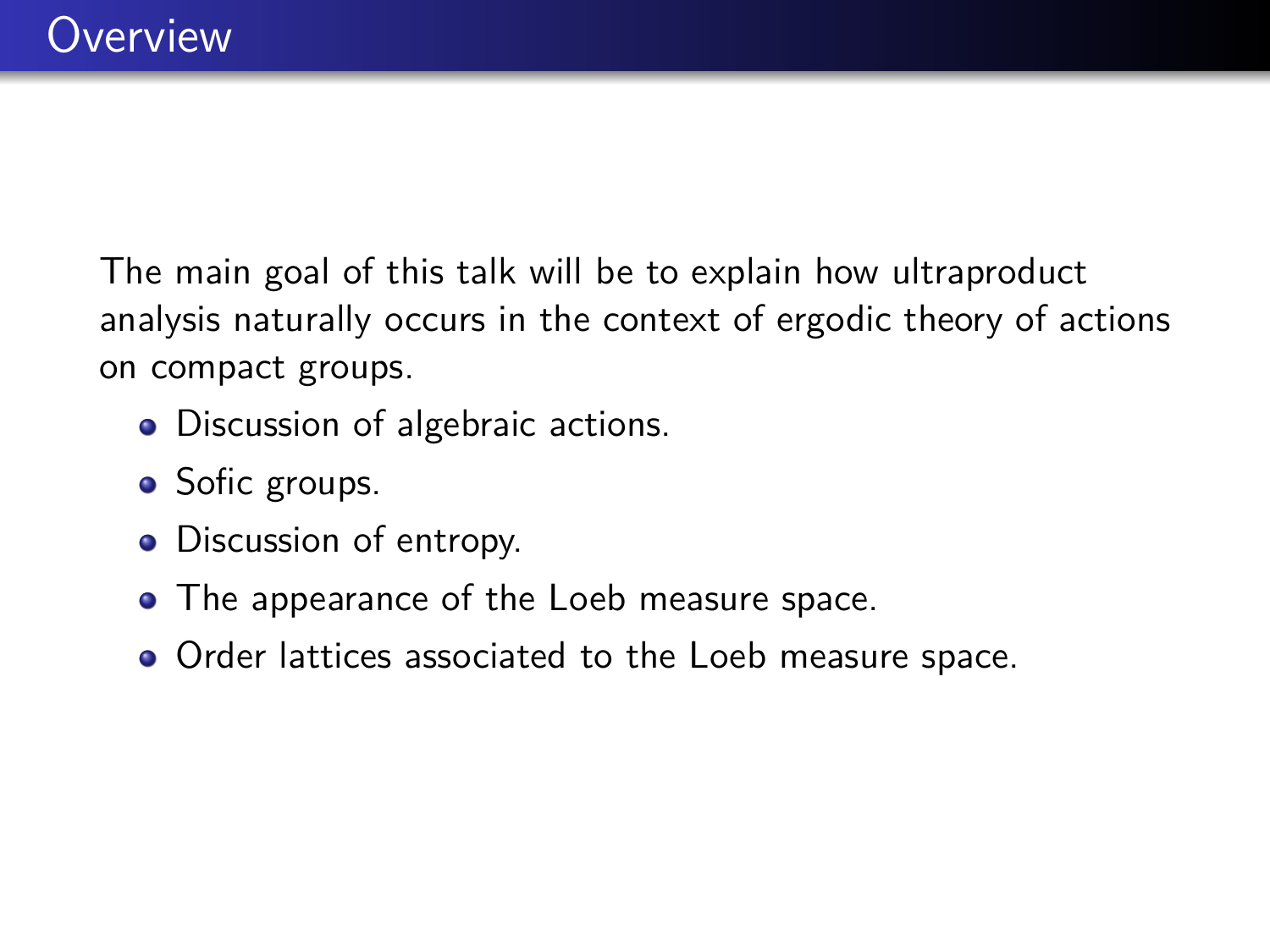- Discussion of algebraic actions.
- Sofic groups.
- Discussion of entropy.
- The appearance of the Loeb measure space.
- Order lattices associated to the Loeb measure space.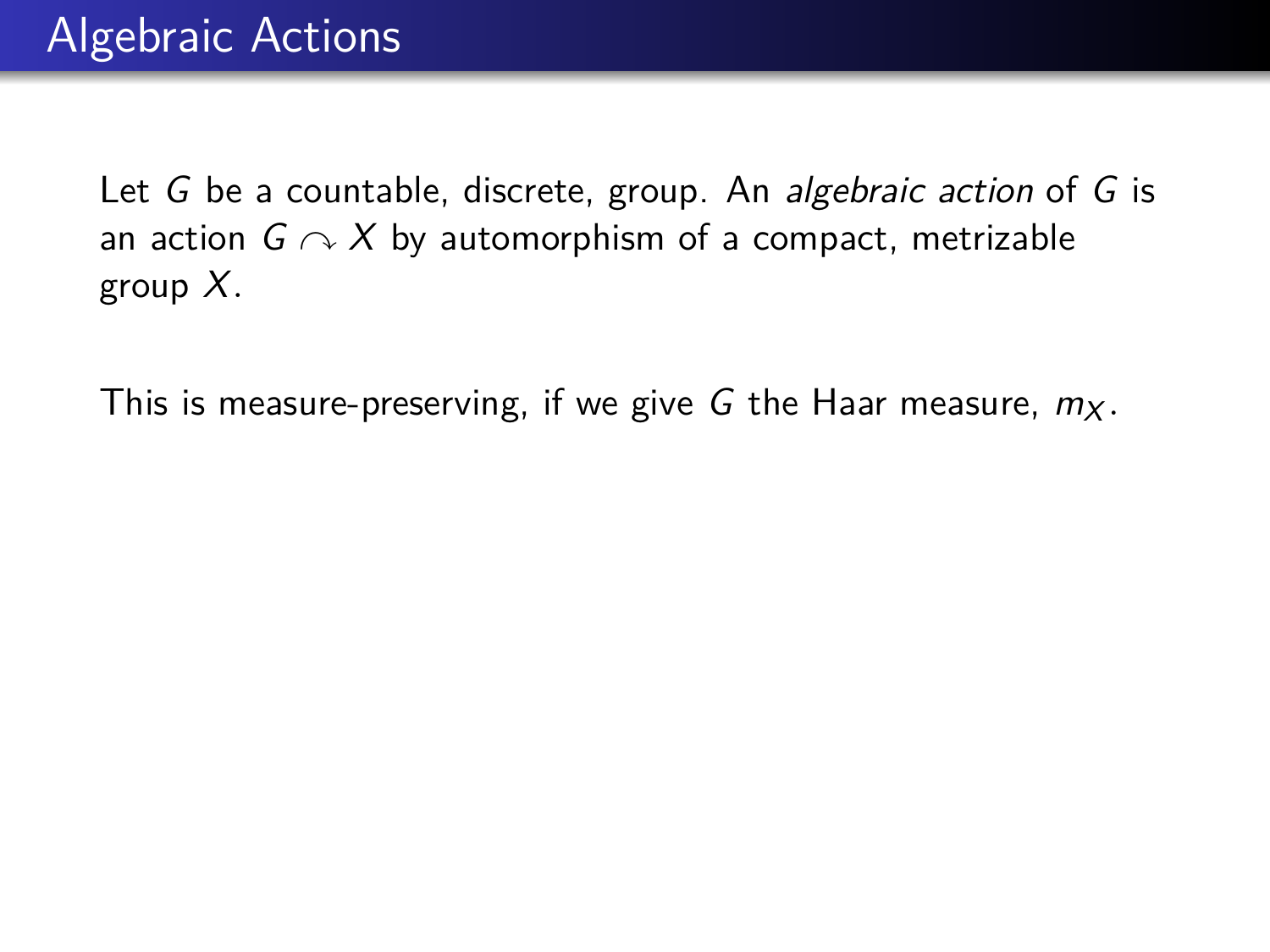This is measure-preserving, if we give G the Haar measure,  $m_X$ .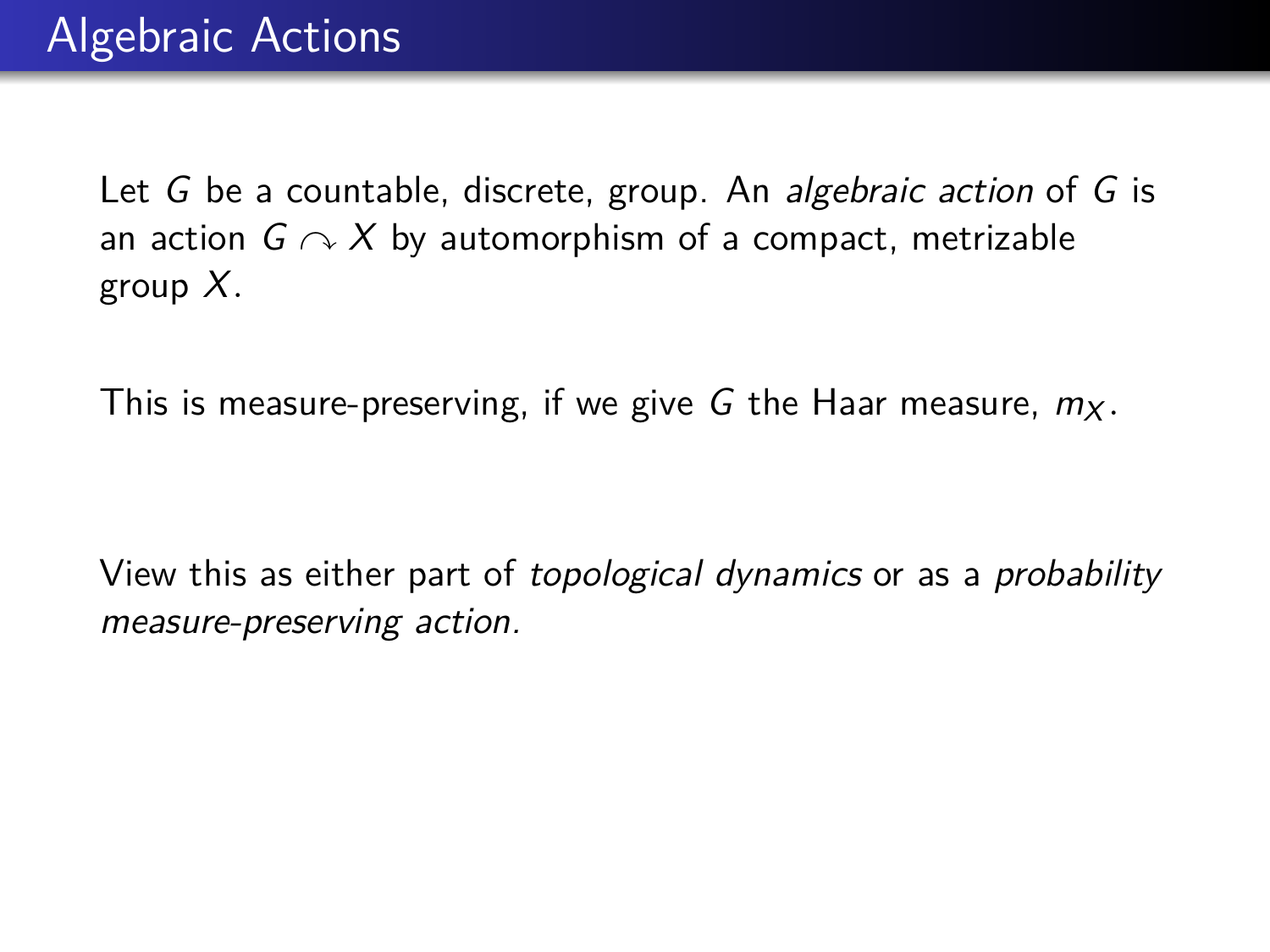This is measure-preserving, if we give G the Haar measure,  $m_X$ .

View this as either part of topological dynamics or as a probability measure-preserving action.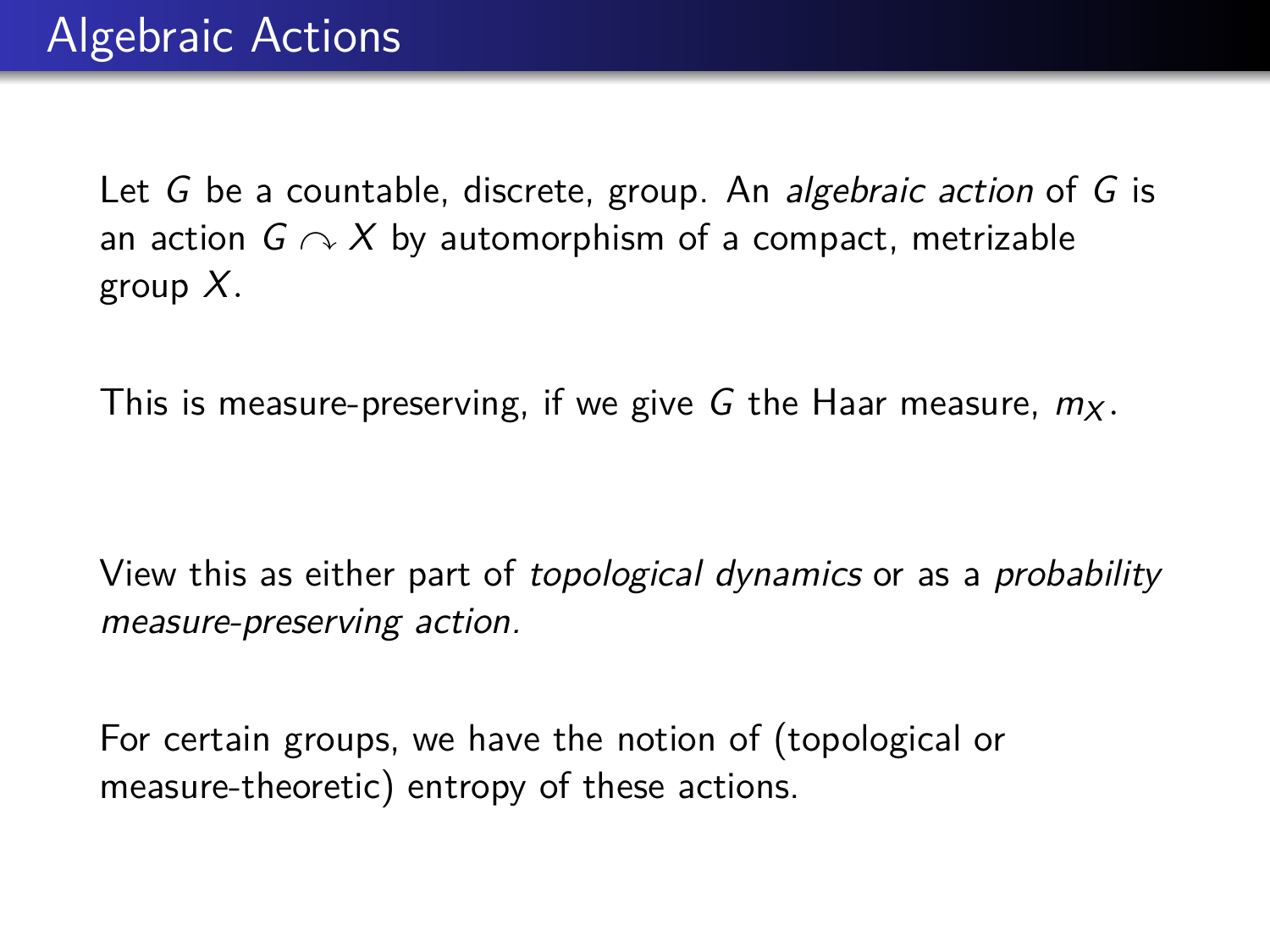This is measure-preserving, if we give G the Haar measure,  $m<sub>X</sub>$ .

View this as either part of topological dynamics or as a probability measure-preserving action.

For certain groups, we have the notion of (topological or measure-theoretic) entropy of these actions.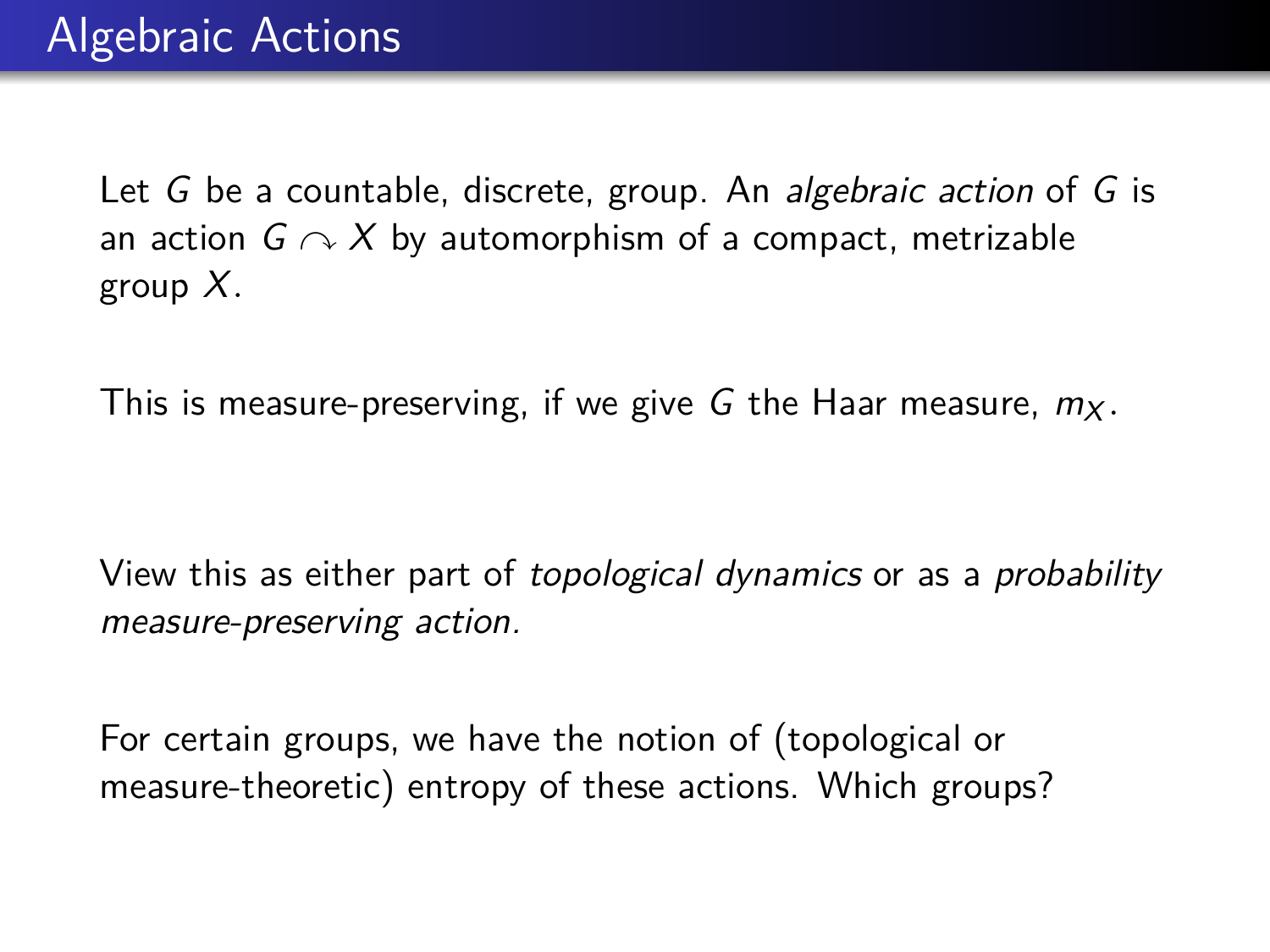This is measure-preserving, if we give G the Haar measure,  $m<sub>X</sub>$ .

View this as either part of topological dynamics or as a probability measure-preserving action.

For certain groups, we have the notion of (topological or measure-theoretic) entropy of these actions. Which groups?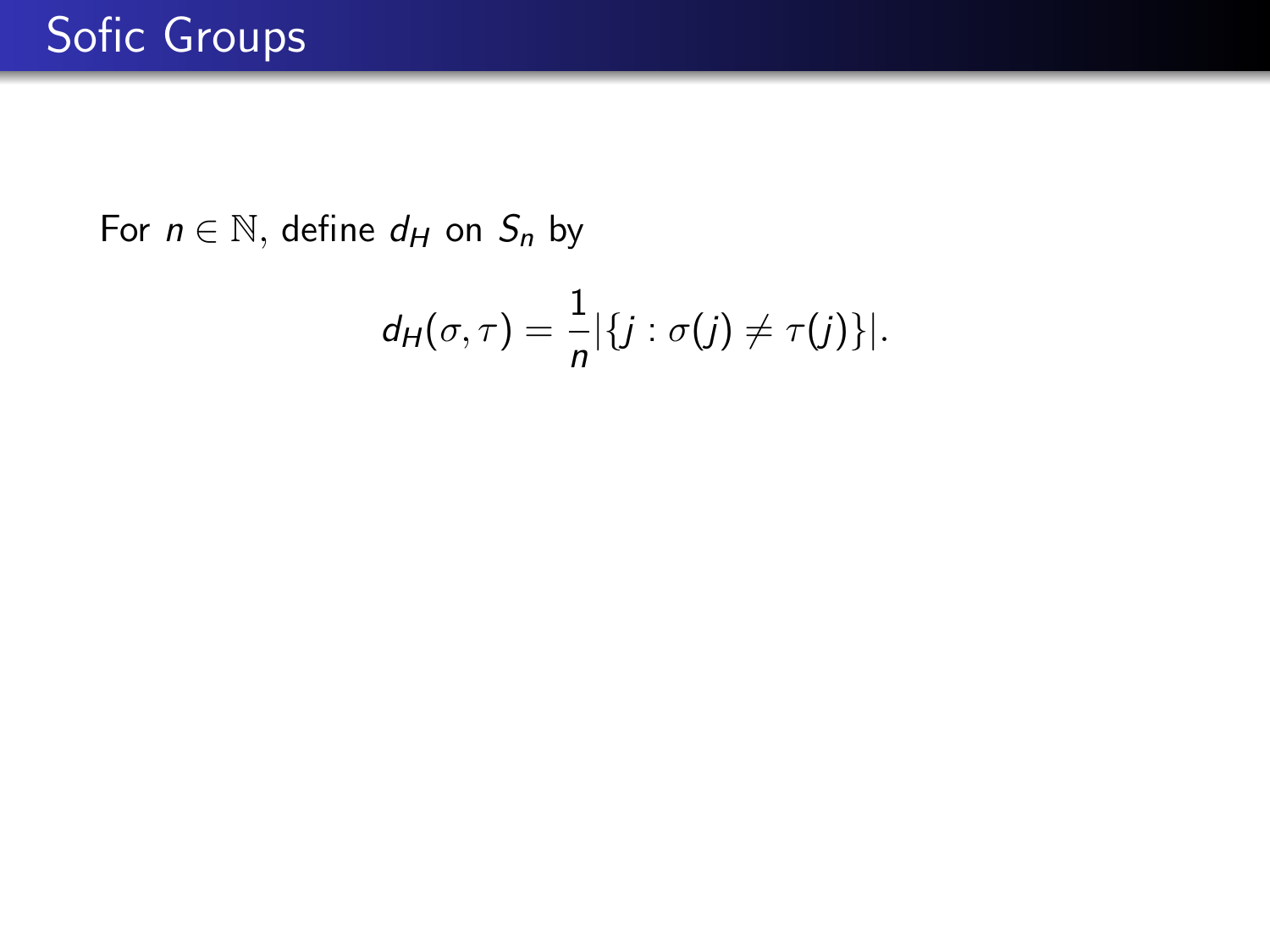$$
d_H(\sigma,\tau)=\frac{1}{n}|\{j:\sigma(j)\neq \tau(j)\}|.
$$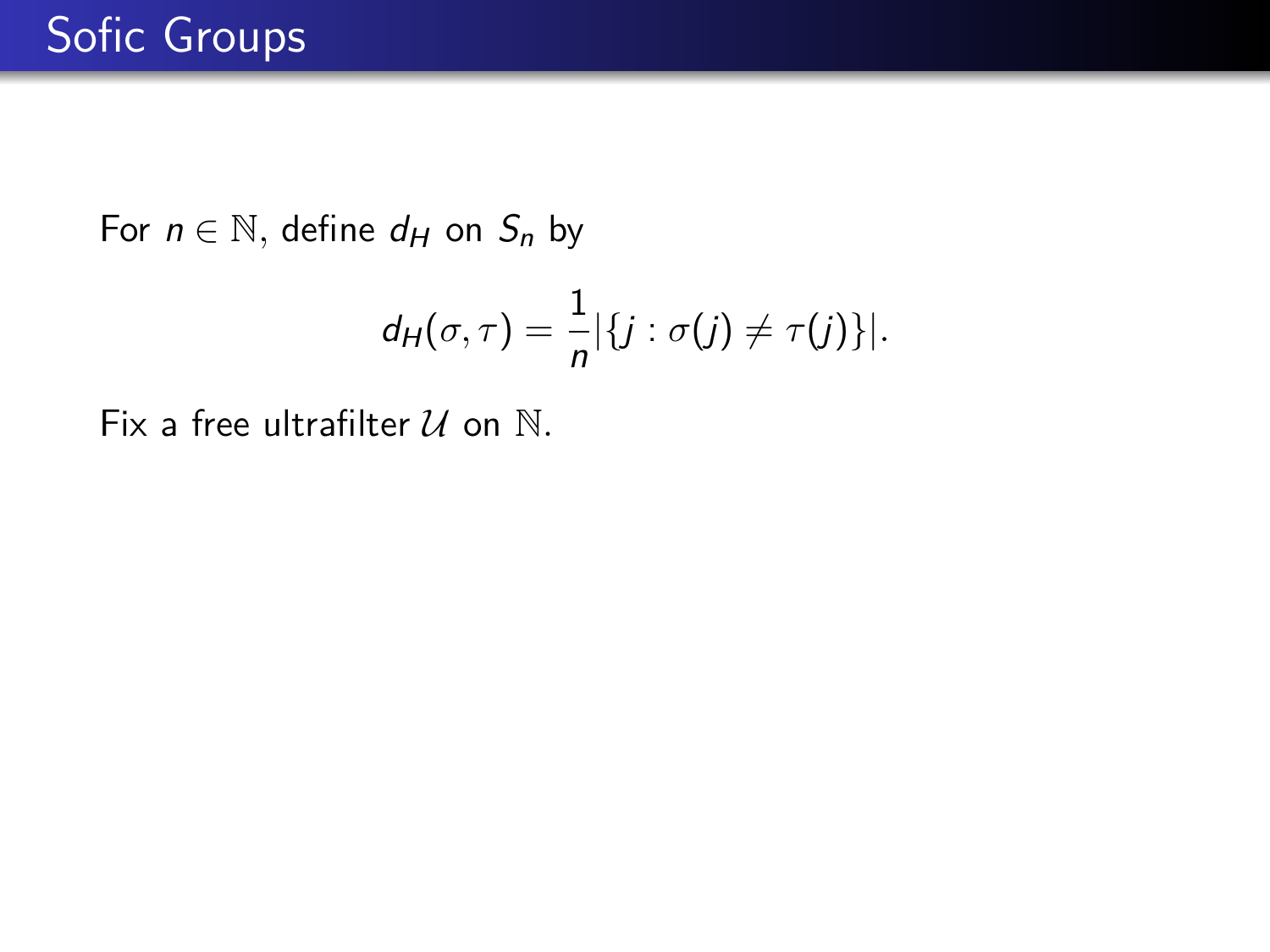$$
d_H(\sigma,\tau)=\frac{1}{n}|\{j:\sigma(j)\neq \tau(j)\}|.
$$

Fix a free ultrafilter  $U$  on  $N$ .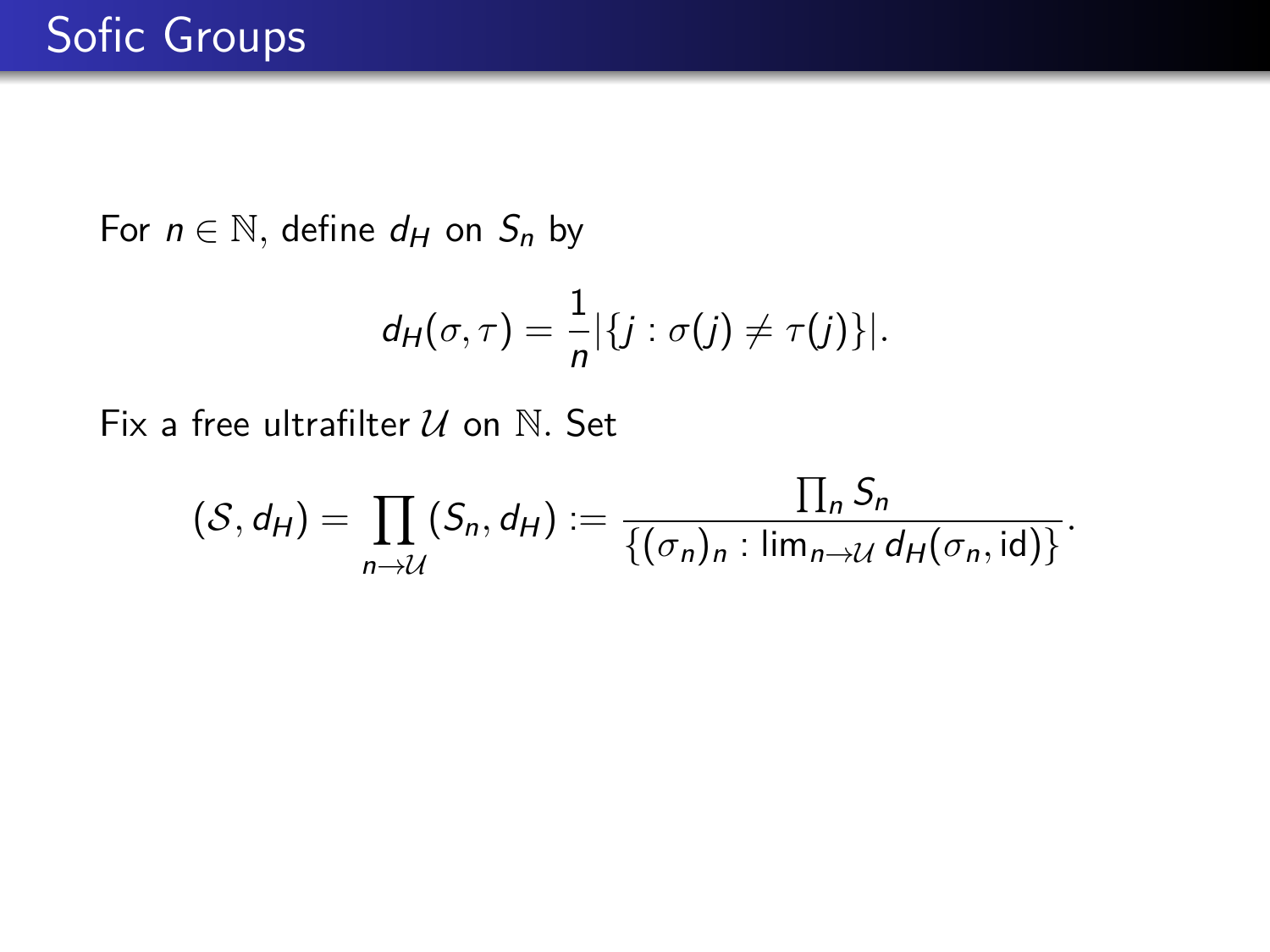$$
d_H(\sigma,\tau)=\frac{1}{n}|\{j:\sigma(j)\neq \tau(j)\}|.
$$

Fix a free ultrafilter U on N*.* Set

$$
(\mathcal{S}, d_H) = \prod_{n \to \mathcal{U}} (S_n, d_H) := \frac{\prod_n S_n}{\{(\sigma_n)_n : \lim_{n \to \mathcal{U}} d_H(\sigma_n, id)\}}.
$$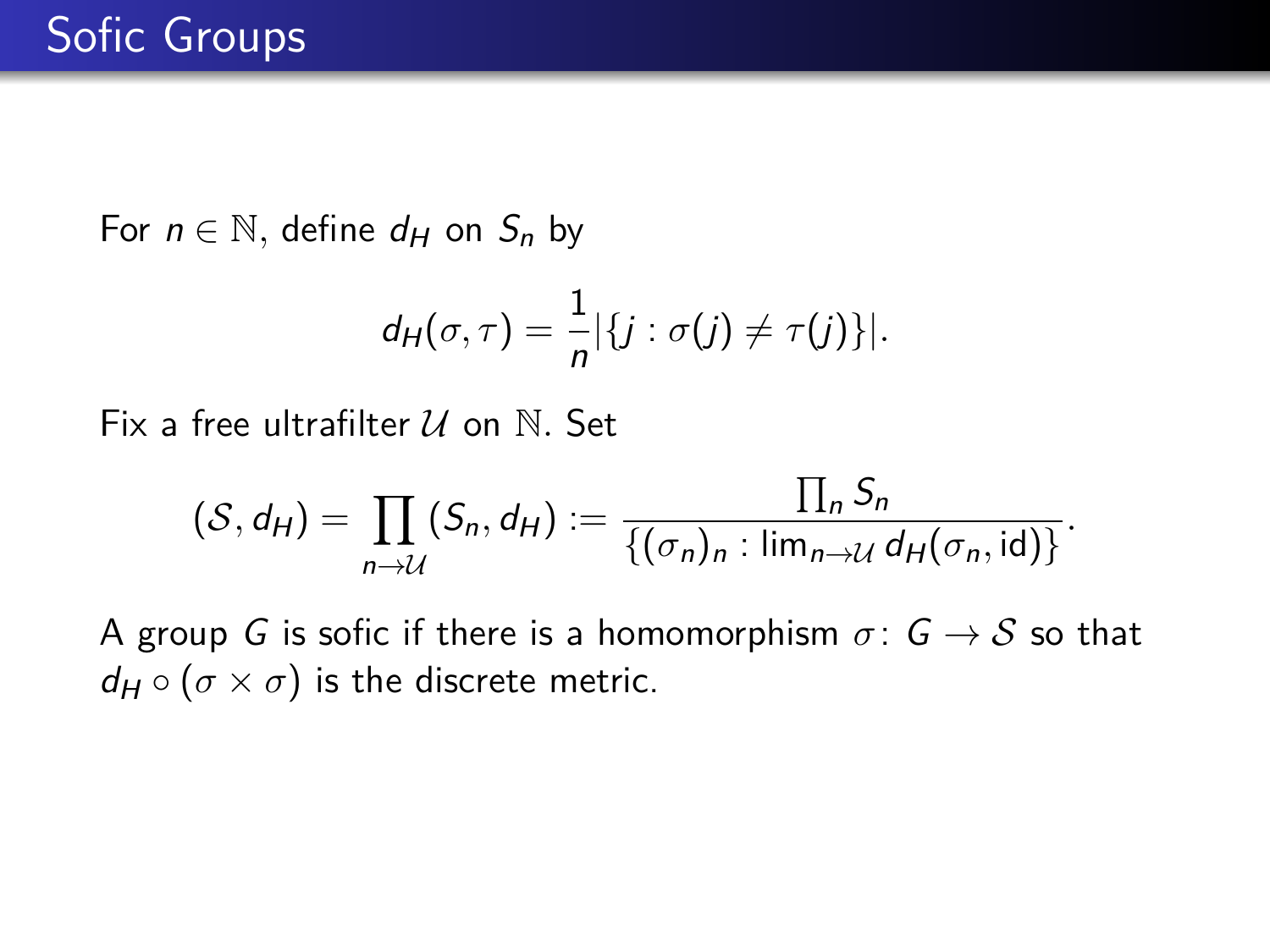$$
d_H(\sigma,\tau)=\frac{1}{n}|\{j:\sigma(j)\neq \tau(j)\}|.
$$

Fix a free ultrafilter U on N. Set

$$
(\mathcal{S}, d_H) = \prod_{n \to \mathcal{U}} (S_n, d_H) := \frac{\prod_n S_n}{\{(\sigma_n)_n : \lim_{n \to \mathcal{U}} d_H(\sigma_n, id)\}}.
$$

A group G is sofic if there is a homomorphism  $\sigma: G \to S$  so that  $d_H \circ (\sigma \times \sigma)$  is the discrete metric.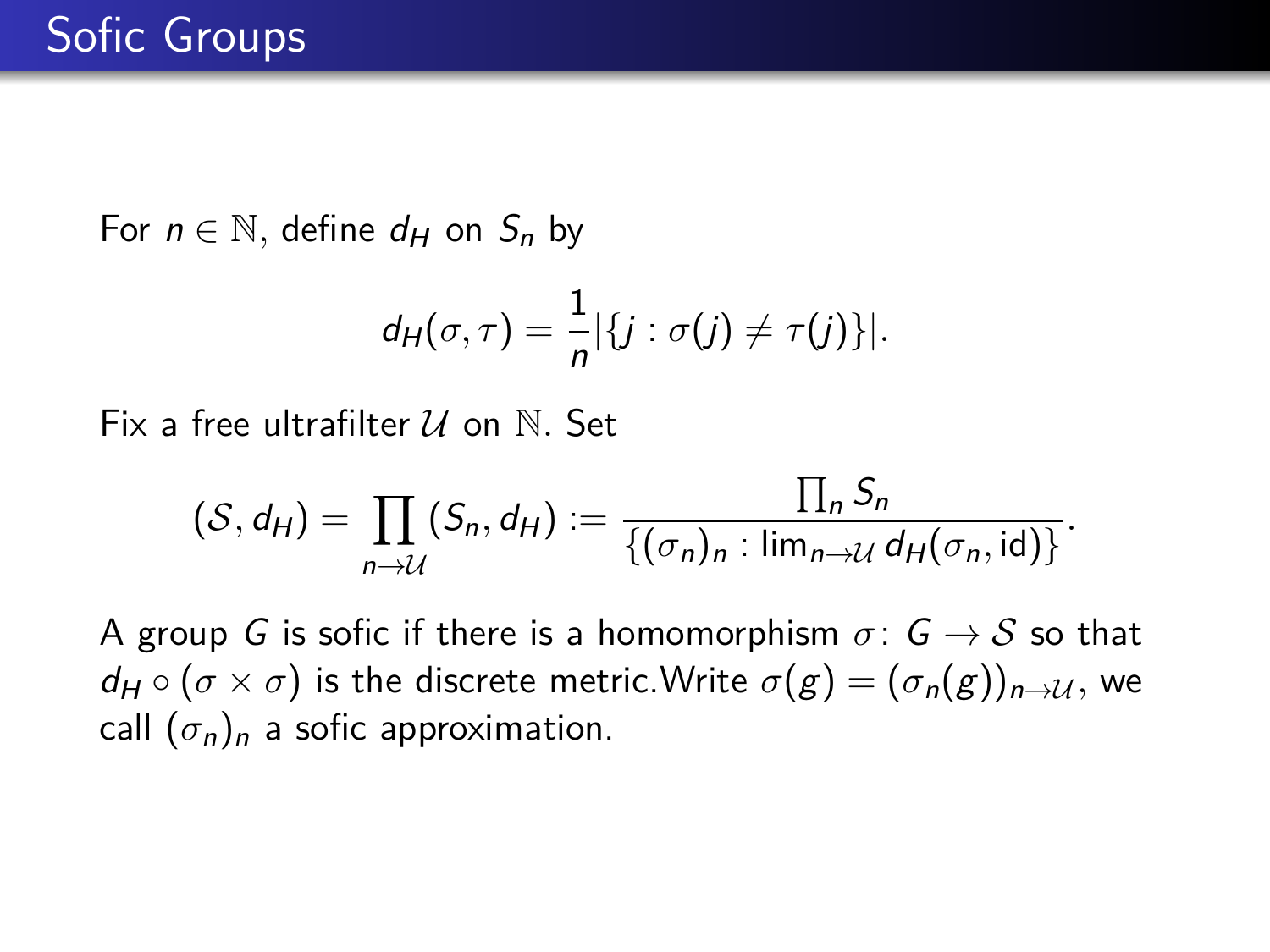$$
d_H(\sigma,\tau)=\frac{1}{n}|\{j:\sigma(j)\neq \tau(j)\}|.
$$

Fix a free ultrafilter U on N*.* Set

$$
(\mathcal{S}, d_H) = \prod_{n \to \mathcal{U}} (S_n, d_H) := \frac{\prod_n S_n}{\{(\sigma_n)_n : \lim_{n \to \mathcal{U}} d_H(\sigma_n, id)\}}.
$$

A group G is sofic if there is a homomorphism  $\sigma: G \to S$  so that  $d_H \circ (\sigma \times \sigma)$  is the discrete metric. Write  $\sigma(g) = (\sigma_n(g))_{n \to \mathcal{U}}$ , we call  $(\sigma_n)_n$  a sofic approximation.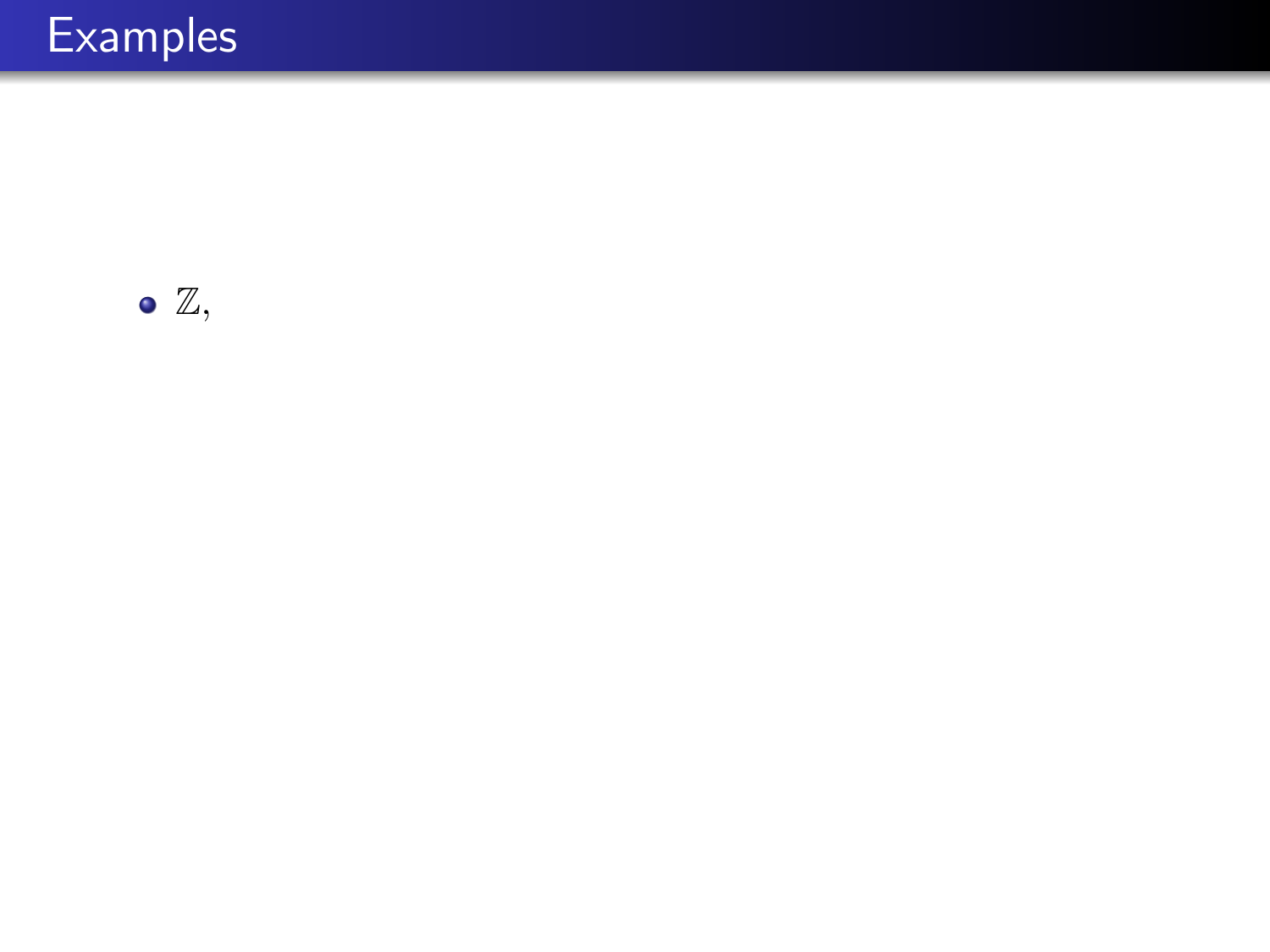

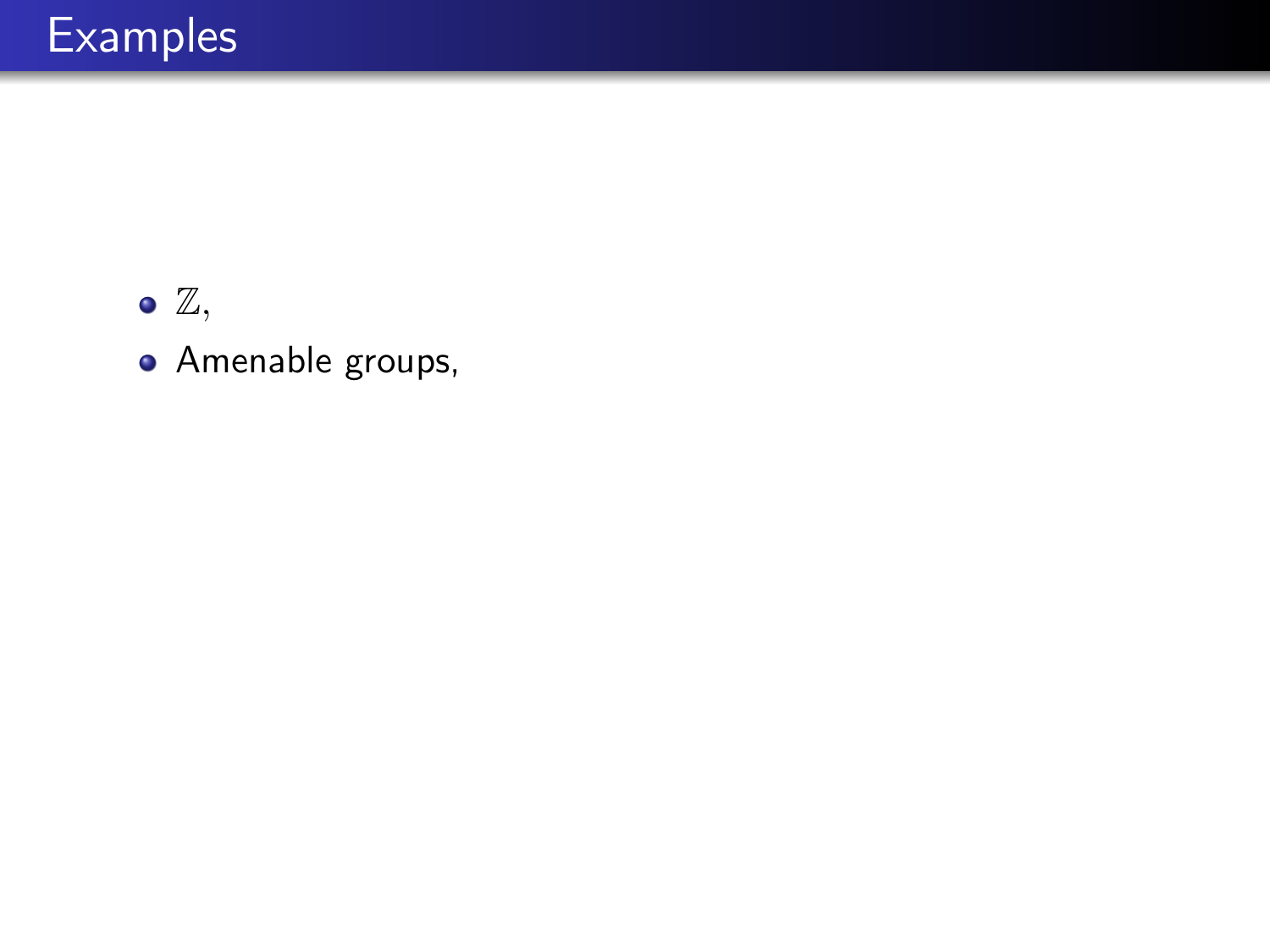

Amenable groups,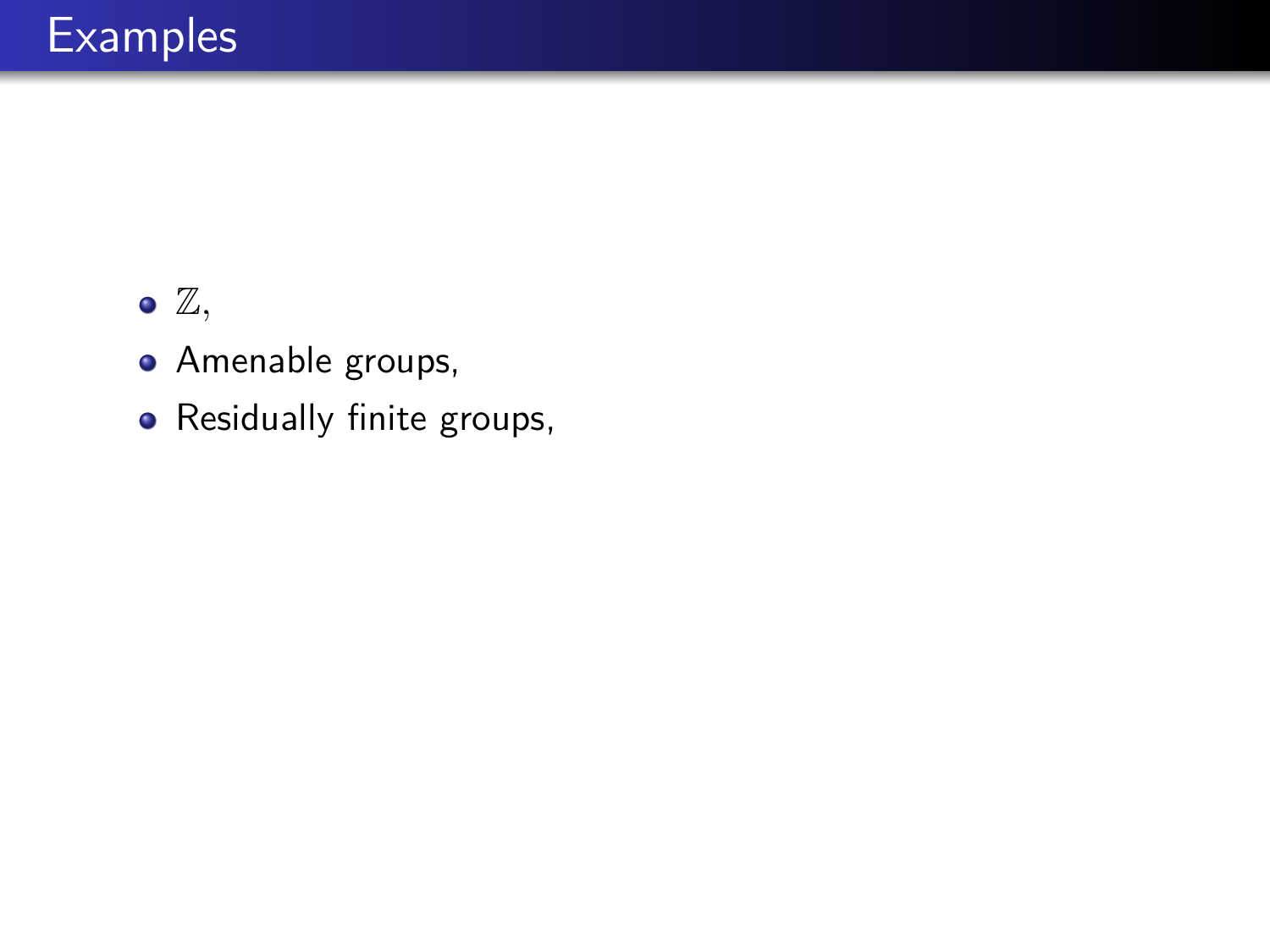- Amenable groups,
- Residually finite groups,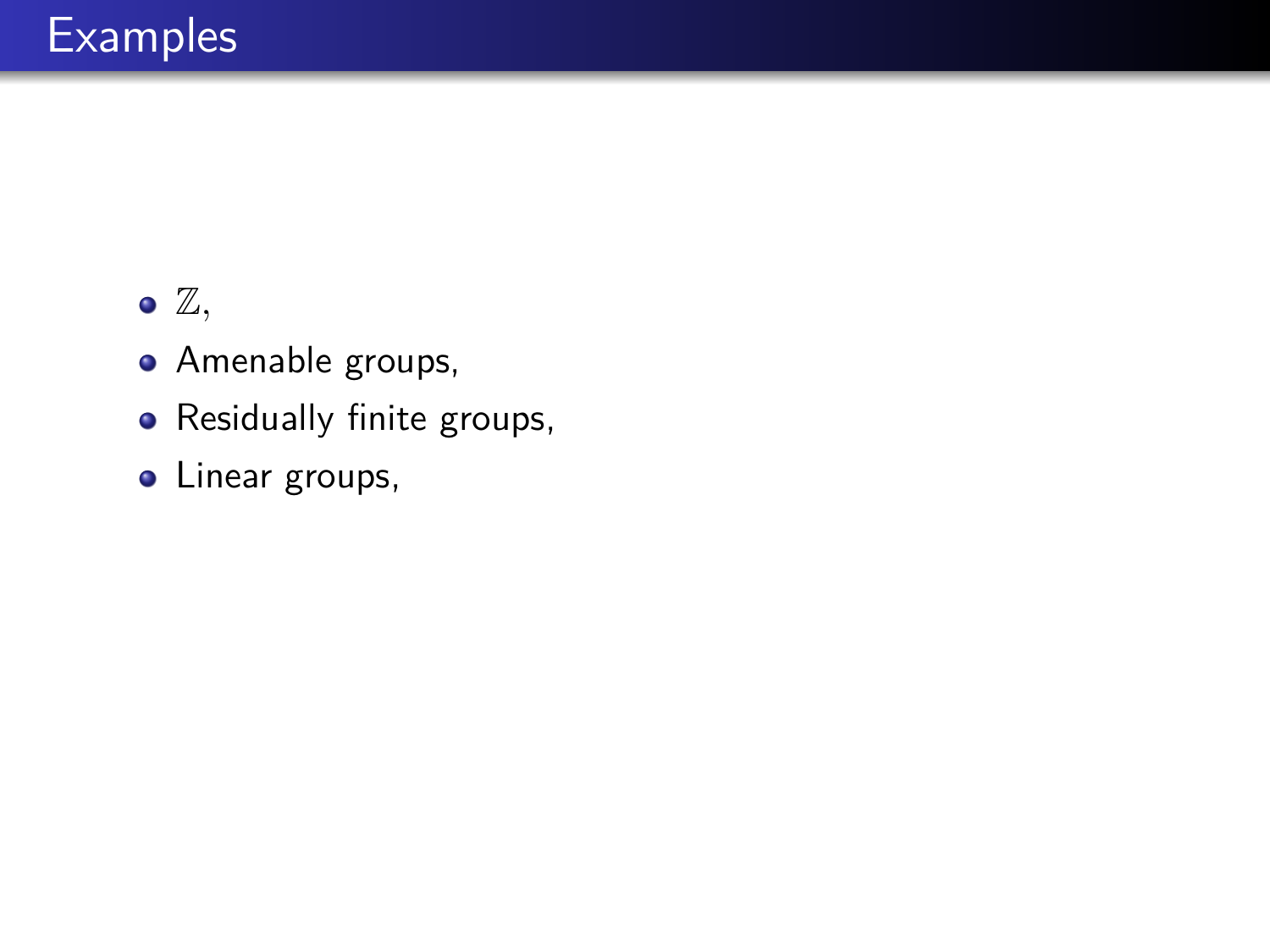- Amenable groups,
- Residually finite groups,
- Linear groups,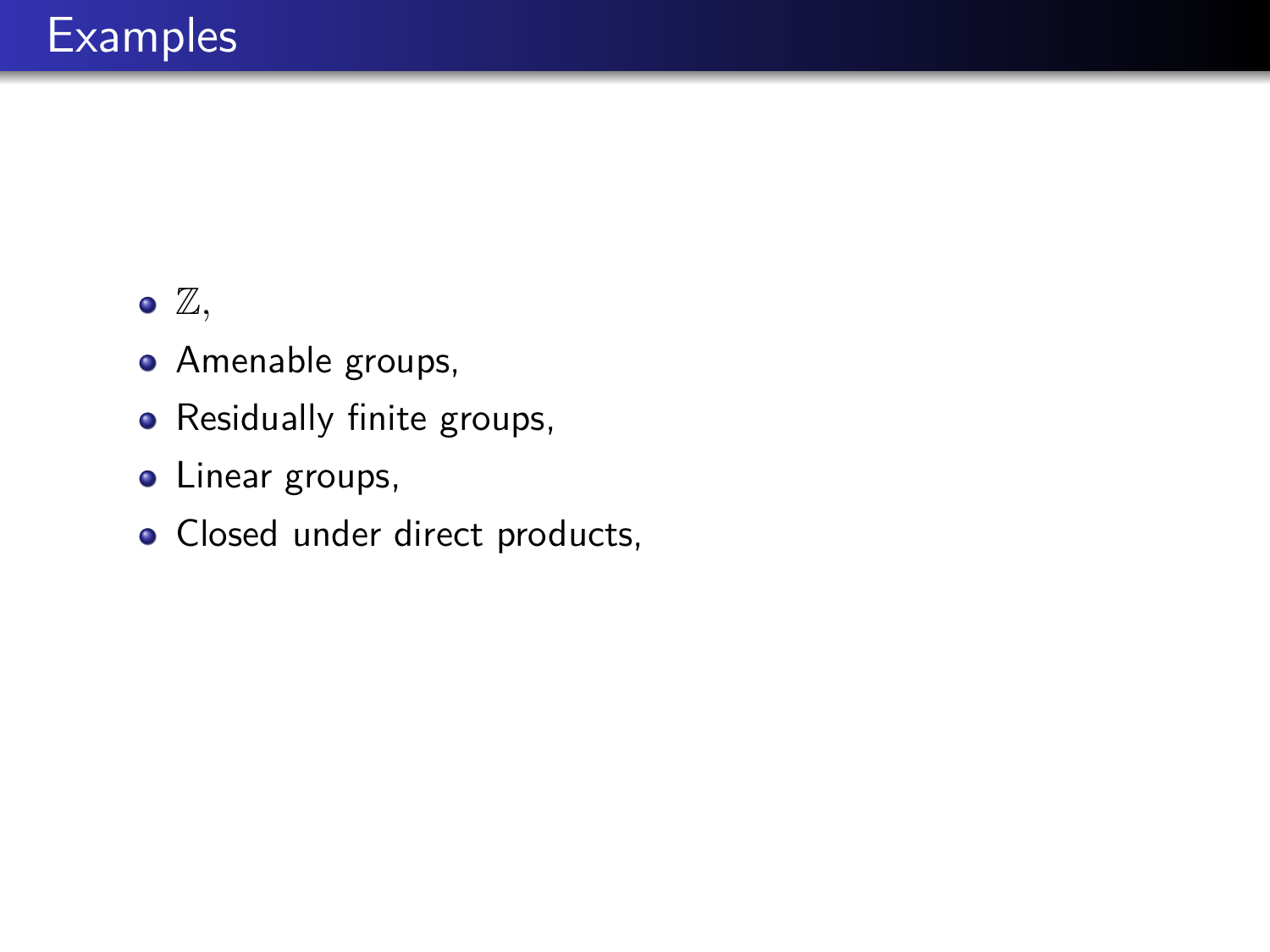- Amenable groups,
- Residually finite groups,
- Linear groups,
- Closed under direct products,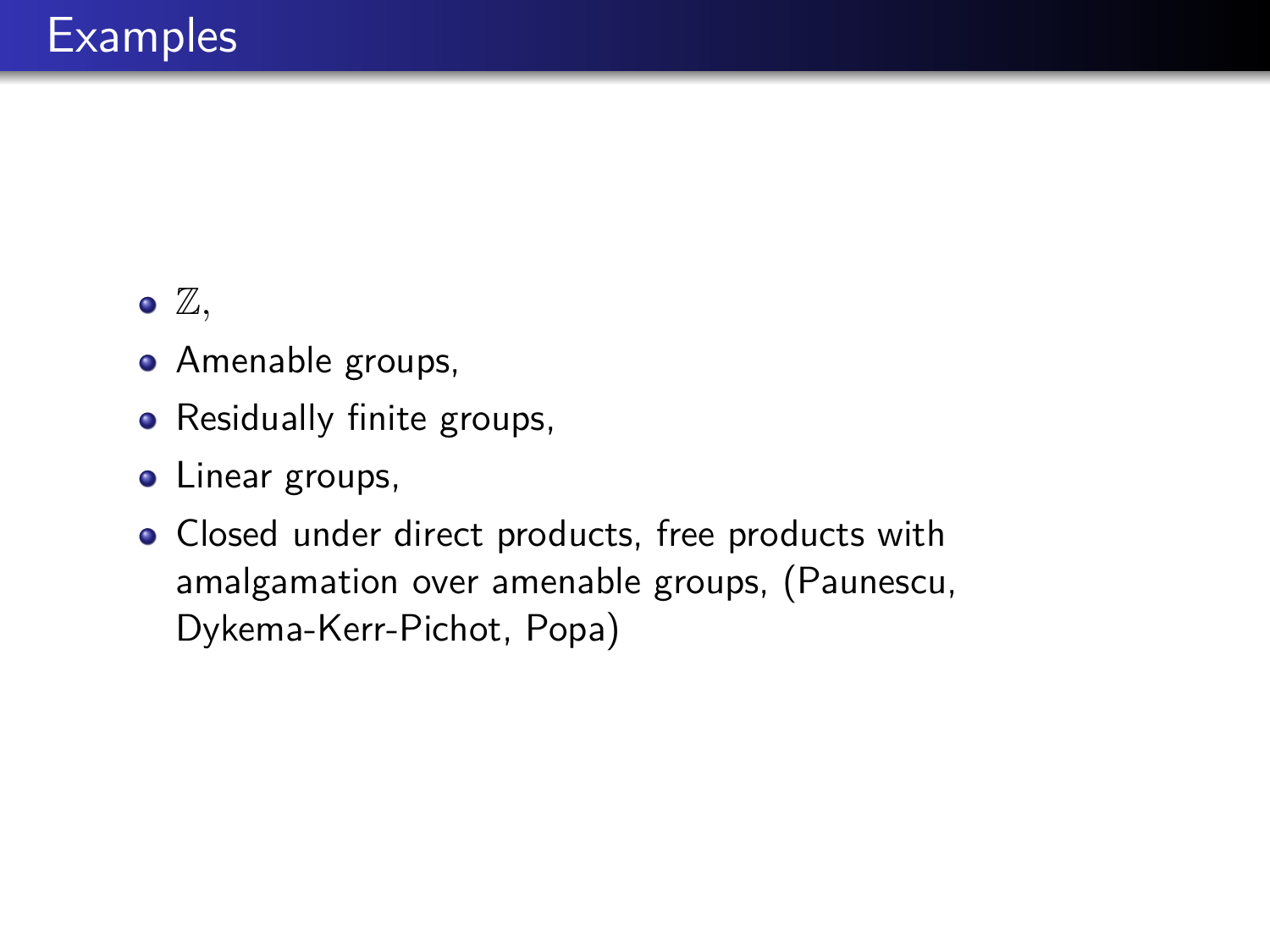- Amenable groups,
- Residually finite groups,
- Linear groups,
- Closed under direct products, free products with amalgamation over amenable groups, (Paunescu, Dykema-Kerr-Pichot, Popa)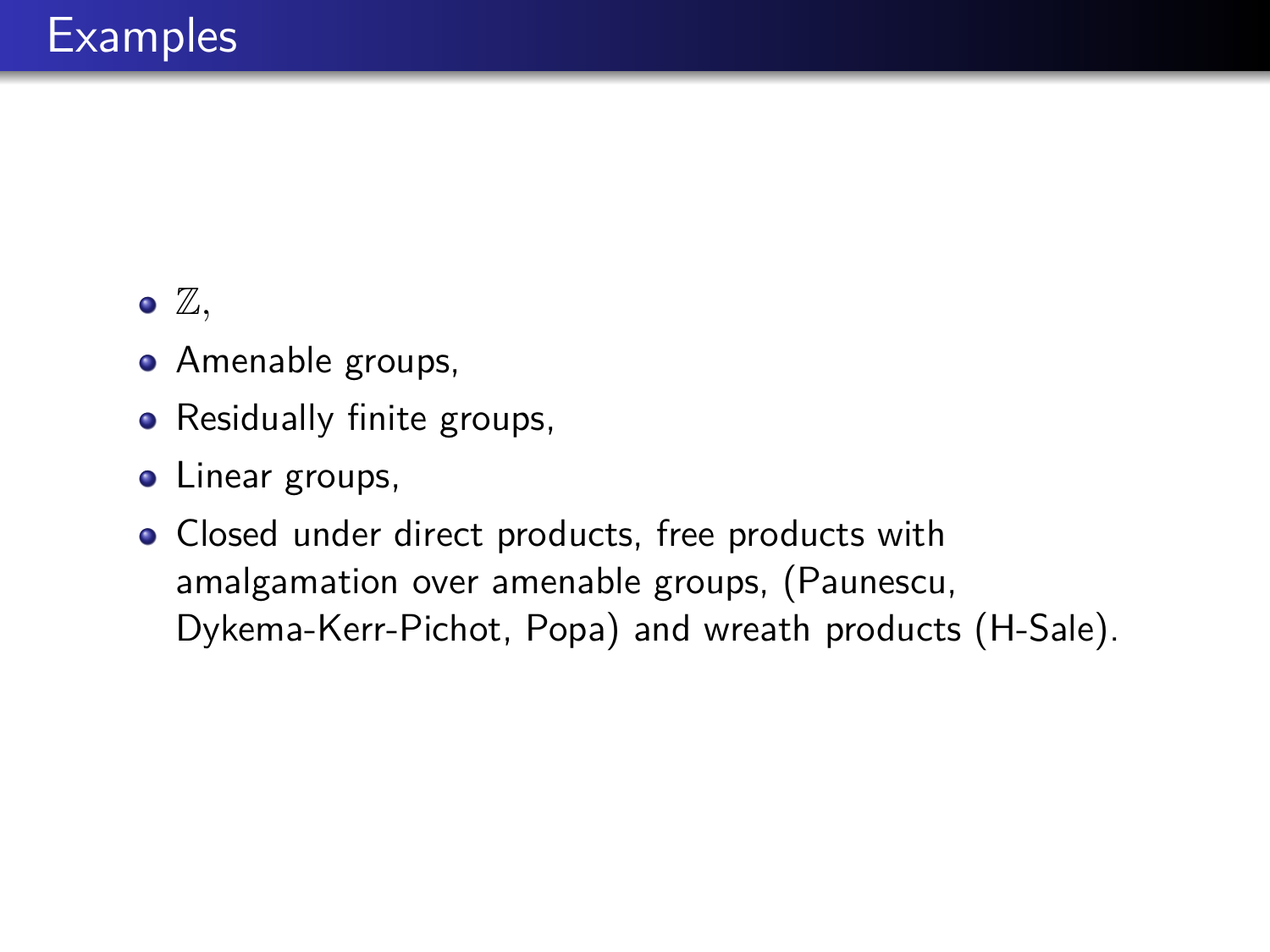- Amenable groups,
- Residually finite groups,
- Linear groups,
- Closed under direct products, free products with amalgamation over amenable groups, (Paunescu, Dykema-Kerr-Pichot, Popa) and wreath products (H-Sale).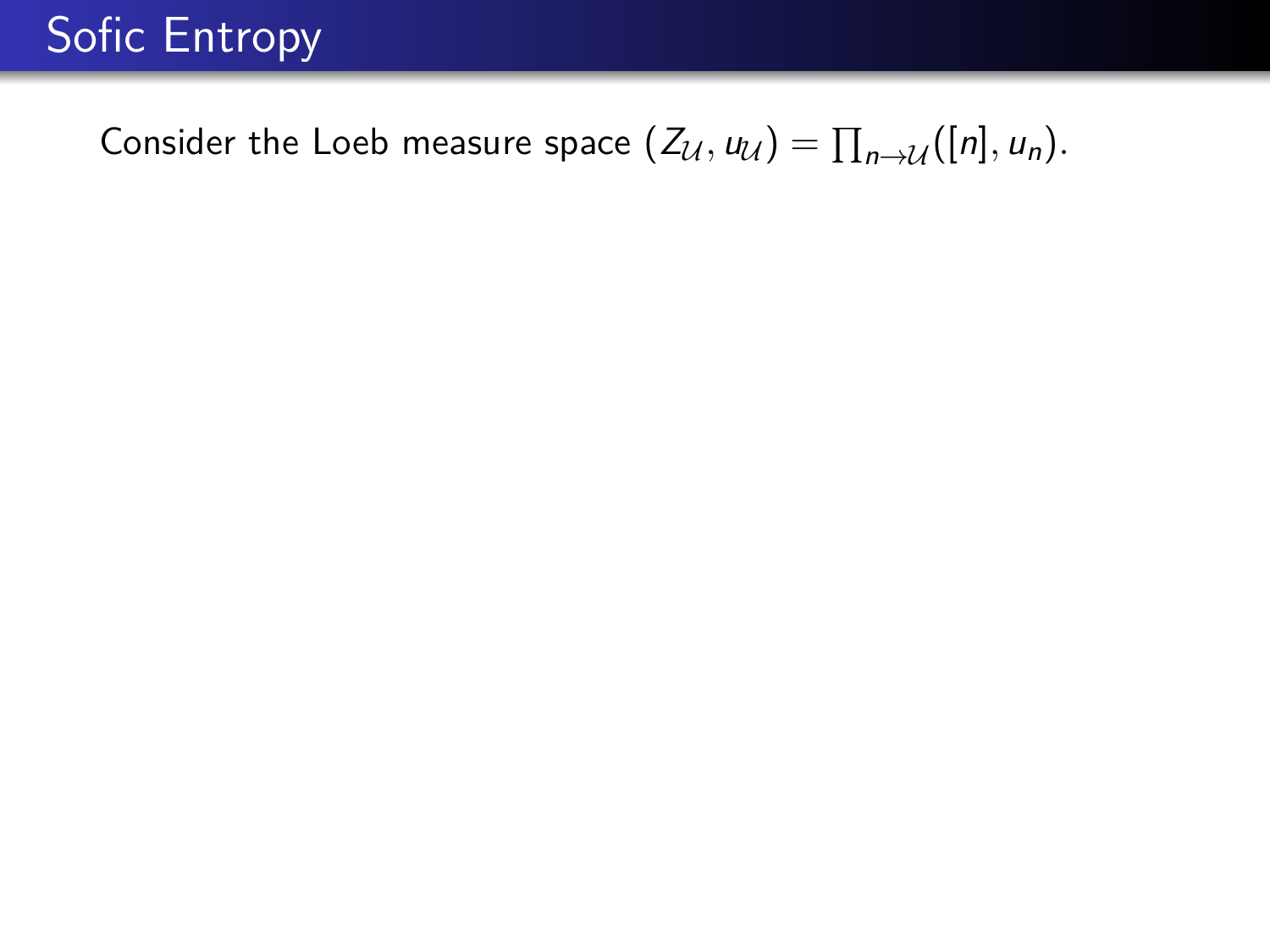### Consider the Loeb measure space  $(Z_{\mathcal{U}}, u_{\mathcal{U}}) = \prod_{n \to \mathcal{U}} ([n], u_n)$ .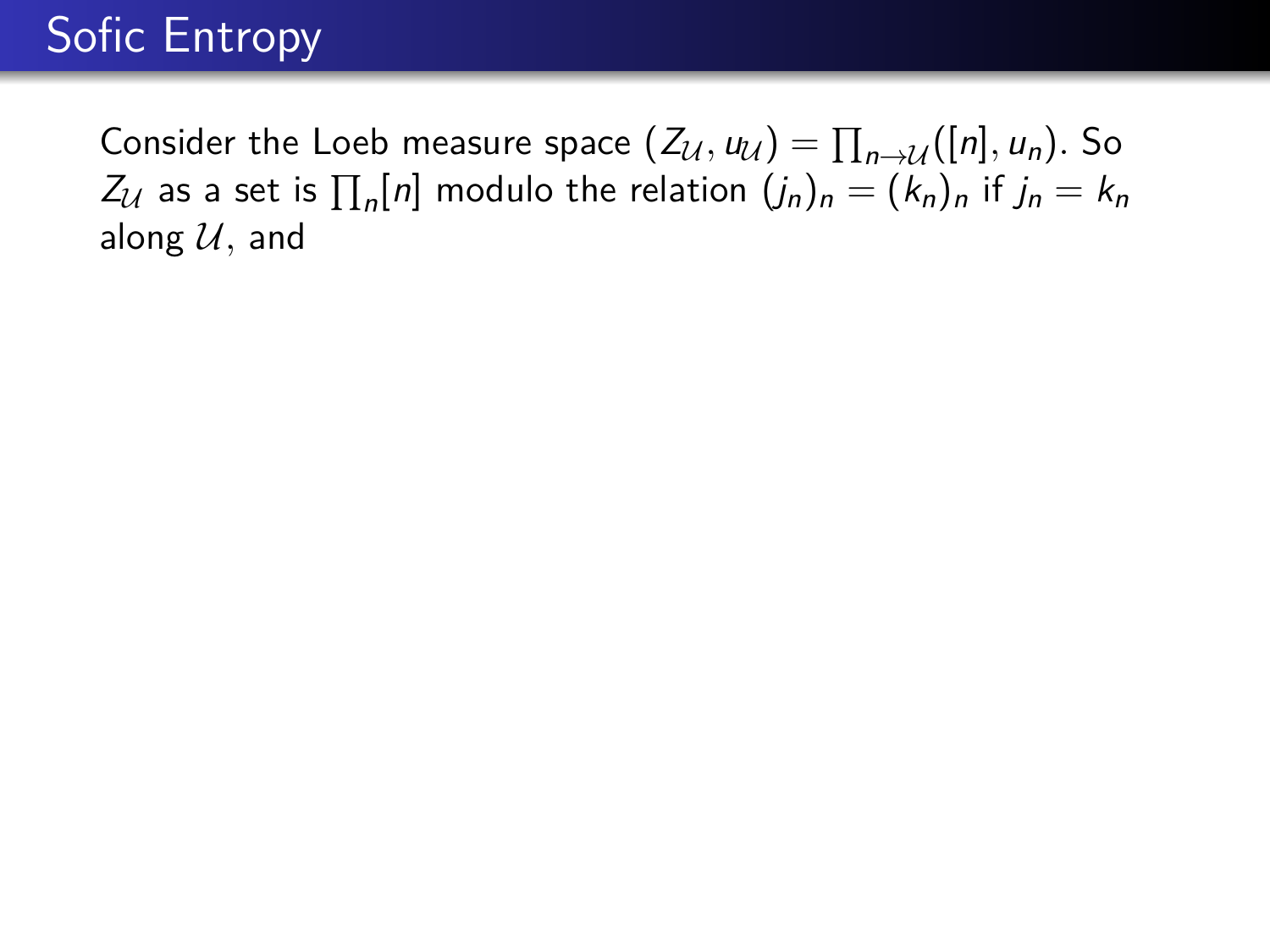Consider the Loeb measure space  $(Z_{\mathcal{U}}, u_{\mathcal{U}}) = \prod_{n \to \mathcal{U}} ([n], u_n)$ . So  $Z_{\mathcal{U}}$  as a set is  $\prod_n [n]$  modulo the relation  $(j_n)_n = (k_n)_n$  if  $j_n = k_n$ along  $U$ , and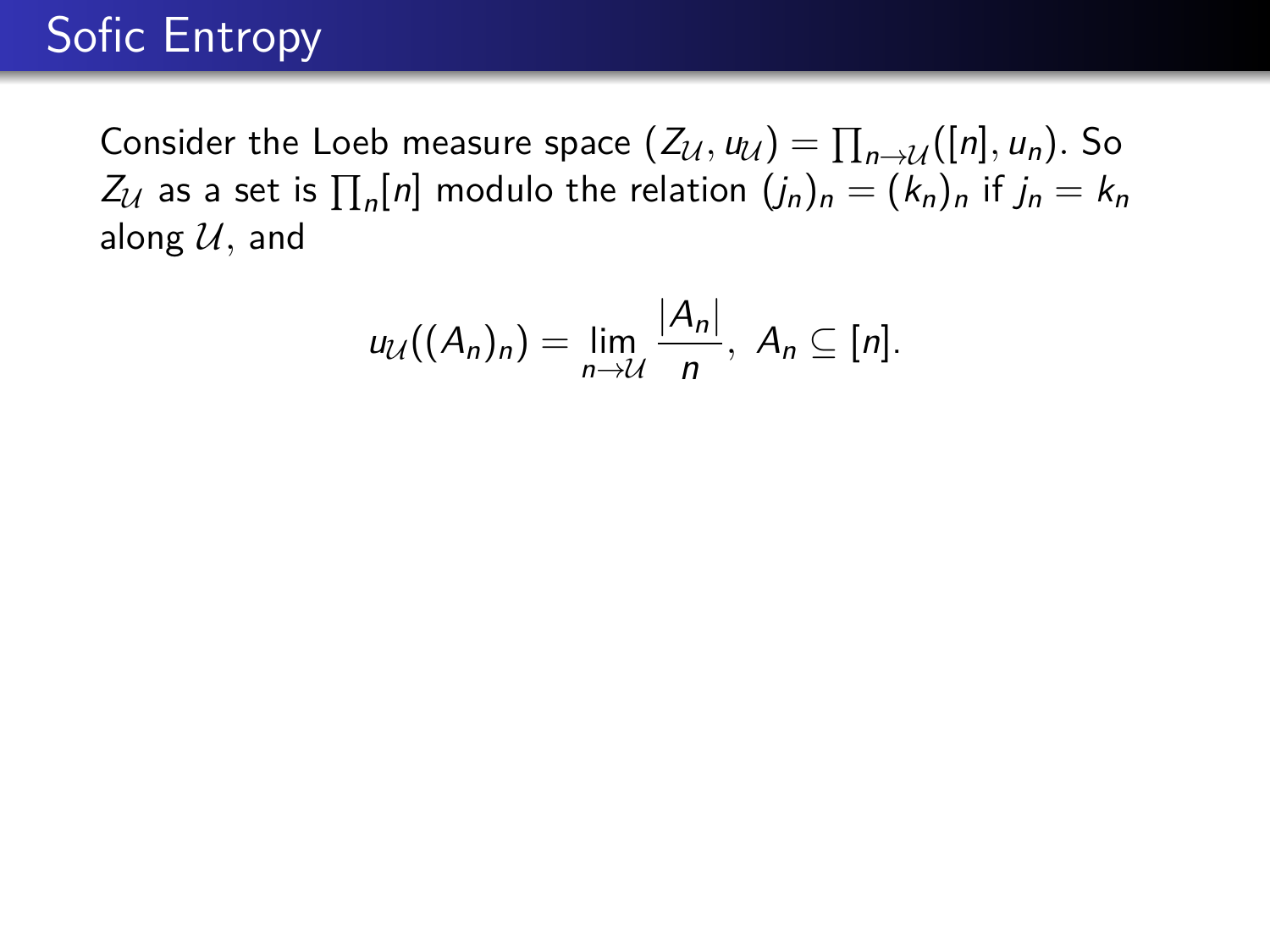Consider the Loeb measure space  $(Z_{\mathcal{U}}, u_{\mathcal{U}}) = \prod_{n \to \mathcal{U}} ([n], u_n)$ . So  $Z_{\mathcal{U}}$  as a set is  $\prod_n [n]$  modulo the relation  $(j_n)_n = (k_n)_n$  if  $j_n = k_n$ along  $U$ , and

$$
u_{\mathcal{U}}((A_n)_n)=\lim_{n\to\mathcal{U}}\frac{|A_n|}{n},\ A_n\subseteq[n].
$$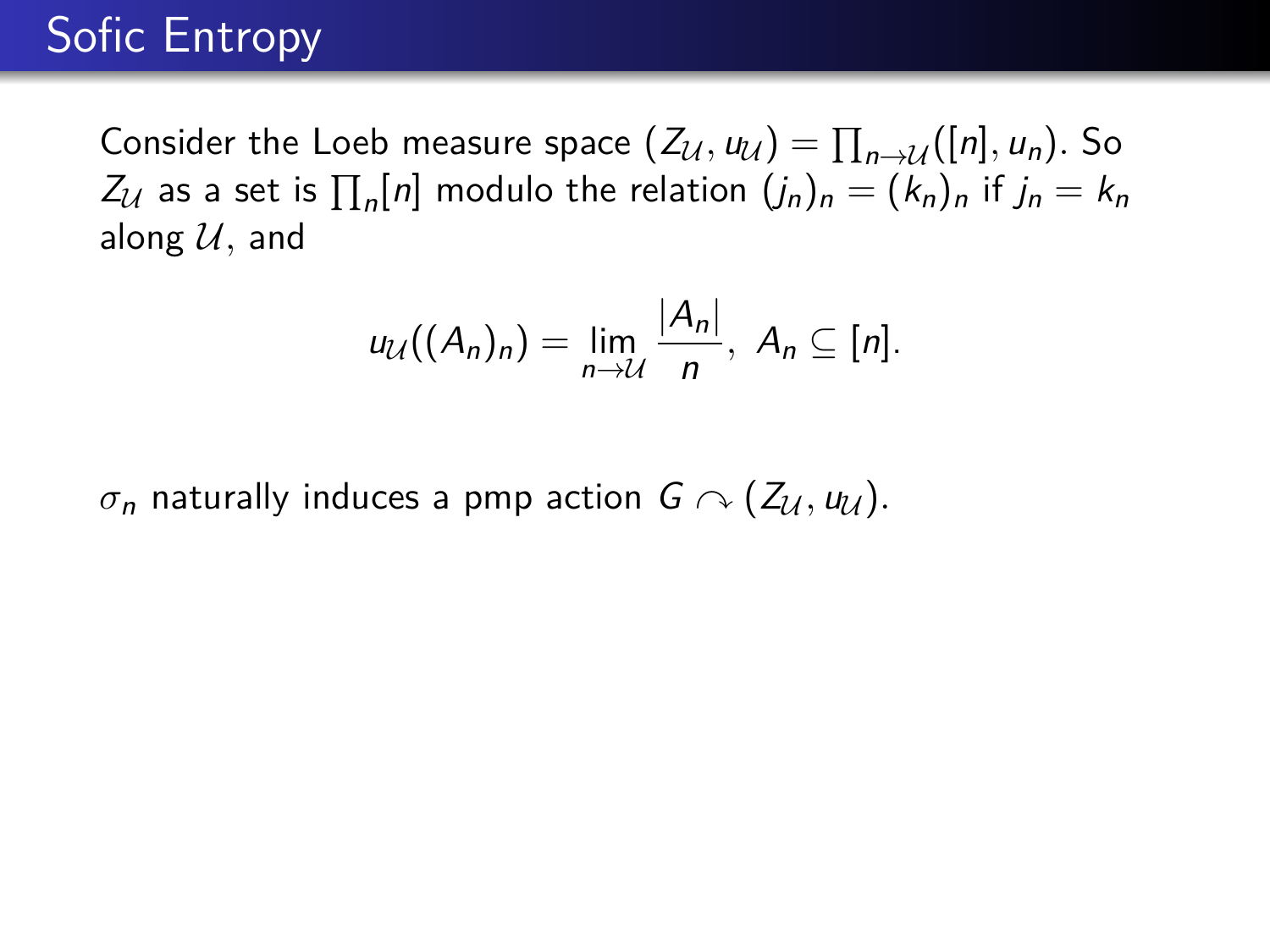Consider the Loeb measure space  $(Z_{\mathcal{U}}, u_{\mathcal{U}}) = \prod_{n \to \mathcal{U}} ([n], u_n)$ . So  $Z_{\mathcal{U}}$  as a set is  $\prod_n [n]$  modulo the relation  $(j_n)_n = (k_n)_n$  if  $j_n = k_n$ along  $U$ , and

$$
u_{\mathcal{U}}((A_n)_n)=\lim_{n\to\mathcal{U}}\frac{|A_n|}{n},\ A_n\subseteq[n].
$$

 $\sigma_n$  naturally induces a pmp action  $G \cap (Z_{\mathcal{U}}, u_{\mathcal{U}})$ .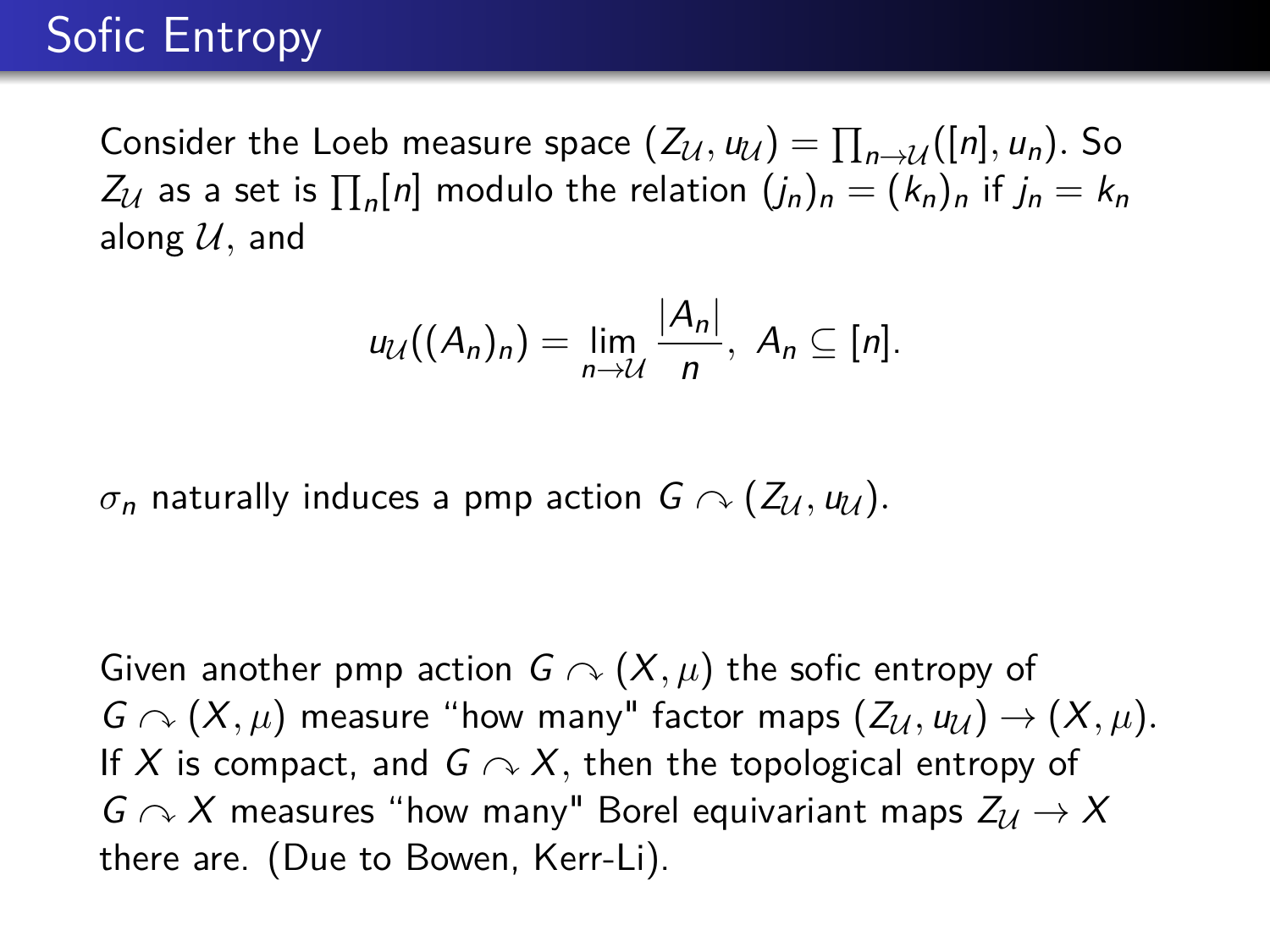Consider the Loeb measure space  $(Z_{\mathcal{U}}, u_{\mathcal{U}}) = \prod_{n \to \mathcal{U}} ([n], u_n)$ . So  $Z_{\mathcal{U}}$  as a set is  $\prod_n [n]$  modulo the relation  $(j_n)_n = (k_n)_n$  if  $j_n = k_n$ along  $U$ , and

$$
u_{\mathcal{U}}((A_n)_n)=\lim_{n\to\mathcal{U}}\frac{|A_n|}{n},\ A_n\subseteq[n].
$$

 $\sigma_n$  naturally induces a pmp action  $G \cap (Z_{\mathcal{U}}, u_{\mathcal{U}})$ .

Given another pmp action  $G \curvearrowright (X, \mu)$  the sofic entropy of  $G \curvearrowright (X, \mu)$  measure "how many" factor maps  $(Z_{\mathcal{U}}, u_{\mathcal{U}}) \rightarrow (X, \mu)$ . If X is compact, and  $G \curvearrowright X$ , then the topological entropy of  $G \curvearrowright X$  measures "how many" Borel equivariant maps  $Z_U \to X$ there are. (Due to Bowen, Kerr-Li).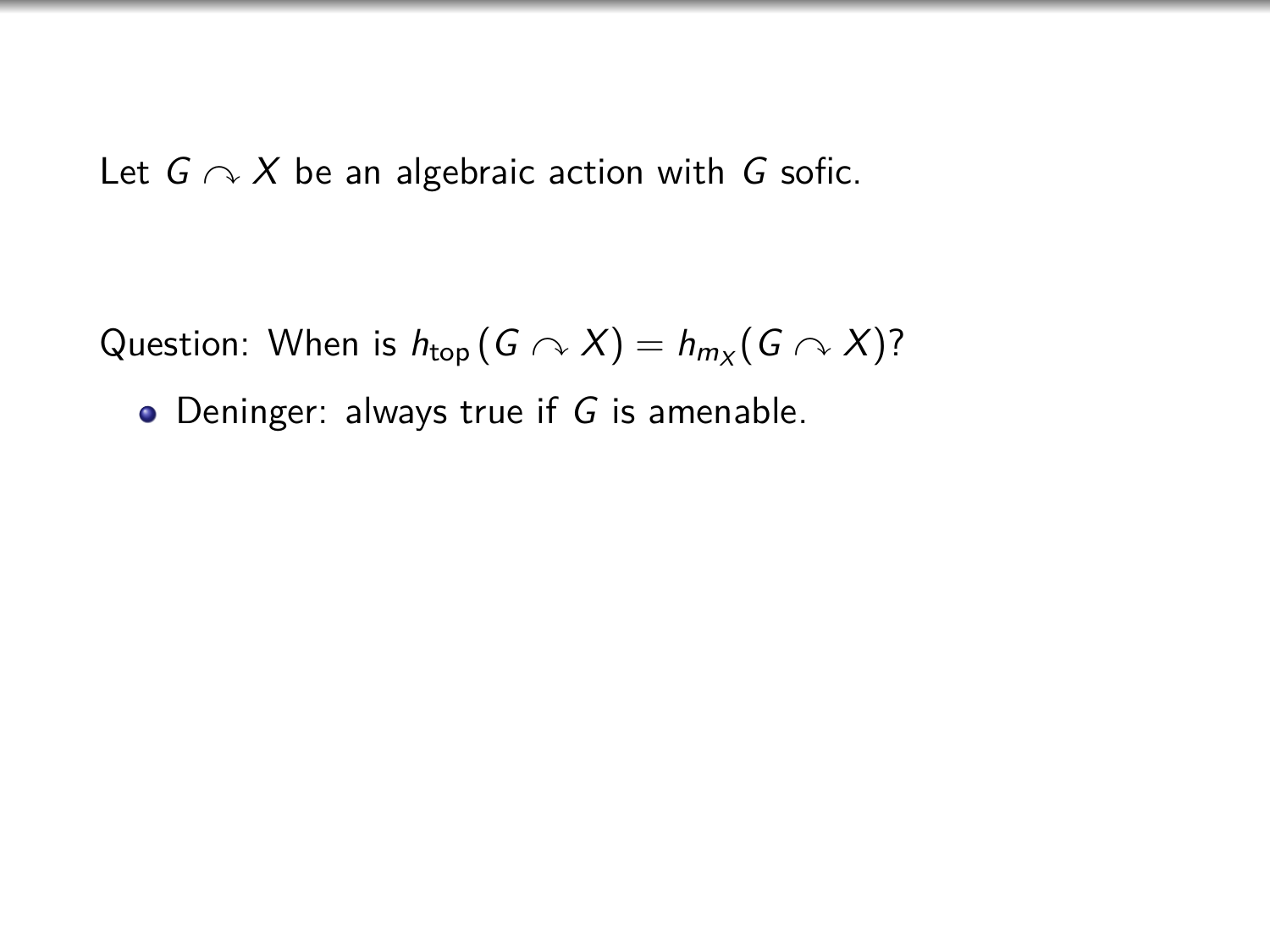Question: When is  $h_{\text{top}}(G \curvearrowright X) = h_{m_X}(G \curvearrowright X)$ ?

 $\bullet$  Deninger: always true if G is amenable.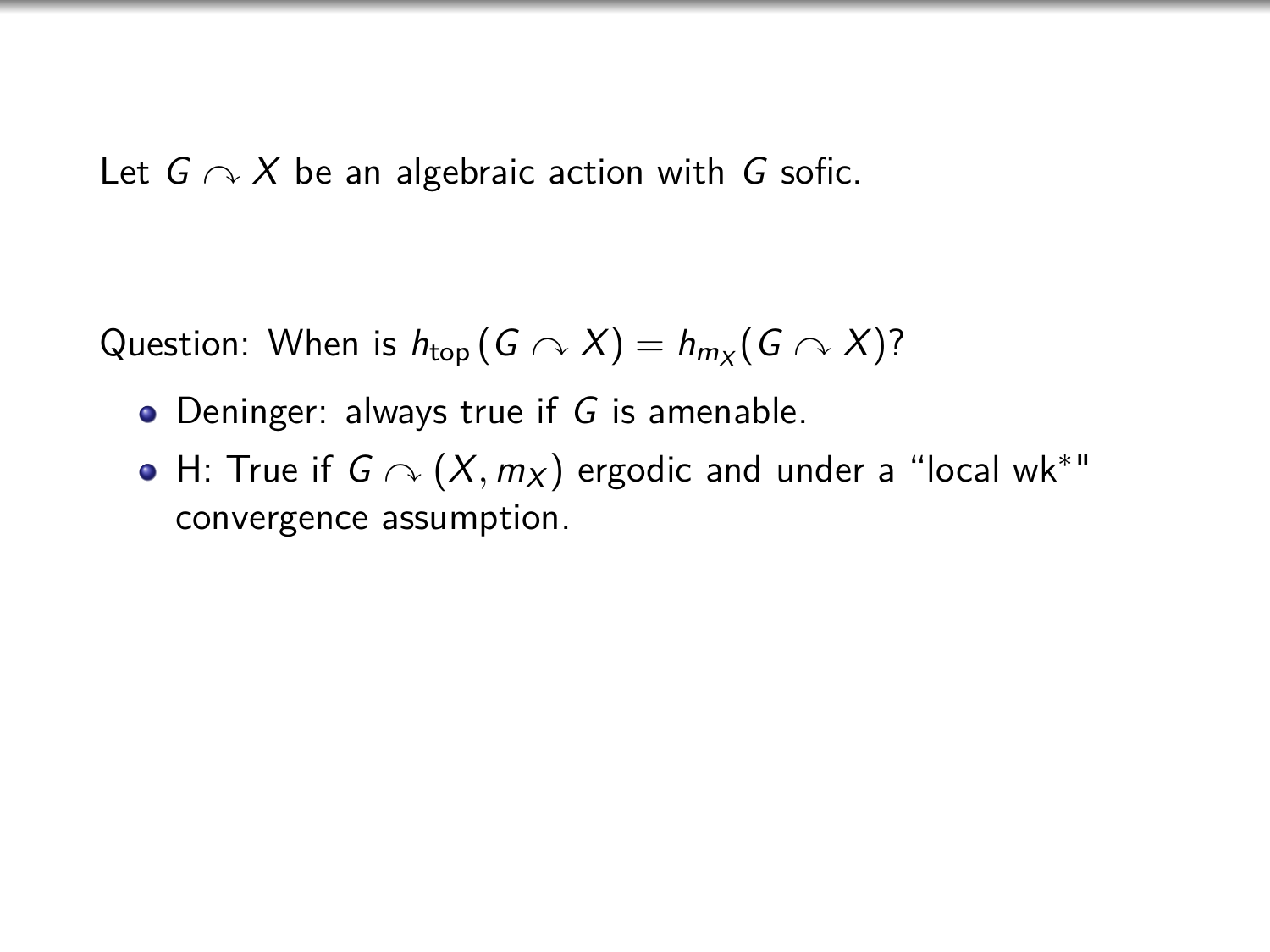Question: When is  $h_{\text{top}}(G \curvearrowright X) = h_{m_X}(G \curvearrowright X)$ ?

- Deninger: always true if G is amenable.
- H: True if  $G \curvearrowright (X, m_X)$  ergodic and under a "local wk $^*$ " convergence assumption.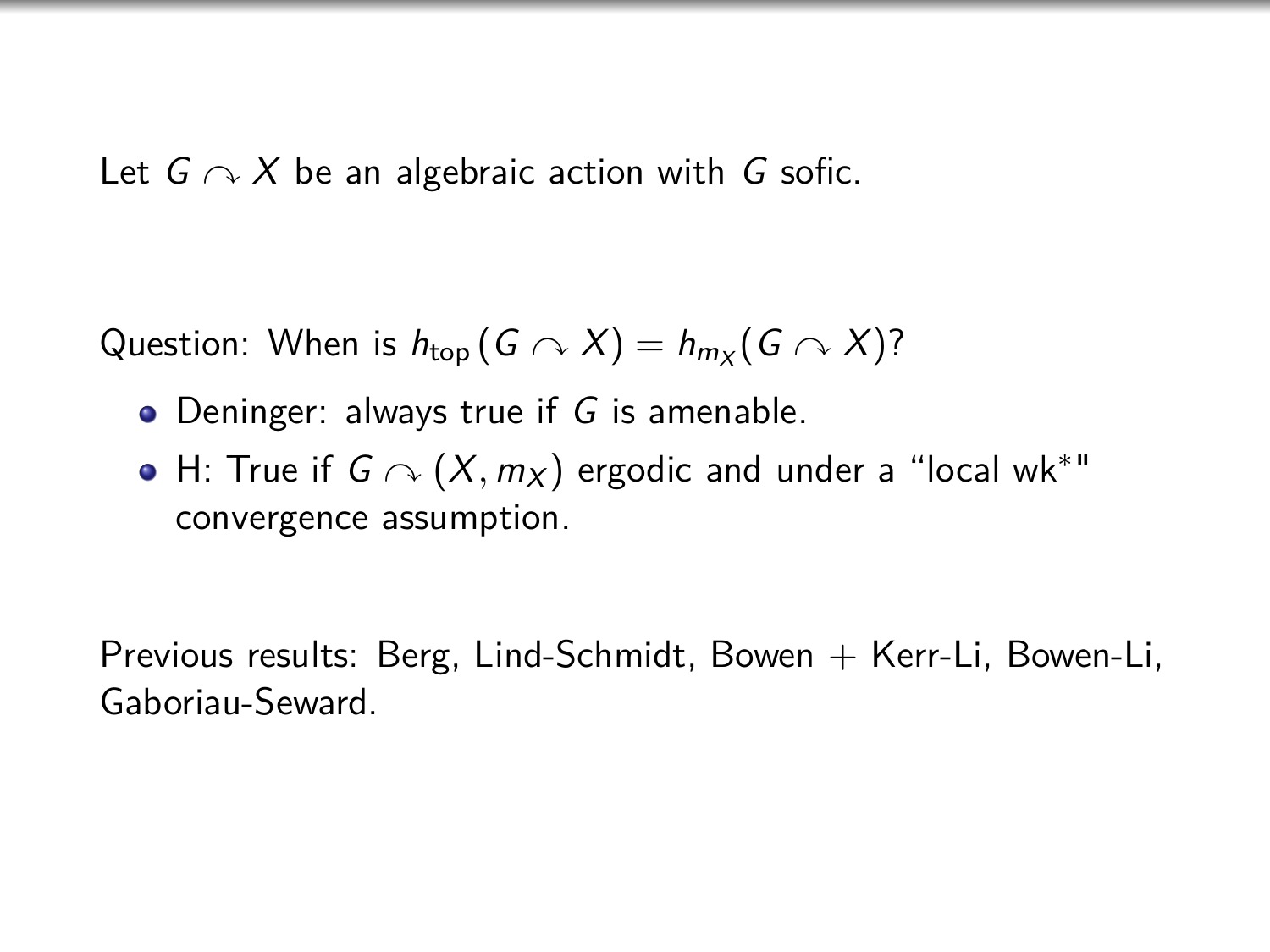Question: When is  $h_{\text{top}}(G \curvearrowright X) = h_{m_X}(G \curvearrowright X)$ ?

- $\bullet$  Deninger: always true if G is amenable.
- H: True if  $G \curvearrowright (X, m_X)$  ergodic and under a "local wk $^*$ " convergence assumption.

Previous results: Berg, Lind-Schmidt, Bowen  $+$  Kerr-Li, Bowen-Li, Gaboriau-Seward.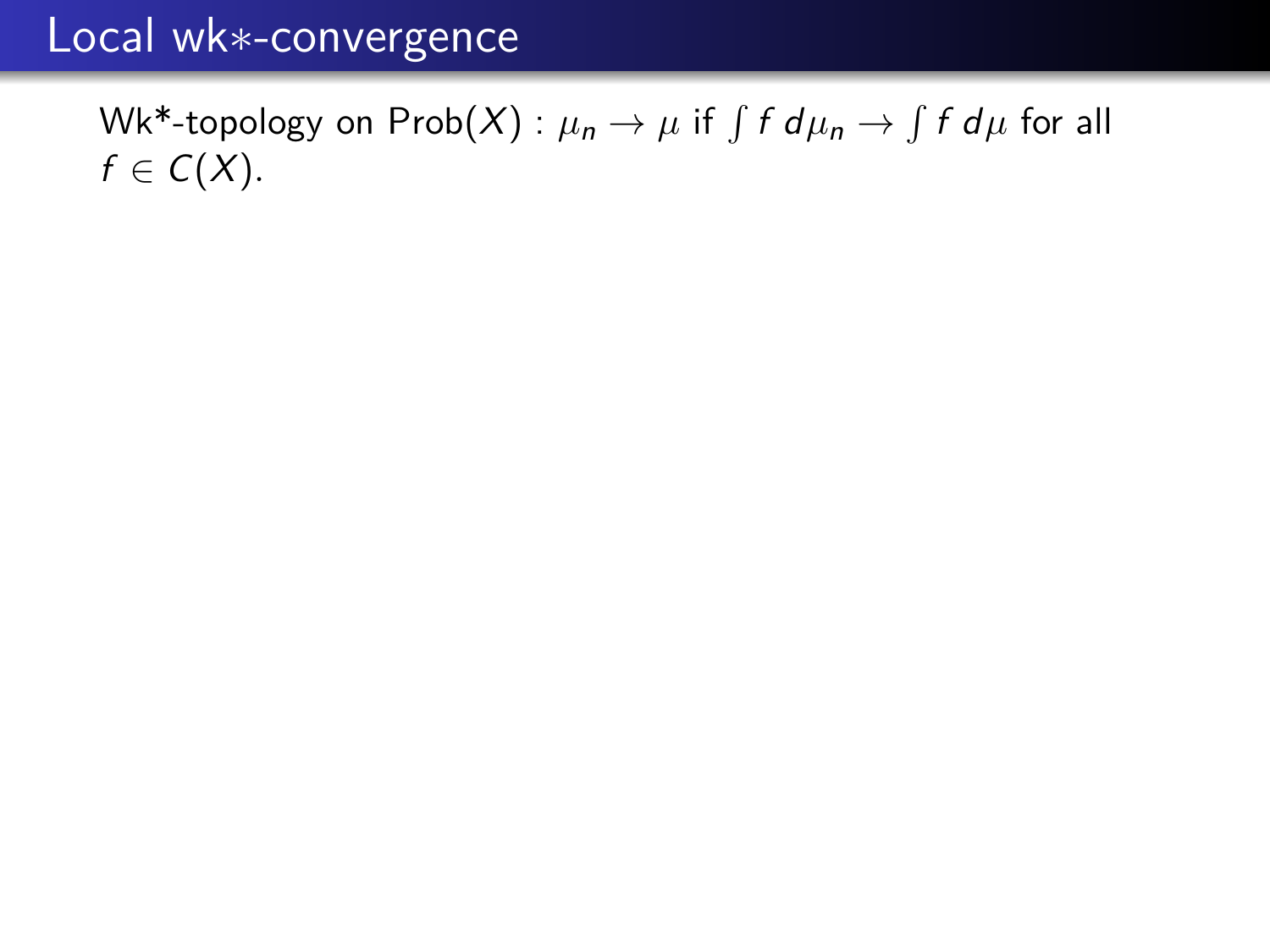### Local wk∗-convergence

 $\mathsf{Wk*}$ -topology on  $\mathsf{Prob}(X) : \mu_n \to \mu$  if  $\int f\ d\mu_n \to \int f\ d\mu$  for all  $f \in C(X)$ .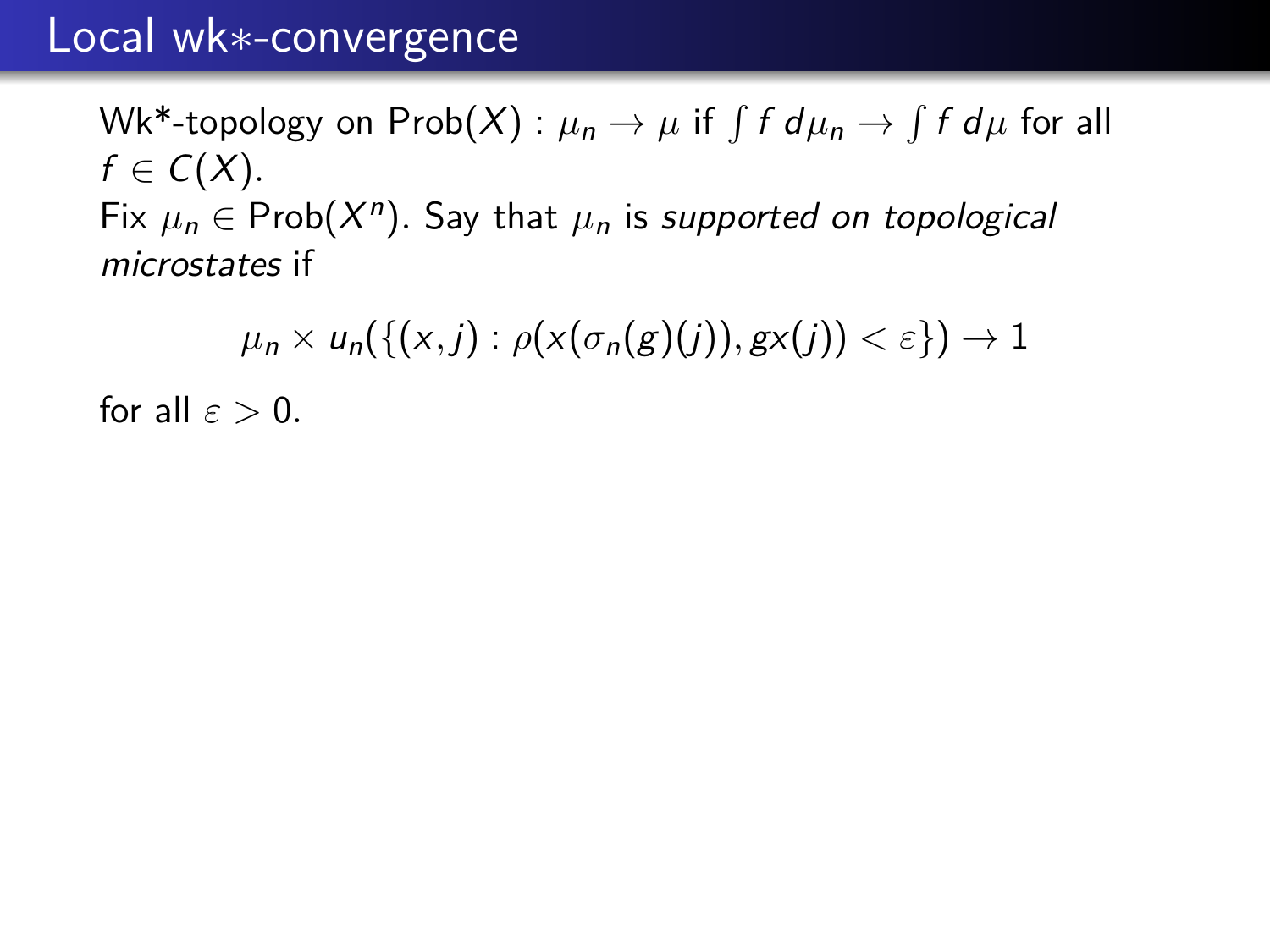### Local wk∗-convergence

 $\mathsf{Wk*}$ -topology on  $\mathsf{Prob}(X) : \mu_n \to \mu$  if  $\int f\ d\mu_n \to \int f\ d\mu$  for all  $f \in C(X)$ . Fix  $\mu_n \in \text{Prob}(X^n)$ . Say that  $\mu_n$  is supported on topological microstates if

 $\mu_n \times u_n(\{(x, j) : \rho(x(\sigma_n(g)(j)), gx(j)) < \varepsilon\}) \to 1$ 

for all  $\varepsilon > 0$ .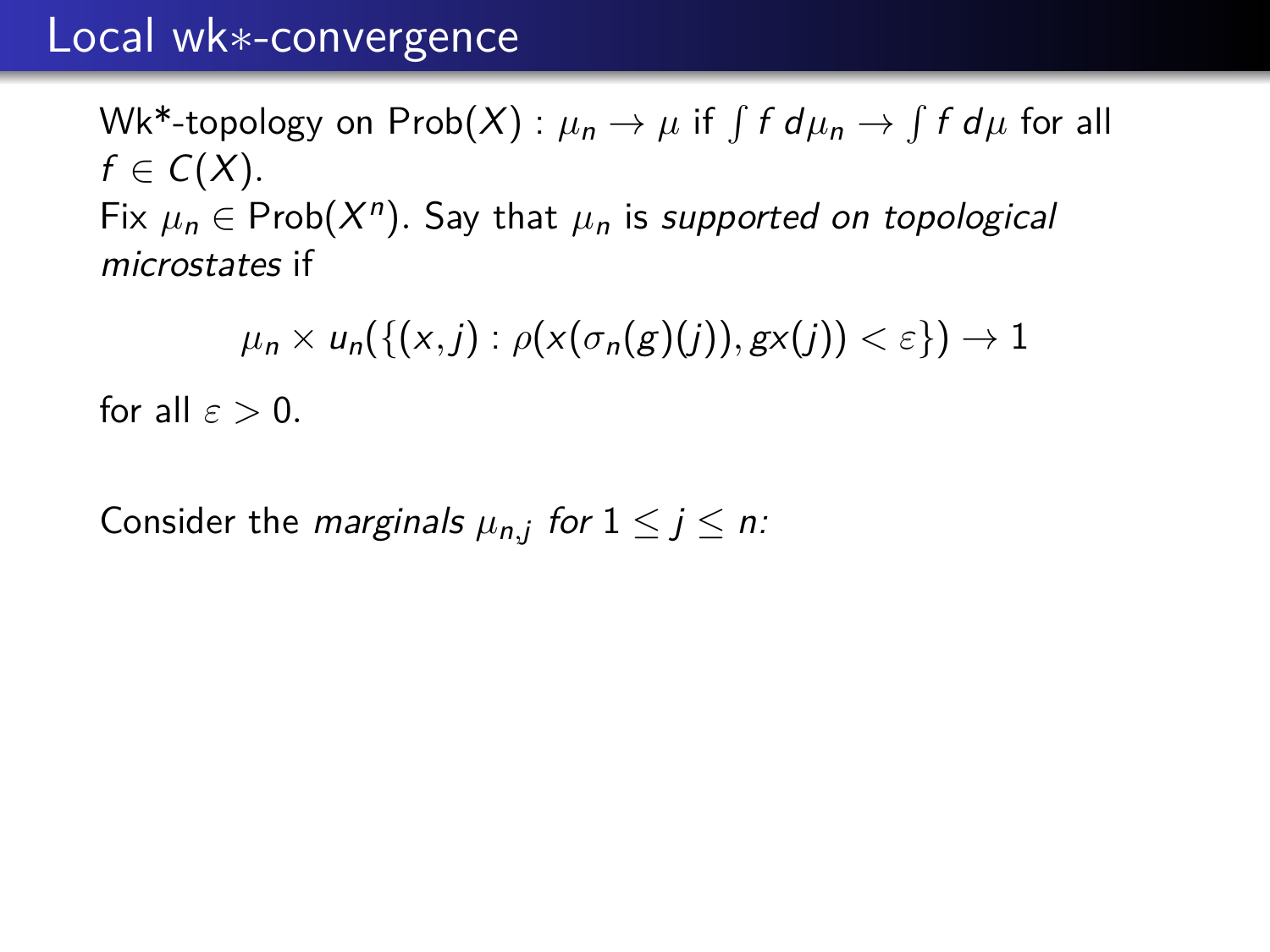### Local wk∗-convergence

 $\mathsf{Wk*}$ -topology on  $\mathsf{Prob}(X) : \mu_n \to \mu$  if  $\int f\ d\mu_n \to \int f\ d\mu$  for all  $f \in C(X)$ . Fix  $\mu_n \in \text{Prob}(X^n)$ . Say that  $\mu_n$  is supported on topological microstates if

 $\mu_n \times u_n(\{(x, j) : \rho(x(\sigma_n(g)(j)), gx(j)) < \varepsilon\}) \to 1$ for all  $\varepsilon > 0$ .

Consider the *marginals*  $\mu_{n,j}$  for  $1 \le j \le n$ :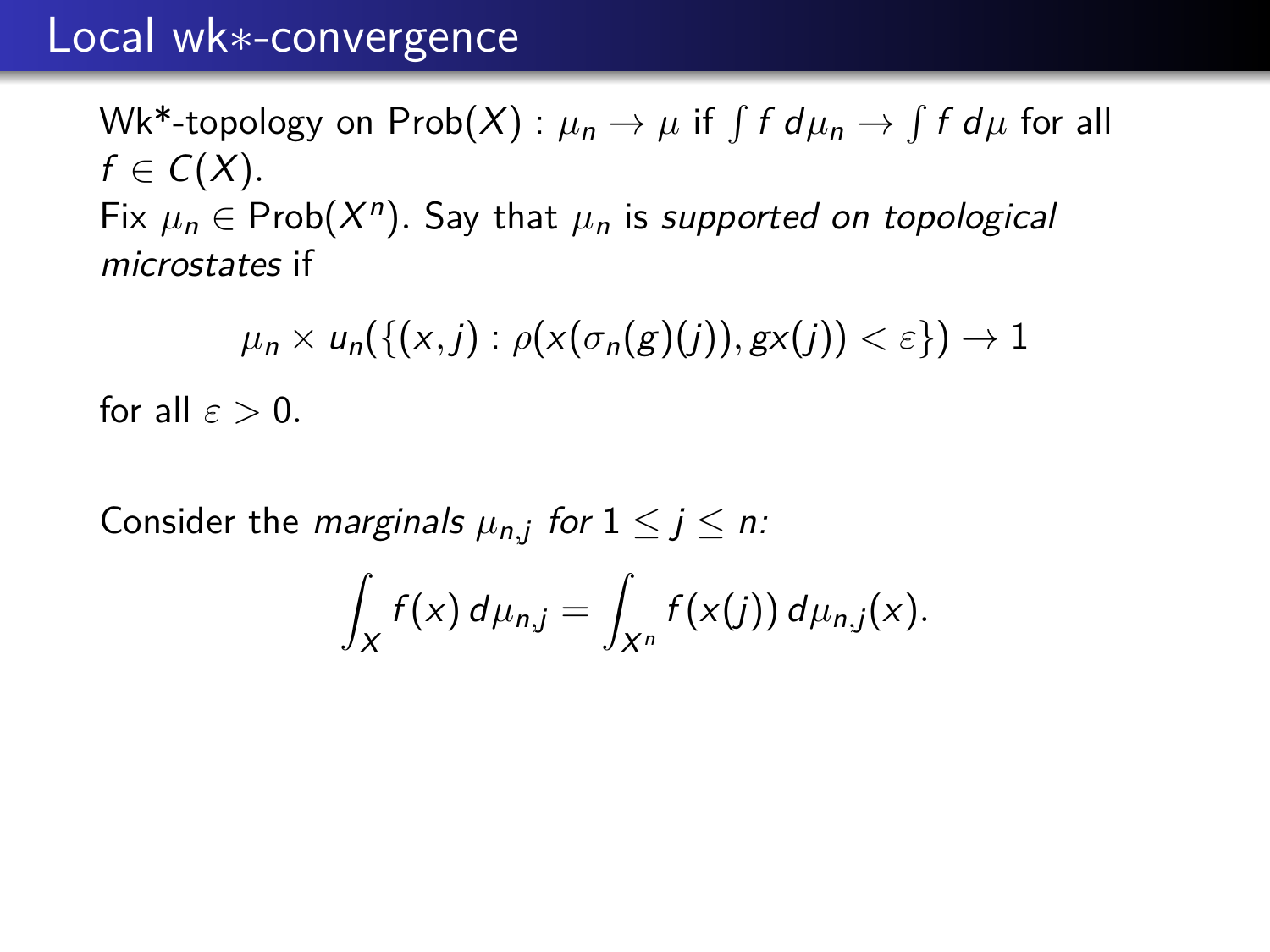$\mathsf{Wk*}$ -topology on  $\mathsf{Prob}(X) : \mu_n \to \mu$  if  $\int f\ d\mu_n \to \int f\ d\mu$  for all  $f \in C(X)$ . Fix  $\mu_n \in \text{Prob}(X^n)$ . Say that  $\mu_n$  is supported on topological microstates if

 $\mu_n \times u_n(\{(x, j) : \rho(x(\sigma_n(g)(j)), gx(j)) < \varepsilon\}) \to 1$ for all  $\varepsilon > 0$ .

Consider the *marginals*  $\mu_{n,j}$  for  $1 \le j \le n$ :

$$
\int_X f(x) d\mu_{n,j} = \int_{X^n} f(x(j)) d\mu_{n,j}(x).
$$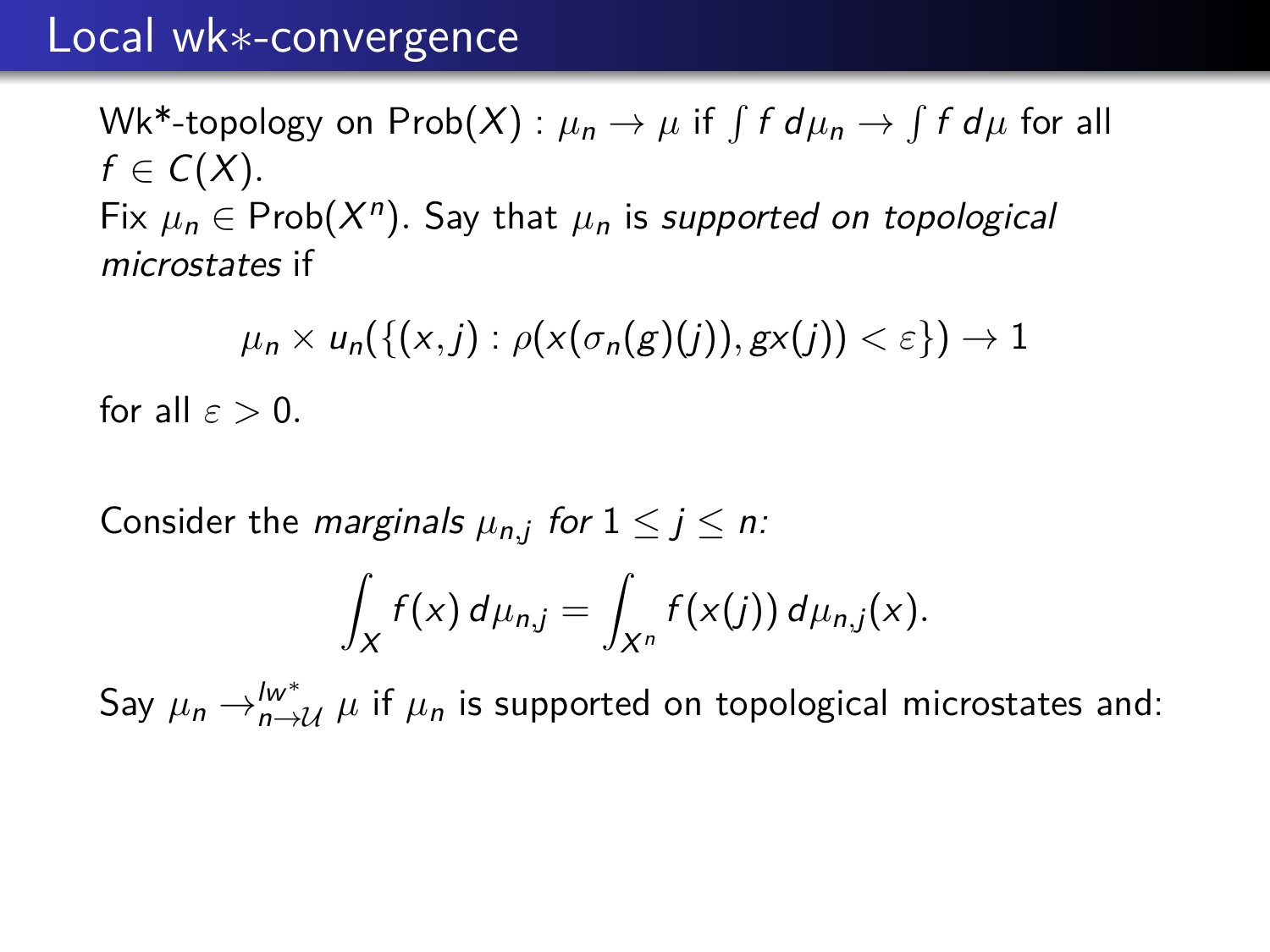$\mathsf{Wk*}$ -topology on  $\mathsf{Prob}(X) : \mu_n \to \mu$  if  $\int f\ d\mu_n \to \int f\ d\mu$  for all  $f \in C(X)$ . Fix  $\mu_n \in \text{Prob}(X^n)$ . Say that  $\mu_n$  is supported on topological microstates if

 $\mu_n \times u_n(\{(x, j) : \rho(x(\sigma_n(g)(j)), gx(j)) < \varepsilon\}) \to 1$ for all  $\varepsilon > 0$ .

Consider the *marginals*  $\mu_{n,j}$  for  $1 \le j \le n$ :

$$
\int_X f(x) d\mu_{n,j} = \int_{X^n} f(x(j)) d\mu_{n,j}(x).
$$

Say  $\mu_n \rightarrow_{n \rightarrow \mathcal{U}}^{\mathcal{W}^*} \mu$  if  $\mu_n$  is supported on topological microstates and: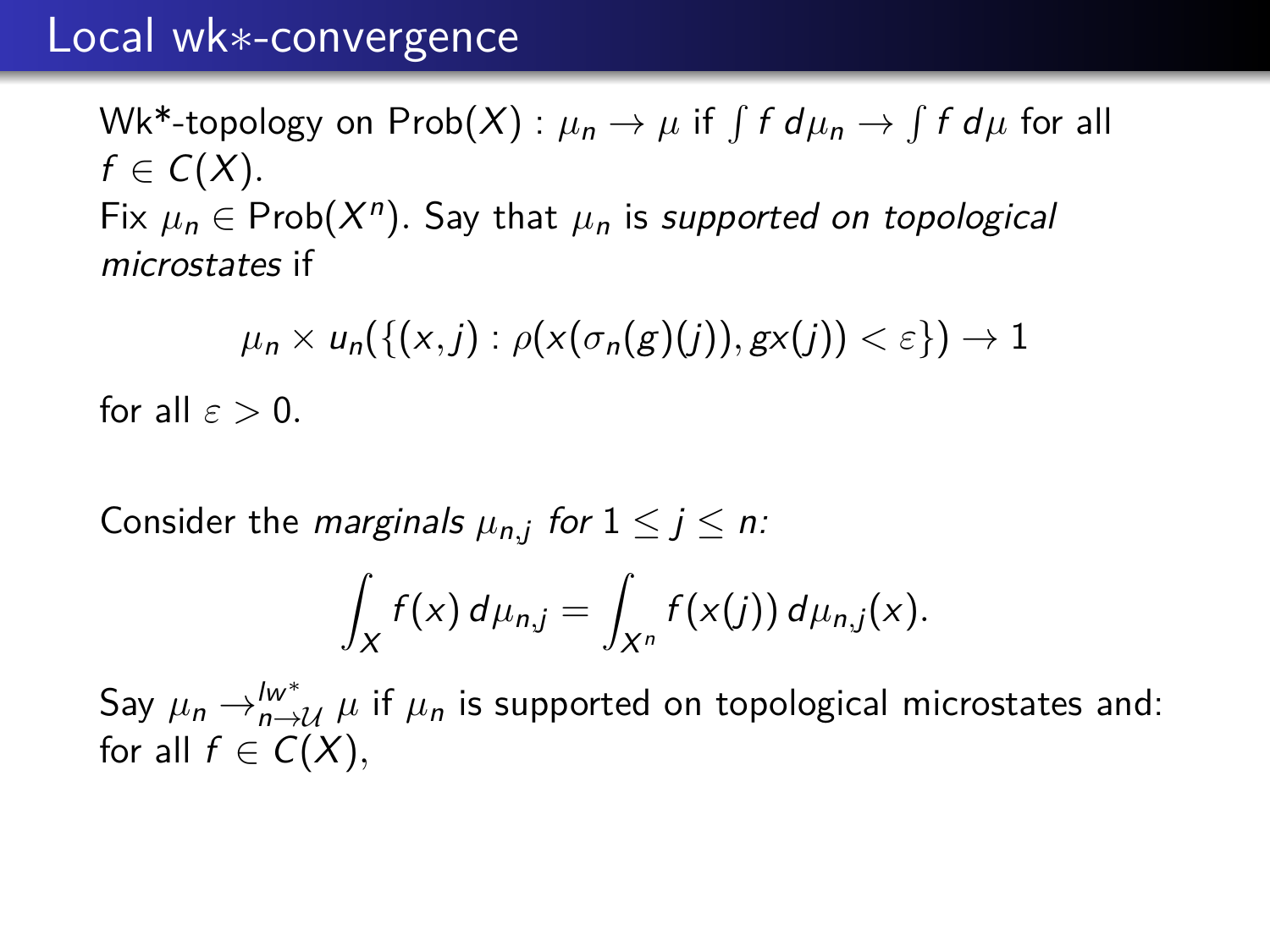$\mathsf{Wk*}$ -topology on  $\mathsf{Prob}(X) : \mu_n \to \mu$  if  $\int f\ d\mu_n \to \int f\ d\mu$  for all  $f \in C(X)$ . Fix  $\mu_n \in \text{Prob}(X^n)$ . Say that  $\mu_n$  is supported on topological microstates if

 $\mu_n \times u_n(\{(x, j) : \rho(x(\sigma_n(g)(j)), gx(j)) < \varepsilon\}) \to 1$ for all  $\varepsilon > 0$ .

Consider the *marginals*  $\mu_{n,j}$  for  $1 \le j \le n$ :

$$
\int_X f(x) d\mu_{n,j} = \int_{X^n} f(x(j)) d\mu_{n,j}(x).
$$

Say  $\mu_n \rightarrow_{n \rightarrow \mathcal{U}}^{\mathcal{W}^*} \mu$  if  $\mu_n$  is supported on topological microstates and: for all  $f \in C(X)$ ,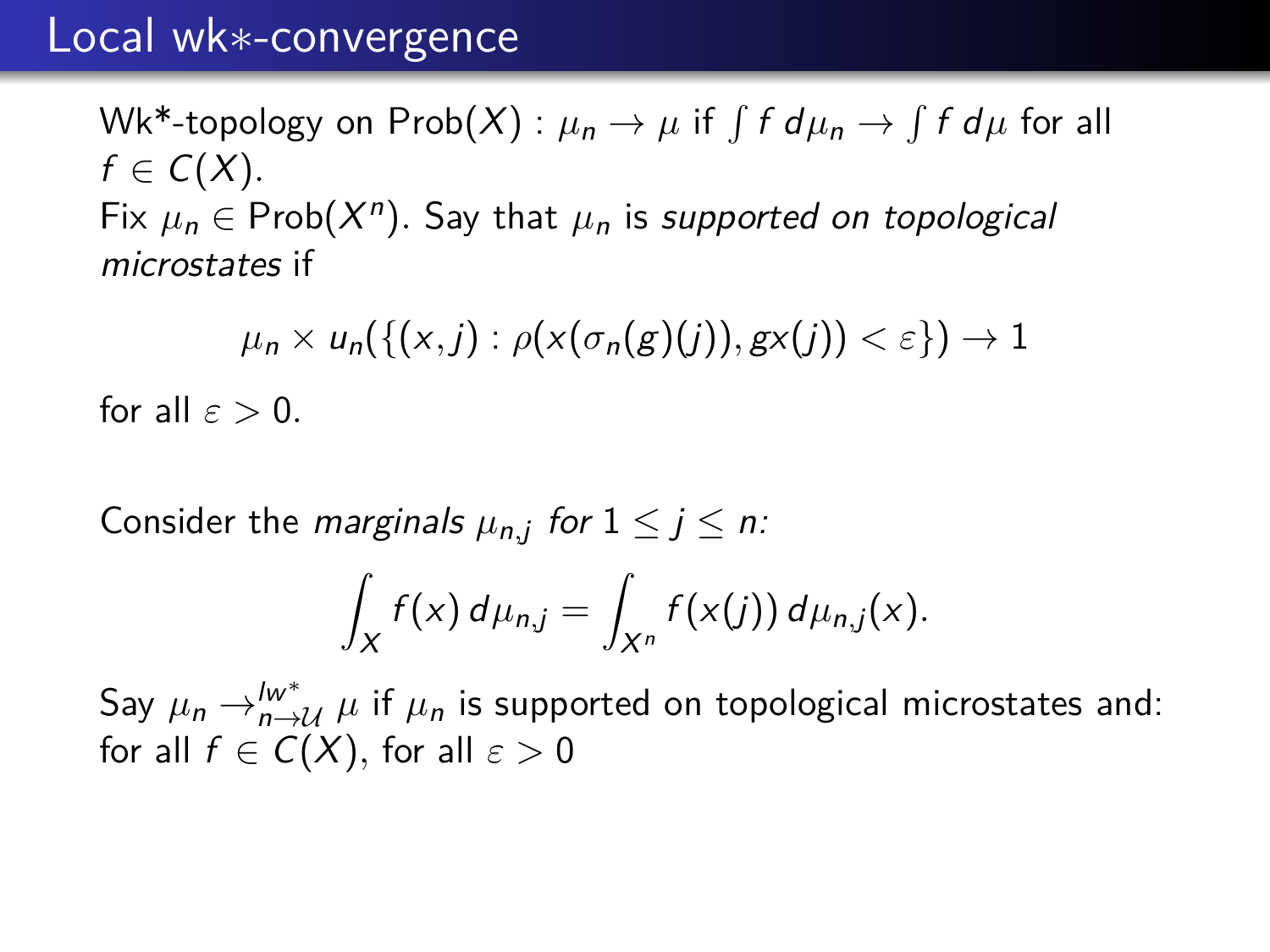$\mathsf{Wk*}$ -topology on  $\mathsf{Prob}(X) : \mu_n \to \mu$  if  $\int f\ d\mu_n \to \int f\ d\mu$  for all  $f \in C(X)$ . Fix  $\mu_n \in \text{Prob}(X^n)$ . Say that  $\mu_n$  is supported on topological microstates if

 $\mu_n \times u_n(\{(x, j) : \rho(x(\sigma_n(g)(j)), gx(j)) < \varepsilon\}) \to 1$ for all  $\varepsilon > 0$ .

Consider the *marginals*  $\mu_{n,j}$  for  $1 \le j \le n$ :

$$
\int_X f(x) d\mu_{n,j} = \int_{X^n} f(x(j)) d\mu_{n,j}(x).
$$

Say  $\mu_n \rightarrow_{n \rightarrow \mathcal{U}}^{\mathcal{W}^*} \mu$  if  $\mu_n$  is supported on topological microstates and: for all  $f \in C(X)$ , for all  $\varepsilon > 0$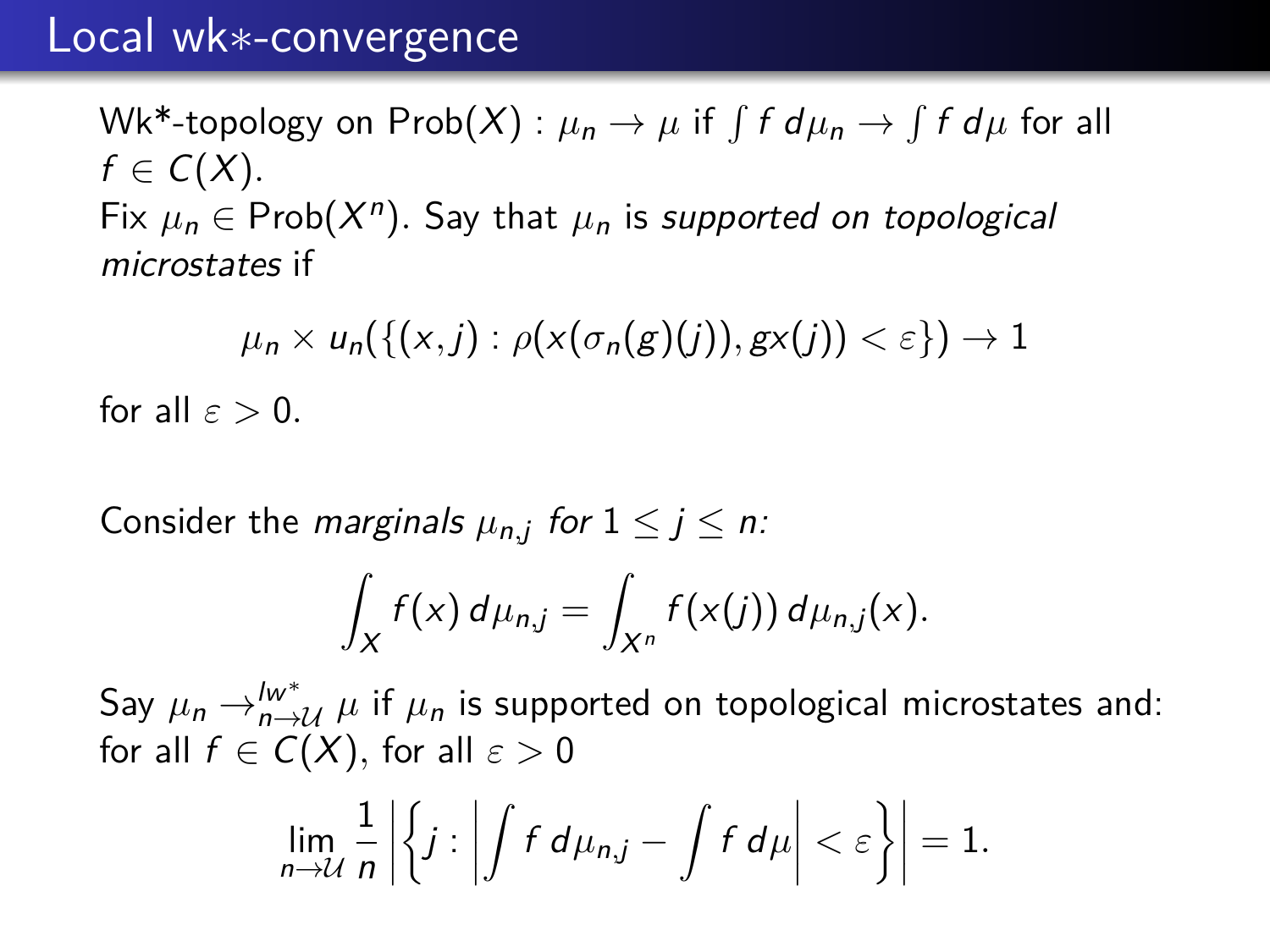$\mathsf{Wk*}$ -topology on  $\mathsf{Prob}(X) : \mu_n \to \mu$  if  $\int f\ d\mu_n \to \int f\ d\mu$  for all  $f \in C(X)$ . Fix  $\mu_n \in \text{Prob}(X^n)$ . Say that  $\mu_n$  is supported on topological microstates if

 $\mu_n \times u_n(\{(x, j) : \rho(x(\sigma_n(g)(j)), gx(j)) < \varepsilon\}) \to 1$ for all  $\varepsilon > 0$ .

Consider the *marginals*  $\mu_{n,j}$  for  $1 \le j \le n$ :

$$
\int_X f(x) d\mu_{n,j} = \int_{X^n} f(x(j)) d\mu_{n,j}(x).
$$

Say  $\mu_n \rightarrow_{n \rightarrow \mathcal{U}}^{\mathcal{W}^*} \mu$  if  $\mu_n$  is supported on topological microstates and: for all  $f \in C(X)$ , for all  $\varepsilon > 0$ 

$$
\lim_{n\to\mathcal U}\frac{1}{n}\bigg|\bigg\{j:\bigg|\int f\ d\mu_{n,j}-\int f\ d\mu\bigg|<\varepsilon\bigg\}\bigg|=1.
$$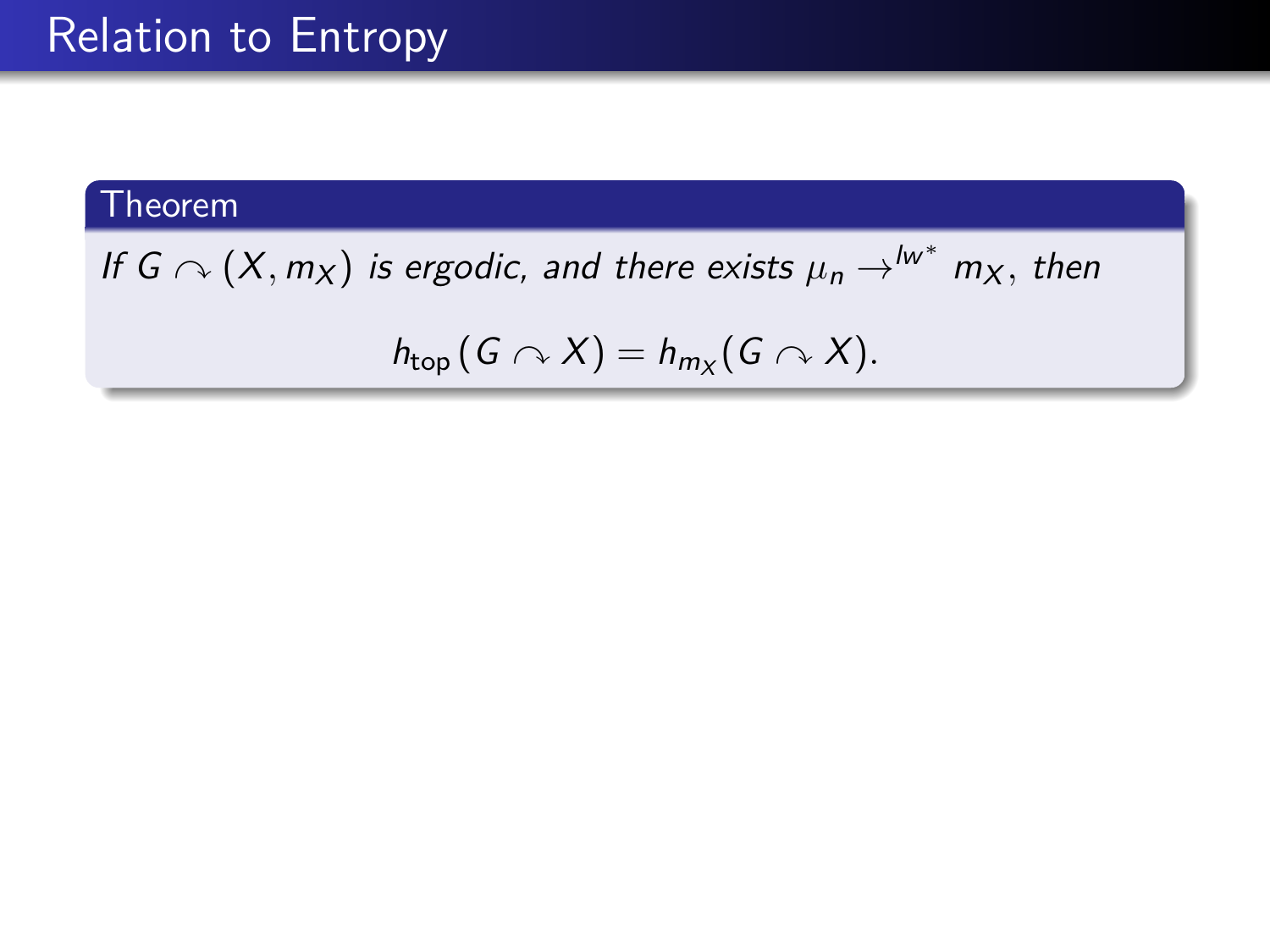# Relation to Entropy

## Theorem

If  $G \curvearrowright (X, m_X)$  is ergodic, and there exists  $\mu_n \rightarrow^{lw^*} m_X,$  then

$$
h_{top}(G \curvearrowright X) = h_{m_X}(G \curvearrowright X).
$$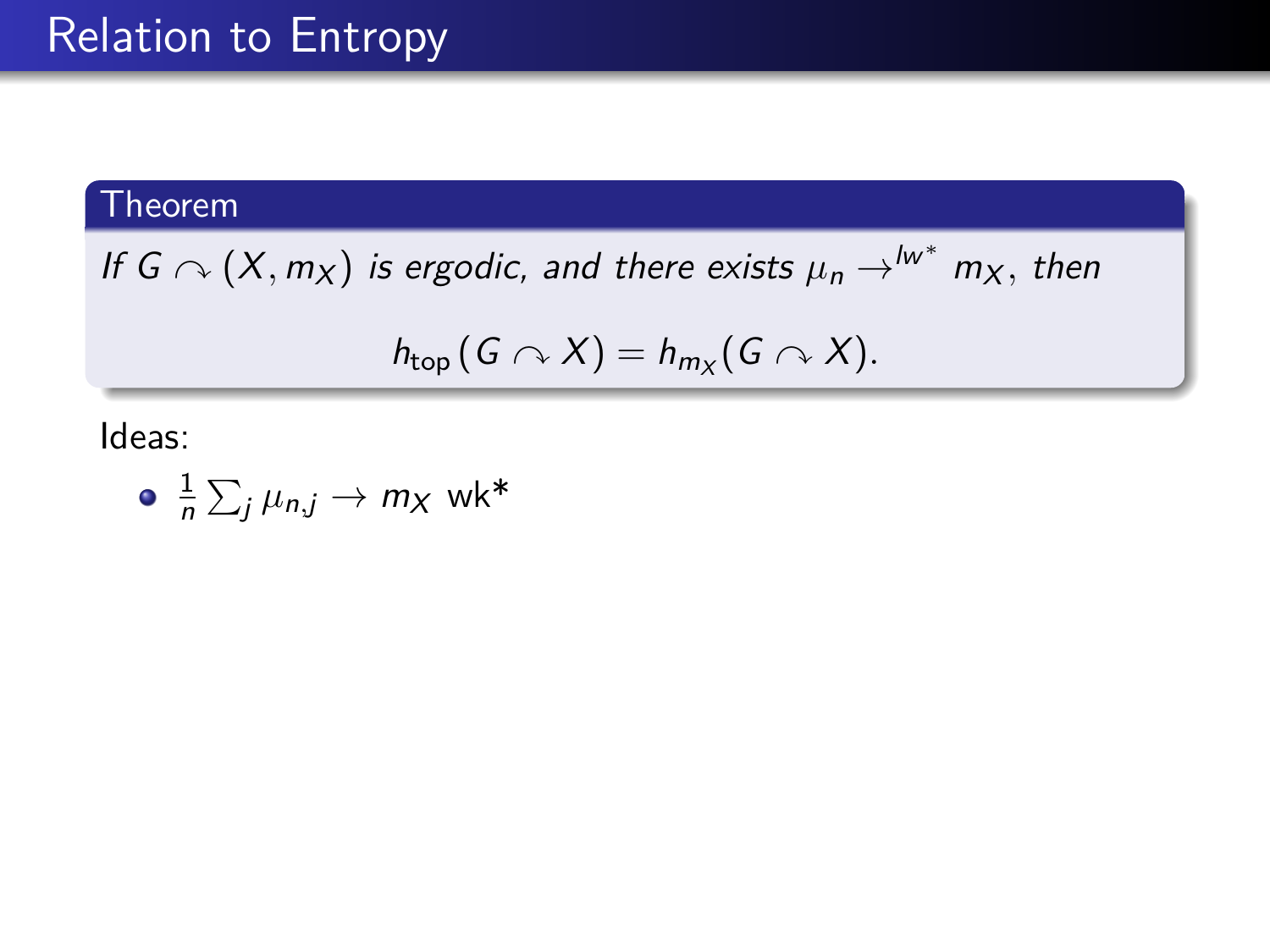If  $G \curvearrowright (X, m_X)$  is ergodic, and there exists  $\mu_n \rightarrow^{lw^*} m_X,$  then

$$
h_{top}(G \curvearrowright X) = h_{m_X}(G \curvearrowright X).
$$

Ideas:

$$
\bullet \ \ \frac{1}{n} \sum_j \mu_{n,j} \to m_X \ \text{wk*}
$$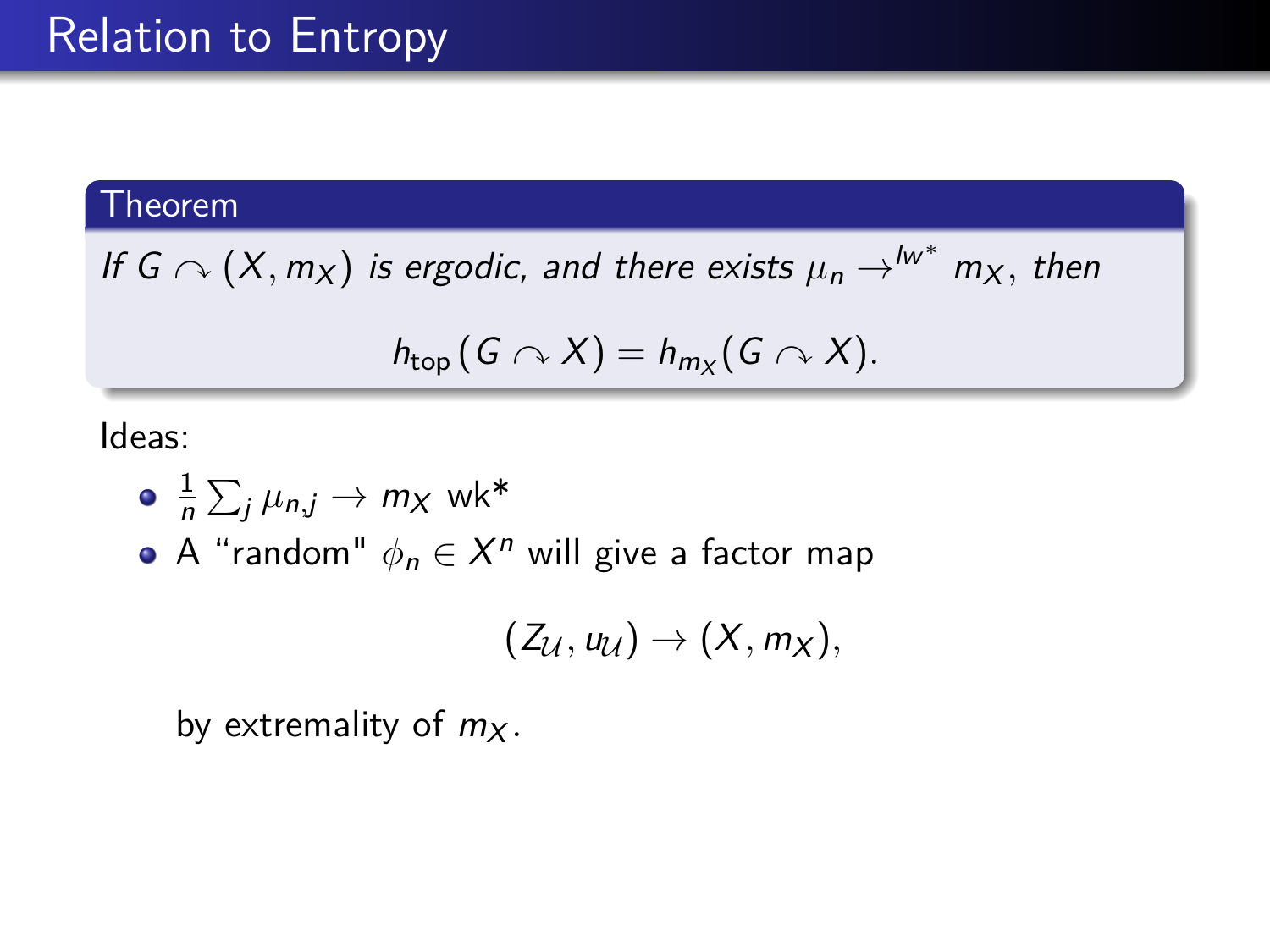If  $G \curvearrowright (X, m_X)$  is ergodic, and there exists  $\mu_n \rightarrow^{lw^*} m_X,$  then

$$
h_{top}(G \curvearrowright X) = h_{m_X}(G \curvearrowright X).
$$

Ideas:

$$
\bullet \ \ \frac{1}{n} \sum_j \mu_{n,j} \to m_X \ \text{wk*}
$$

A "random"  $\phi_n \in X^n$  will give a factor map

$$
(Z_{\mathcal{U}},u_{\mathcal{U}})\rightarrow (X,m_X),
$$

by extremality of  $m<sub>X</sub>$ .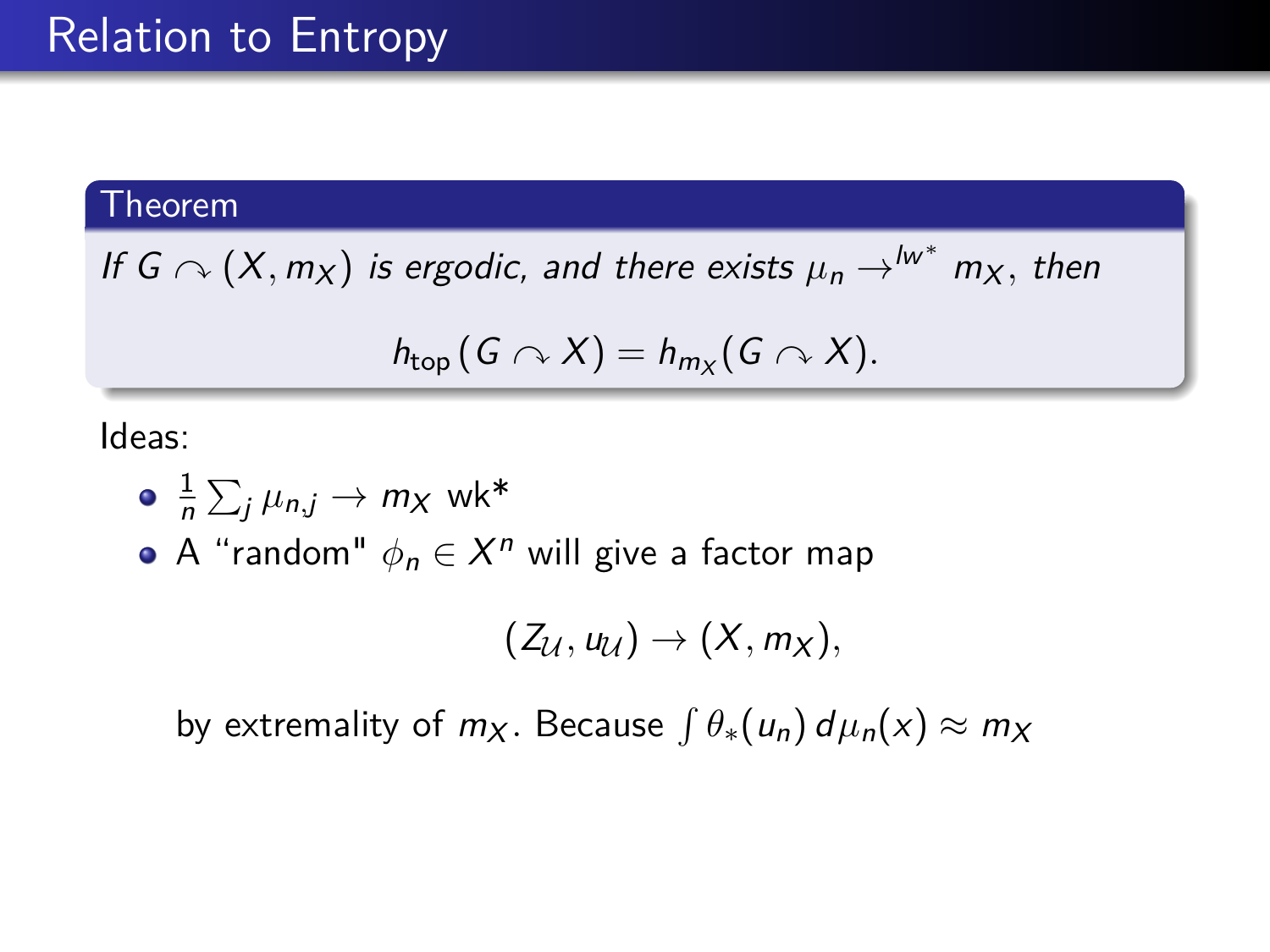If  $G \curvearrowright (X, m_X)$  is ergodic, and there exists  $\mu_n \rightarrow^{lw^*} m_X,$  then

$$
h_{top}(G \curvearrowright X) = h_{m_X}(G \curvearrowright X).
$$

Ideas:

$$
\bullet \ \ \frac{1}{n} \sum_j \mu_{n,j} \to m_X \ \text{wk*}
$$

A "random"  $\phi_n \in X^n$  will give a factor map

$$
(Z_{\mathcal{U}},u_{\mathcal{U}})\rightarrow (X,m_X),
$$

by extremality of  $m_X$ . Because  $\int \theta_*(u_n) d\mu_n(x) \approx m_X$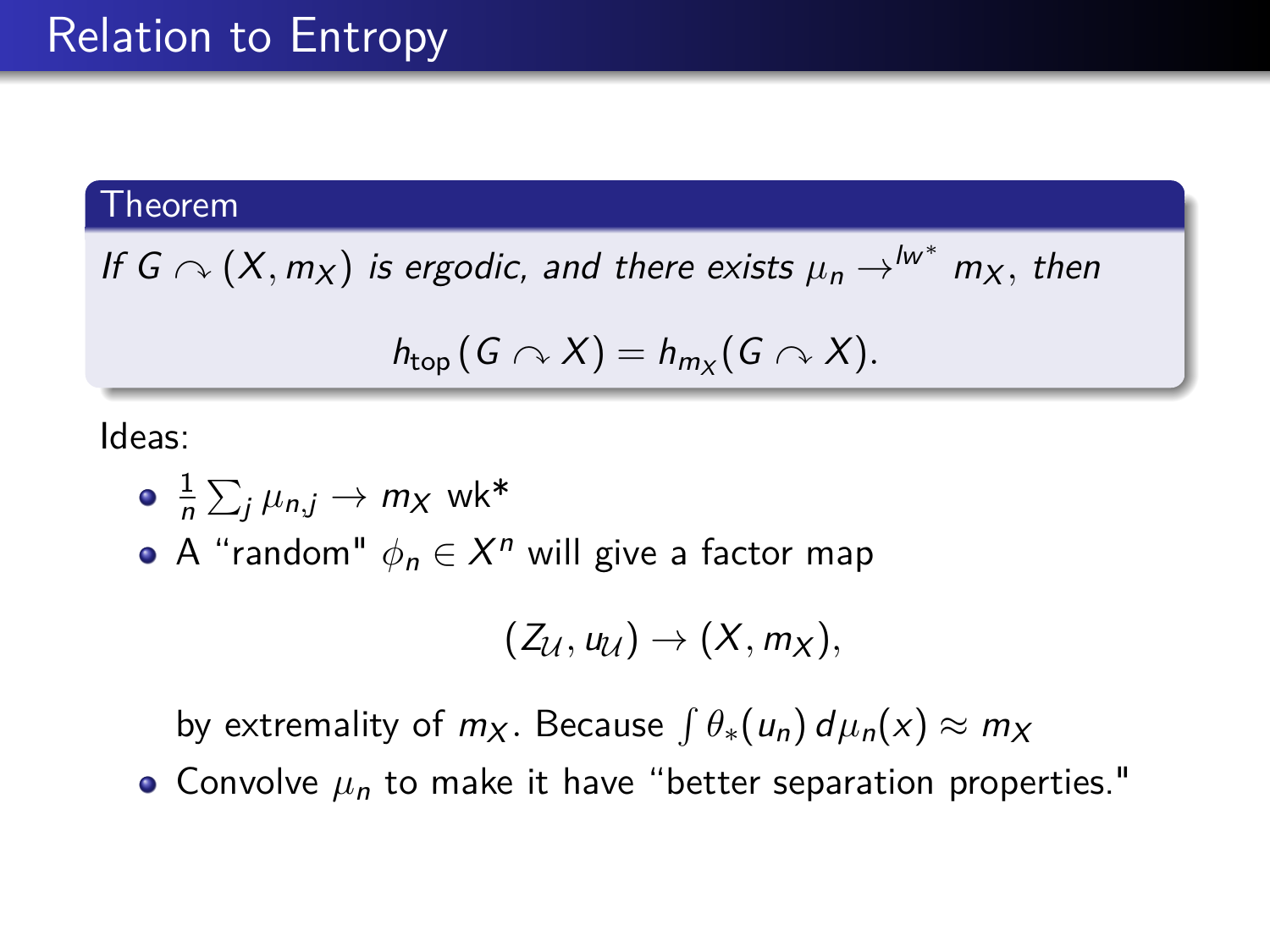If  $G \curvearrowright (X, m_X)$  is ergodic, and there exists  $\mu_n \rightarrow^{lw^*} m_X,$  then

$$
h_{top}(G \curvearrowright X) = h_{m_X}(G \curvearrowright X).
$$

Ideas:

$$
\bullet \ \ \frac{1}{n} \sum_j \mu_{n,j} \to m_X \ \text{wk*}
$$

A "random"  $\phi_n \in X^n$  will give a factor map

$$
(Z_{\mathcal{U}},u_{\mathcal{U}})\rightarrow (X,m_X),
$$

by extremality of  $m_X$ . Because  $\int \theta_*(u_n) d\mu_n(x) \approx m_X$ 

 $\bullet$  Convolve  $\mu_n$  to make it have "better separation properties."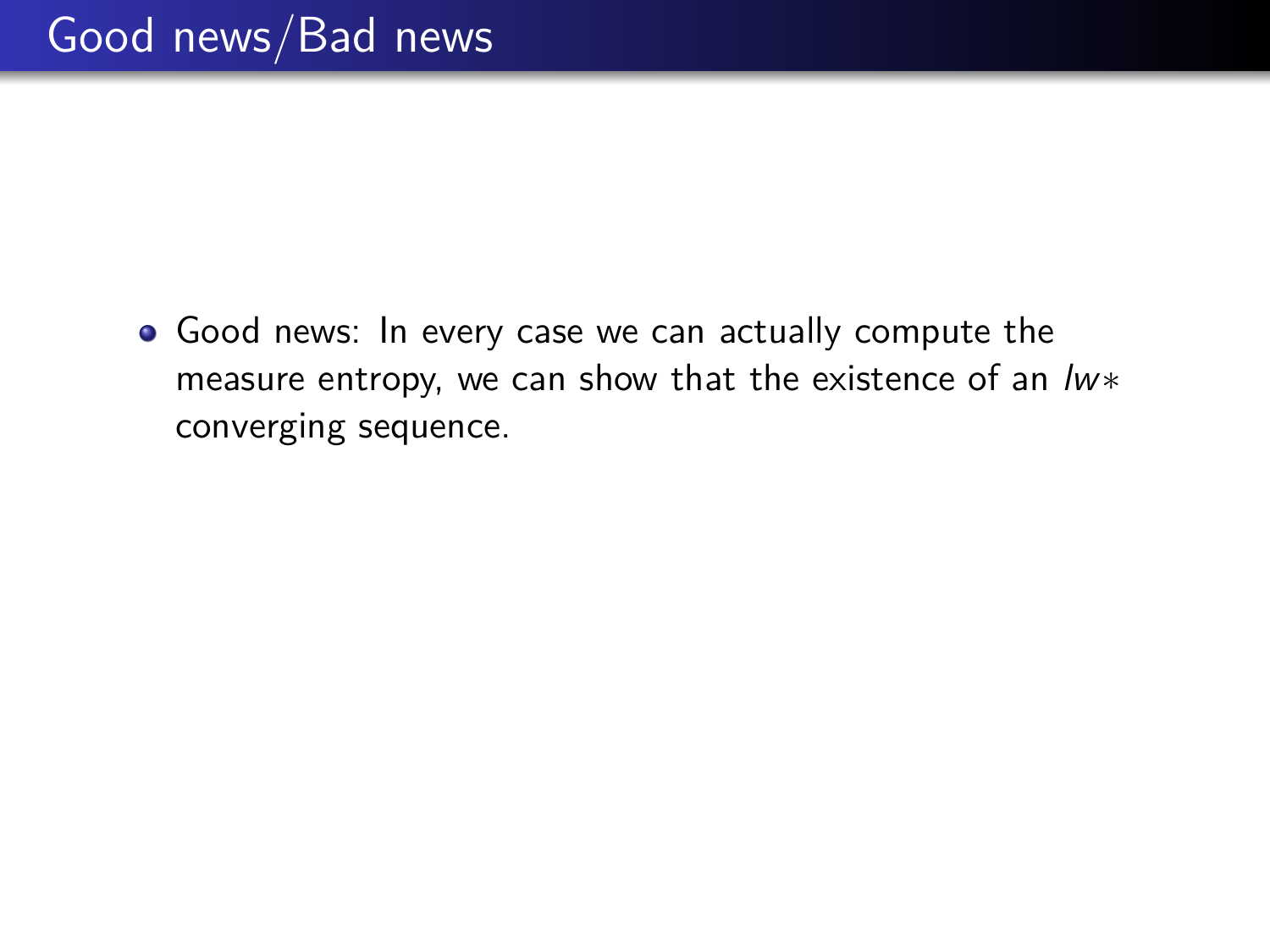Good news: In every case we can actually compute the measure entropy, we can show that the existence of an lw\* converging sequence.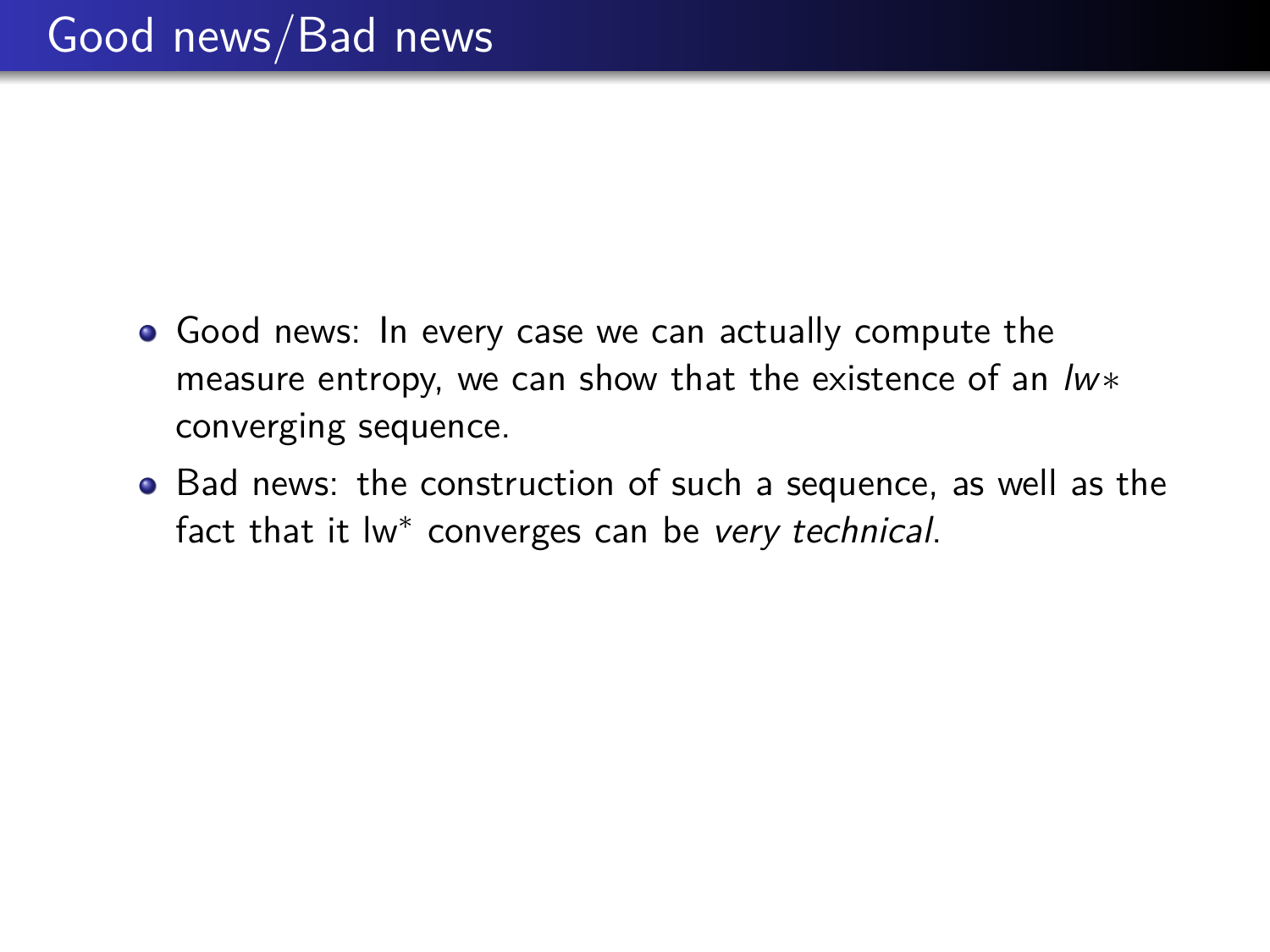- Good news: In every case we can actually compute the measure entropy, we can show that the existence of an lw∗ converging sequence.
- Bad news: the construction of such a sequence, as well as the fact that it lw<sup>\*</sup> converges can be very technical.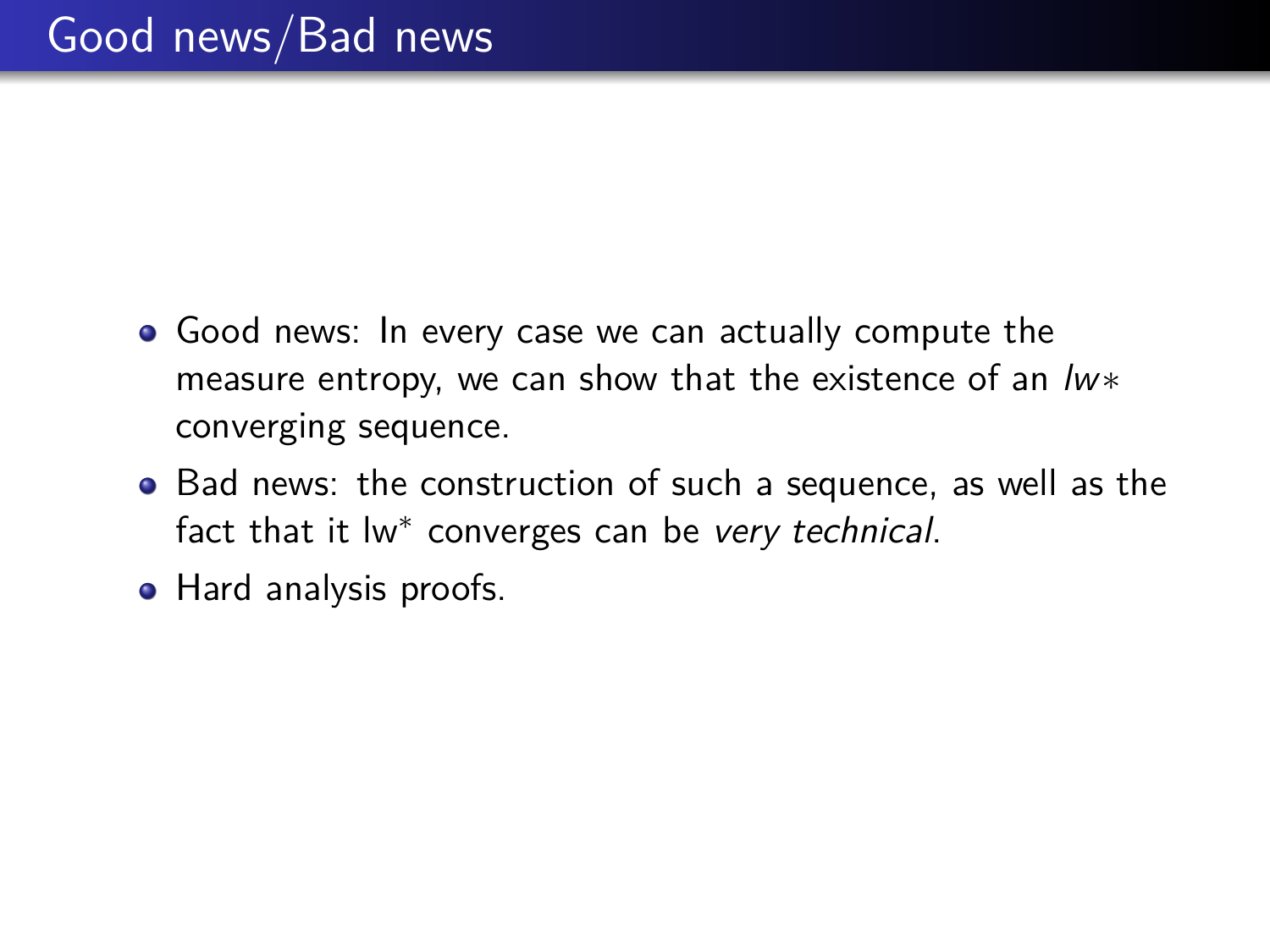- Good news: In every case we can actually compute the measure entropy, we can show that the existence of an lw∗ converging sequence.
- Bad news: the construction of such a sequence, as well as the fact that it lw<sup>\*</sup> converges can be very technical.
- Hard analysis proofs.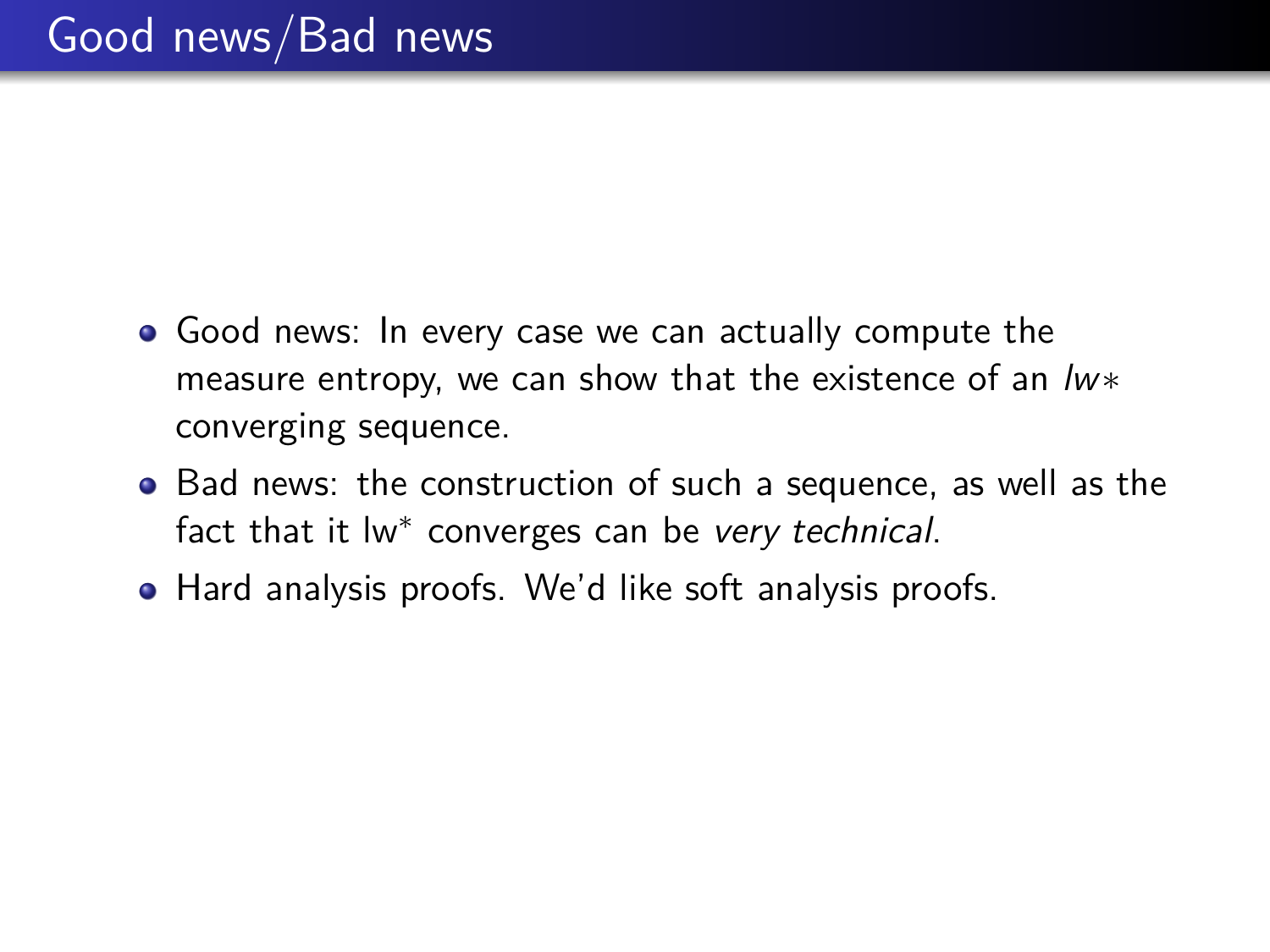- Good news: In every case we can actually compute the measure entropy, we can show that the existence of an lw∗ converging sequence.
- Bad news: the construction of such a sequence, as well as the fact that it lw<sup>\*</sup> converges can be very technical.
- Hard analysis proofs. We'd like soft analysis proofs.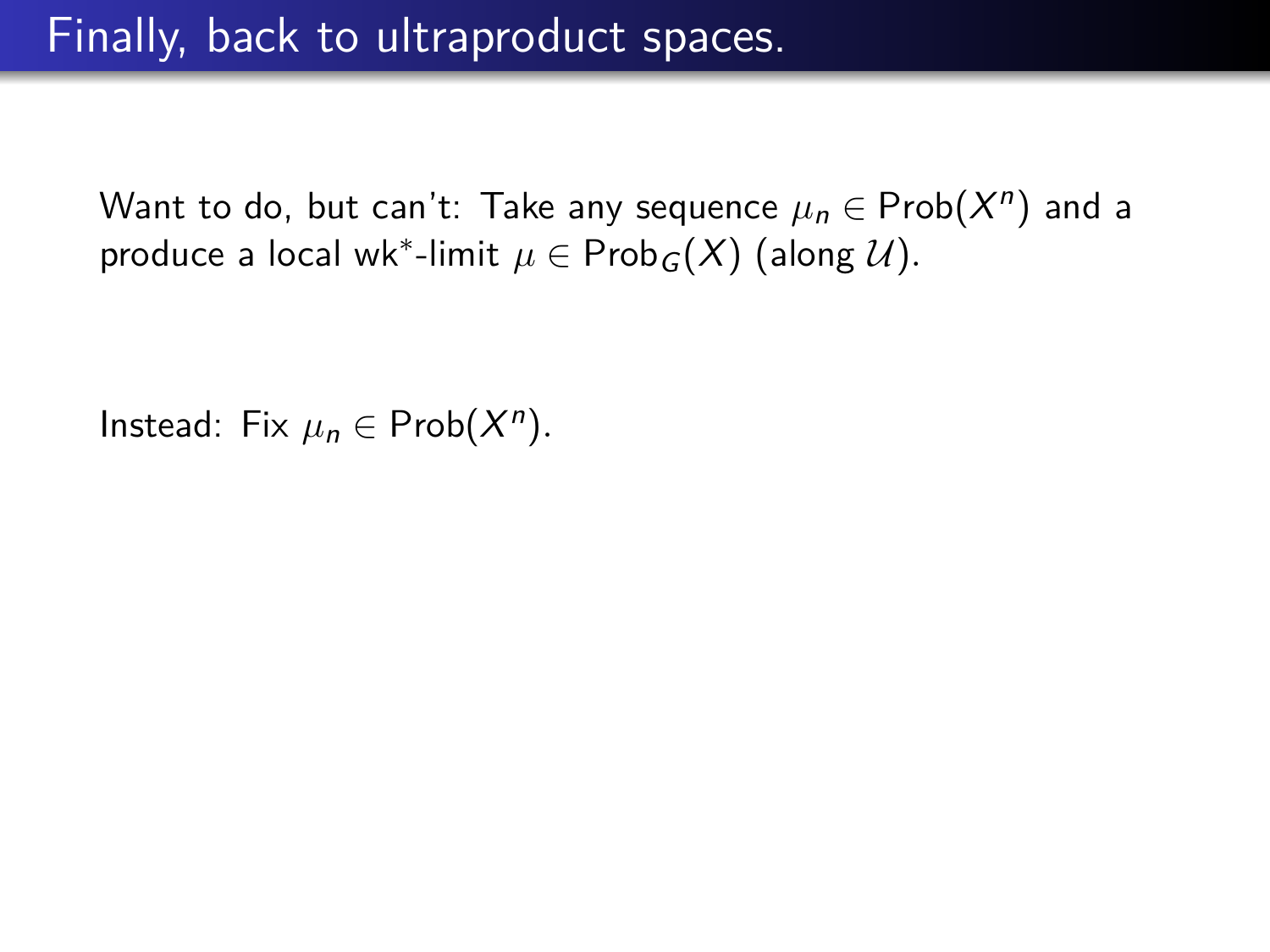Instead: Fix  $\mu_n \in \text{Prob}(X^n)$ .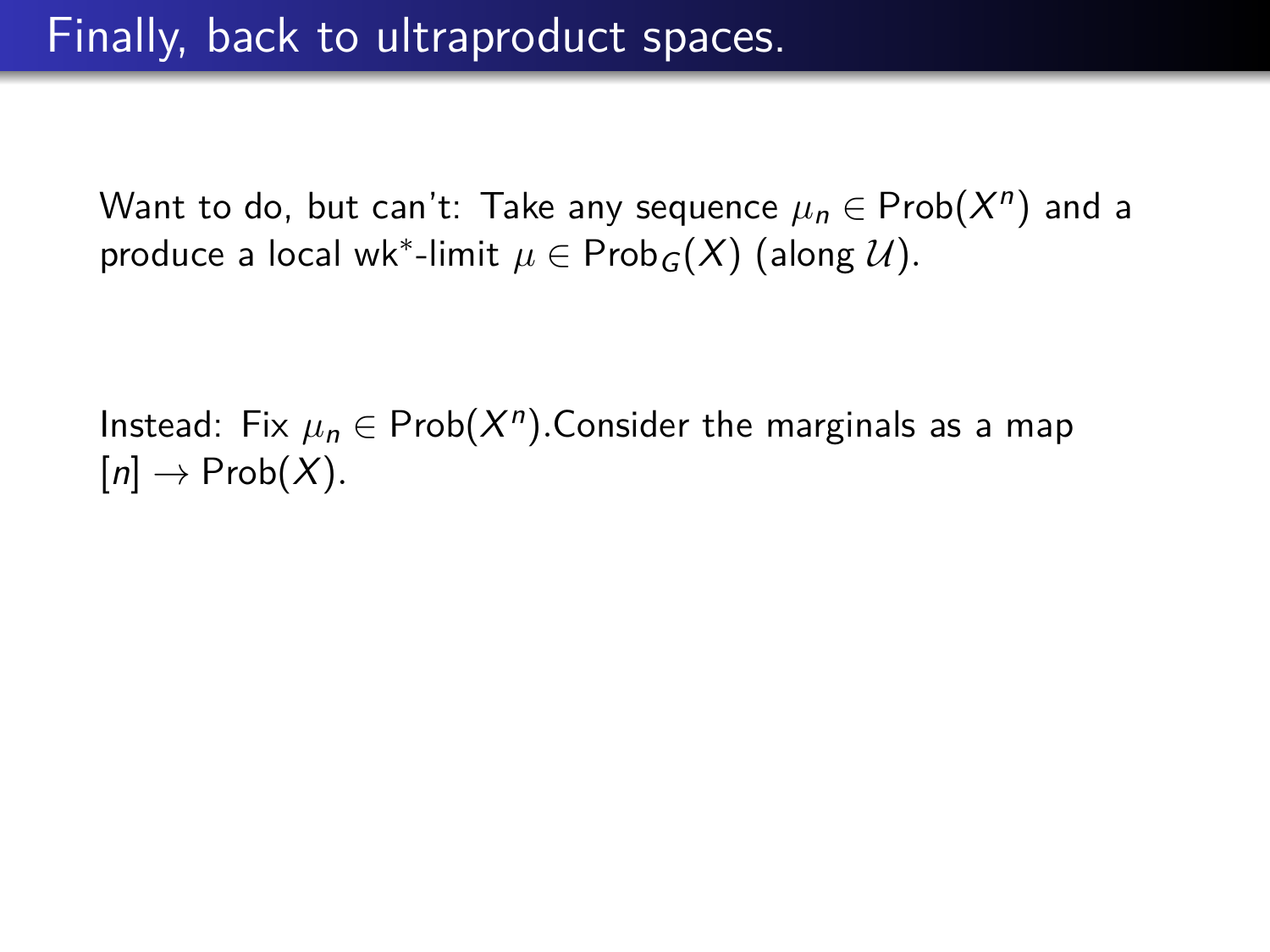Instead: Fix  $\mu_n \in \mathsf{Prob}(X^n)$ .Consider the marginals as a map  $[n] \rightarrow \text{Prob}(X)$ .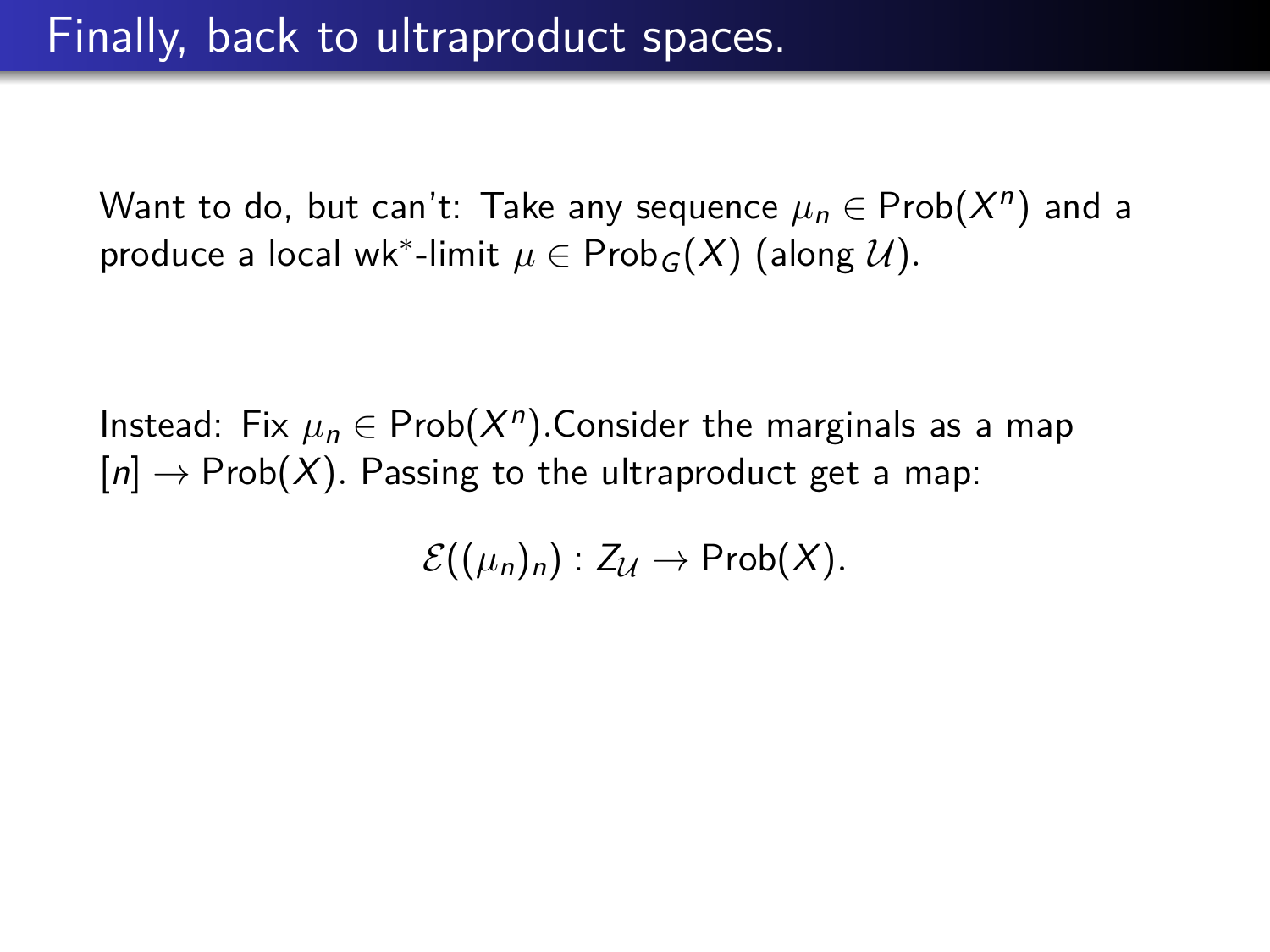Instead: Fix  $\mu_n \in \mathsf{Prob}(X^n)$ .Consider the marginals as a map  $[n] \to \text{Prob}(X)$ . Passing to the ultraproduct get a map:

 $\mathcal{E}((\mu_n)_n) : Z_{\mathcal{U}} \to \mathsf{Prob}(X)$ .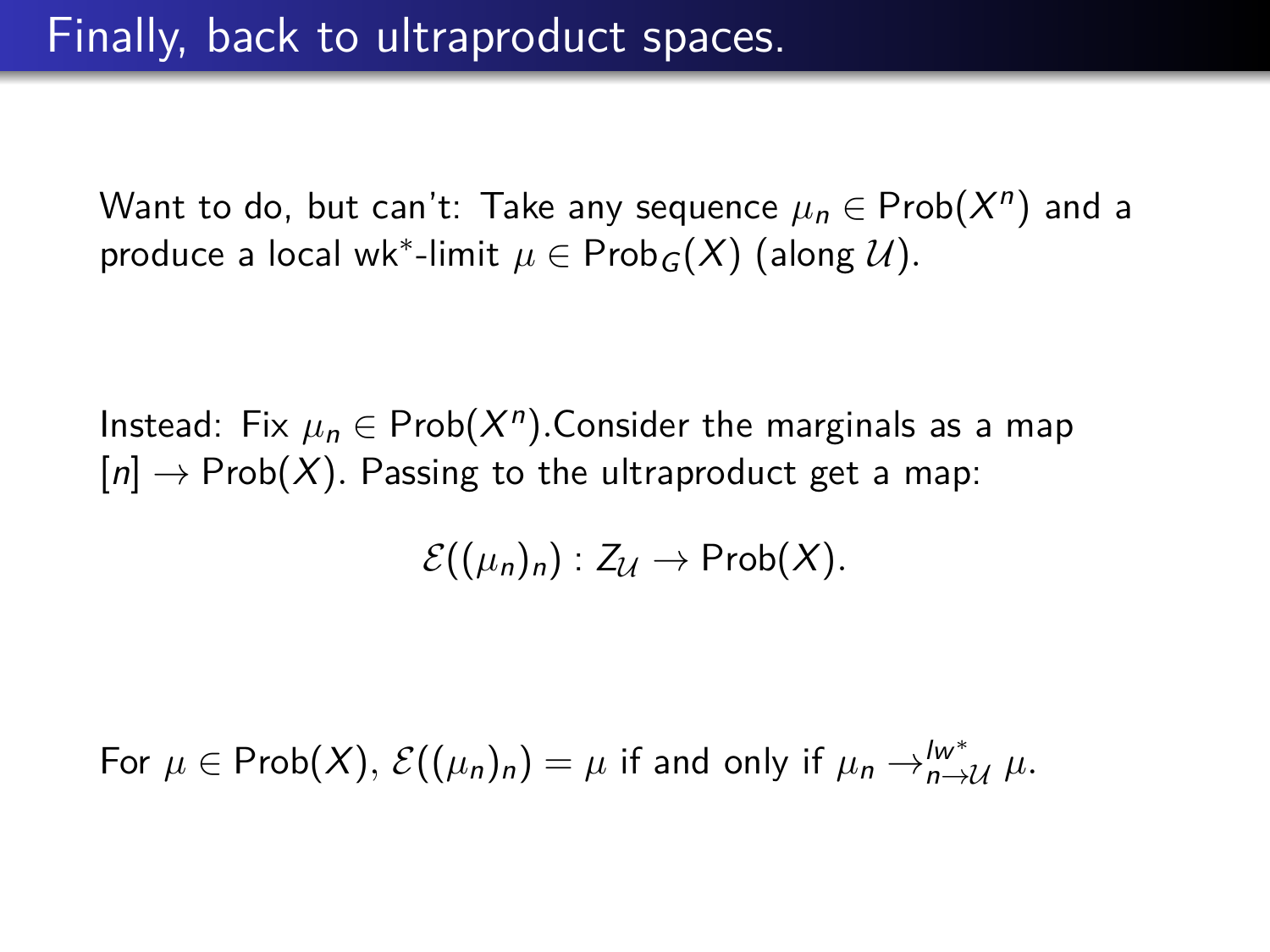Instead: Fix  $\mu_n \in \mathsf{Prob}(X^n)$ .Consider the marginals as a map  $[n] \to \text{Prob}(X)$ . Passing to the ultraproduct get a map:

 $\mathcal{E}((\mu_n)_n) : Z_{\mathcal{U}} \to \mathsf{Prob}(X)$ .

For  $\mu \in \mathsf{Prob}(X), \, \mathcal{E}((\mu_n)_n) = \mu$  if and only if  $\mu_n \to_{n \to \mathcal{U}}^{w^*} \mu$ .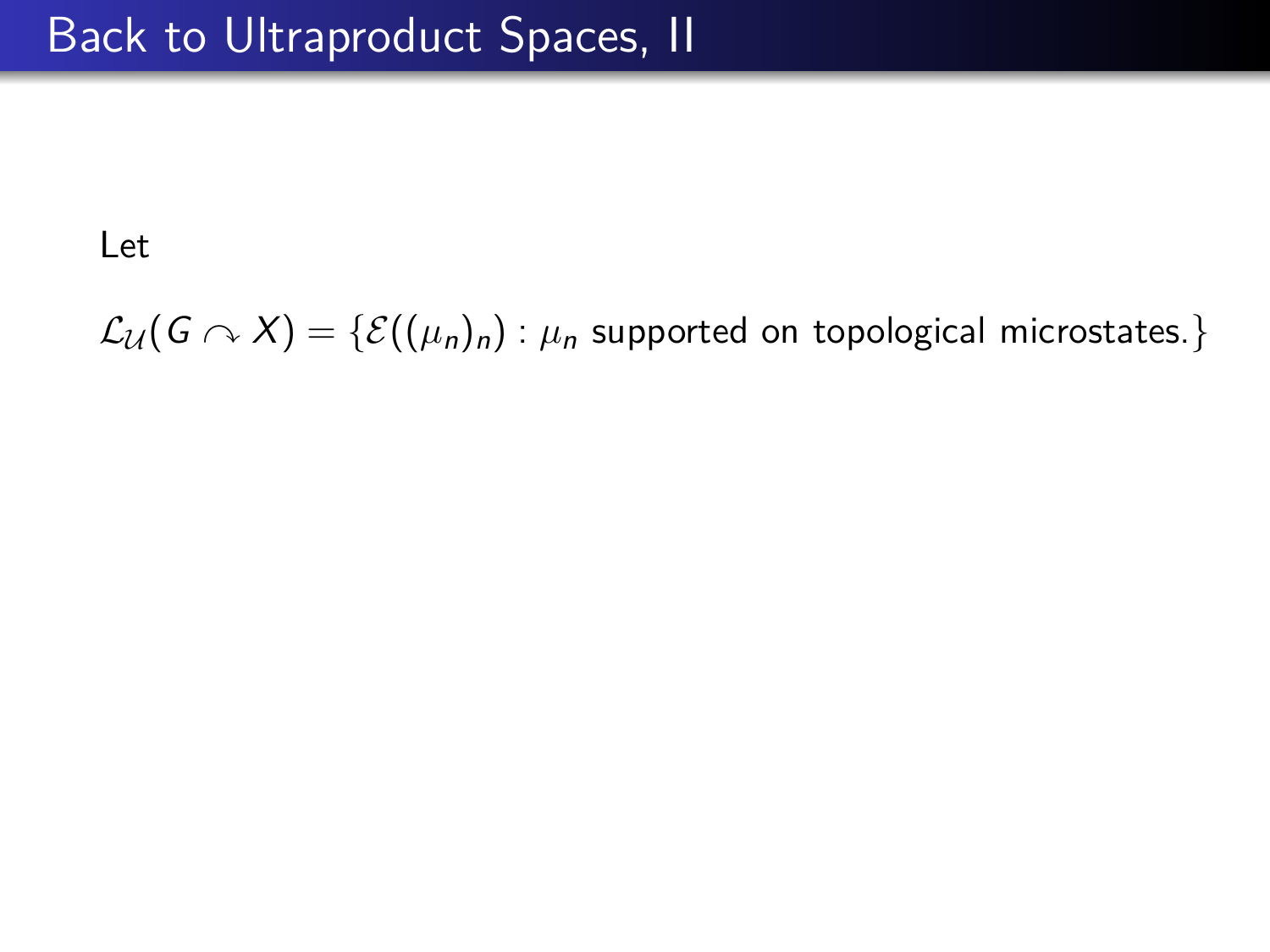$\mathcal{L}_{\mathcal{U}}(G \cap X) = \{ \mathcal{E}((\mu_n)_n) : \mu_n \text{ supported on topological microstates.} \}$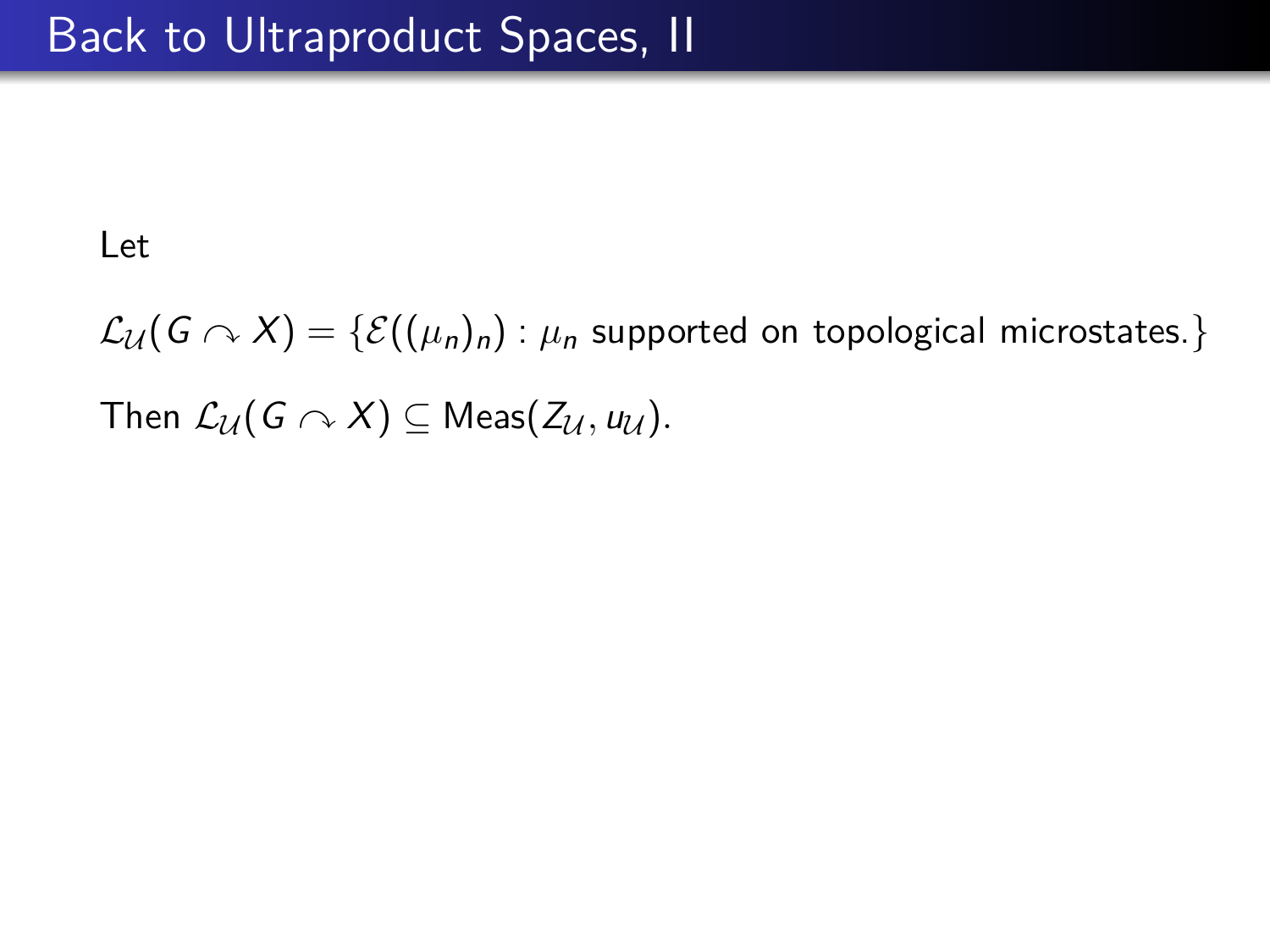$\mathcal{L}_{\mathcal{U}}(G \curvearrowright X) = \{ \mathcal{E}((\mu_n)_n) : \mu_n \text{ supported on topological microstates.} \}$ Then  $\mathcal{L}_{\mathcal{U}}(G \curvearrowright X) \subseteq \mathsf{Meas}(Z_{\mathcal{U}}, u_{\mathcal{U}}).$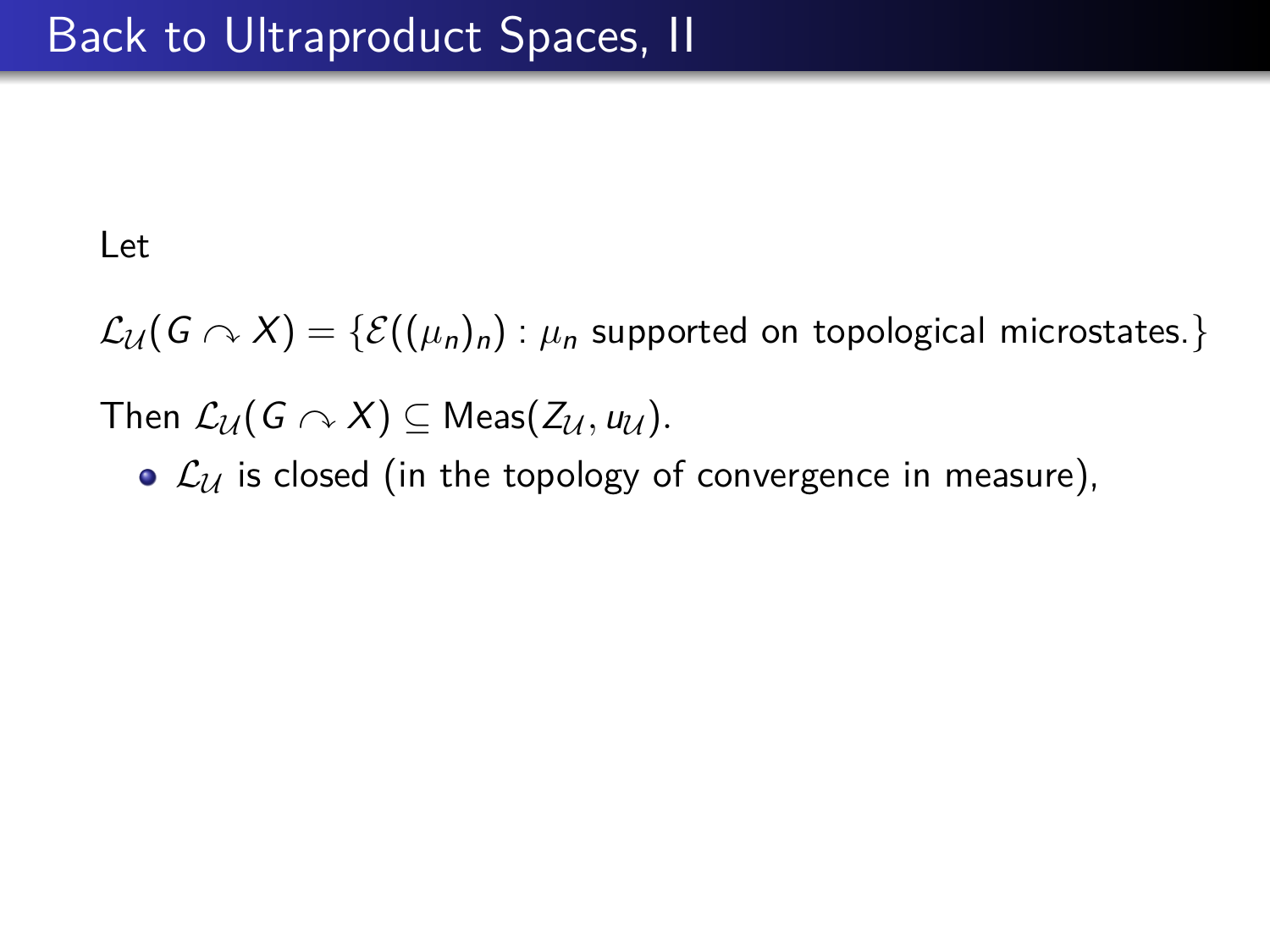$\mathcal{L}_{\mathcal{U}}(G \cap X) = \{ \mathcal{E}((\mu_n)_n) : \mu_n \text{ supported on topological microstates.} \}$ 

Then  $\mathcal{L}_{\mathcal{U}}(G \curvearrowright X) \subseteq \mathsf{Meas}(Z_{\mathcal{U}}, u_{\mathcal{U}}).$ 

•  $\mathcal{L}_{\mathcal{U}}$  is closed (in the topology of convergence in measure),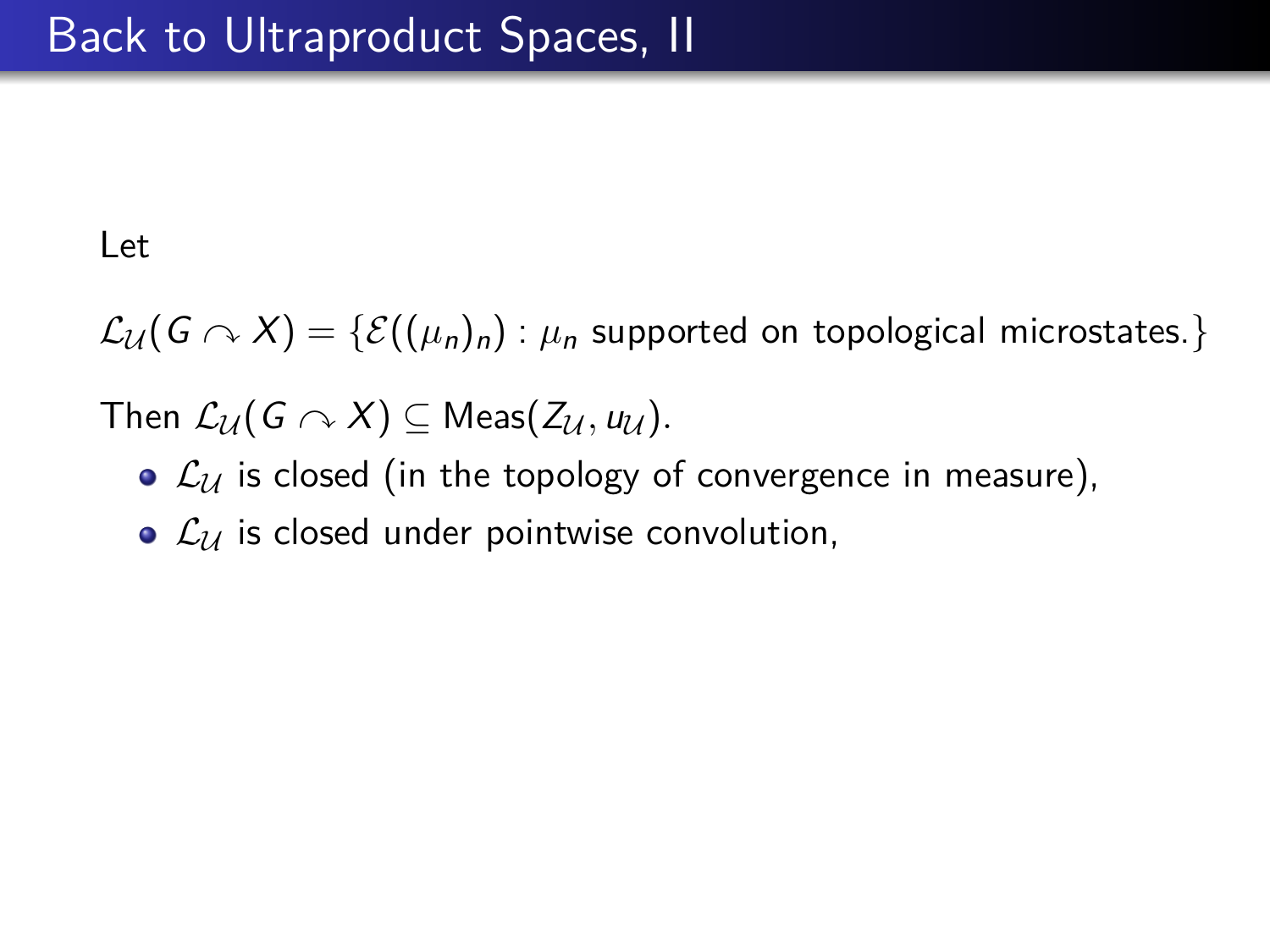$\mathcal{L}_{\mathcal{U}}(G \curvearrowright X) = \{ \mathcal{E}((\mu_n)_n) : \mu_n$  supported on topological microstates.}

- $\bullet$   $\mathcal{L}_{\mathcal{U}}$  is closed (in the topology of convergence in measure),
- $\mathcal{L}_u$  is closed under pointwise convolution,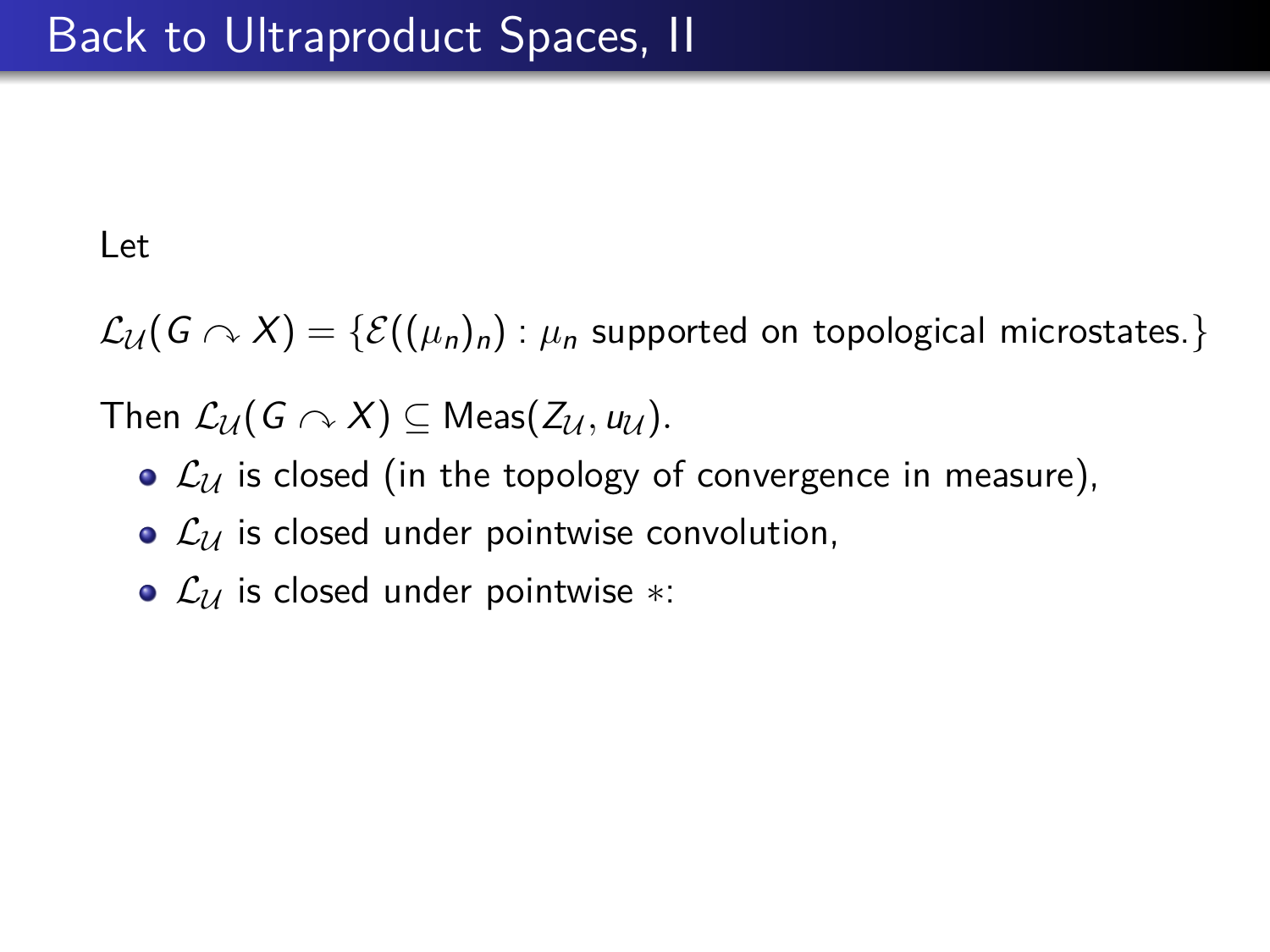$\mathcal{L}_{\mathcal{U}}(G \cap X) = \{ \mathcal{E}((\mu_n)_n) : \mu_n \text{ supported on topological microstates.} \}$ 

- $\bullet$   $\mathcal{L}_{\mathcal{U}}$  is closed (in the topology of convergence in measure),
- $\mathcal{L}_u$  is closed under pointwise convolution,
- $\mathcal{L}_U$  is closed under pointwise ∗: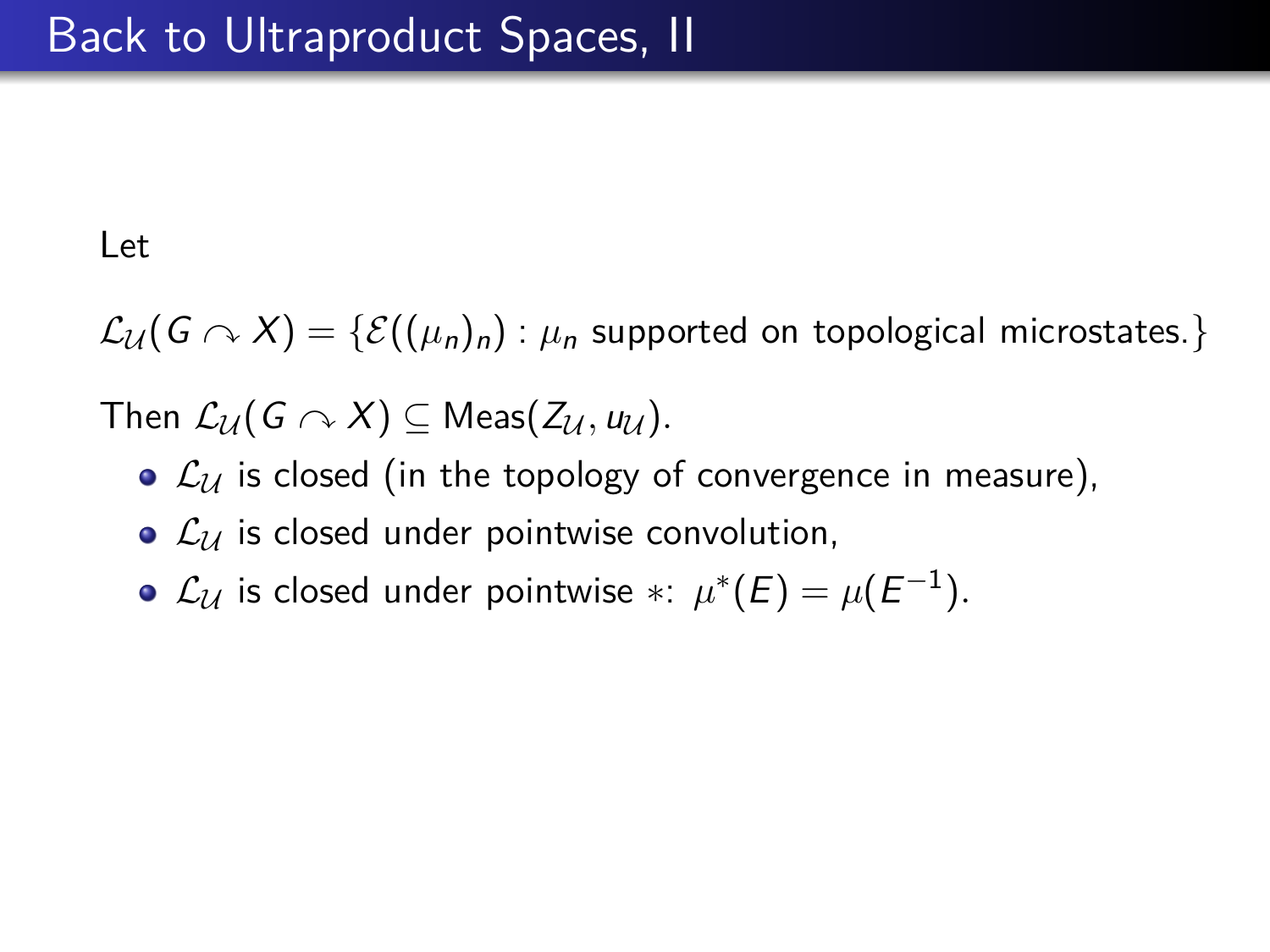$\mathcal{L}_{\mathcal{U}}(G \cap X) = \{ \mathcal{E}((\mu_n)_n) : \mu_n \text{ supported on topological microstates.} \}$ 

- $\bullet$   $\mathcal{L}_{\mathcal{U}}$  is closed (in the topology of convergence in measure),
- $\bullet$   $\mathcal{L}_U$  is closed under pointwise convolution,
- $\mathcal{L}_{\mathcal{U}}$  is closed under pointwise  $* \colon \mu^*(E) = \mu(E^{-1}).$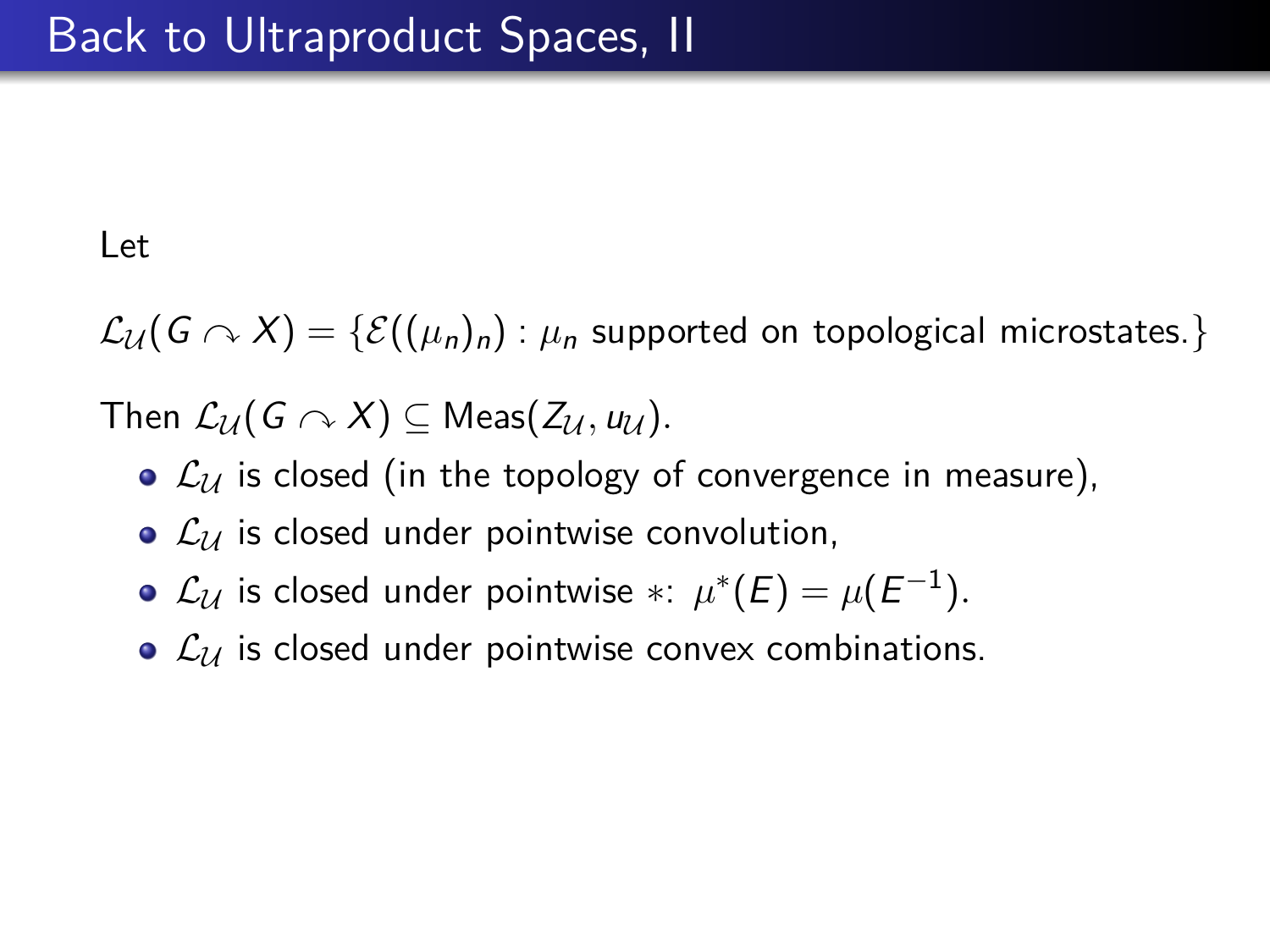$\mathcal{L}_{\mathcal{U}}(G \curvearrowright X) = \{ \mathcal{E}((\mu_n)_n) : \mu_n \text{ supported on topological microstates.} \}$ 

- $\bullet$   $\mathcal{L}_U$  is closed (in the topology of convergence in measure),
- $\bullet$   $\mathcal{L}_\mathcal{U}$  is closed under pointwise convolution,
- $\mathcal{L}_{\mathcal{U}}$  is closed under pointwise  $* \colon \mu^*(E) = \mu(E^{-1}).$
- $\bullet$   $\mathcal{L}_u$  is closed under pointwise convex combinations.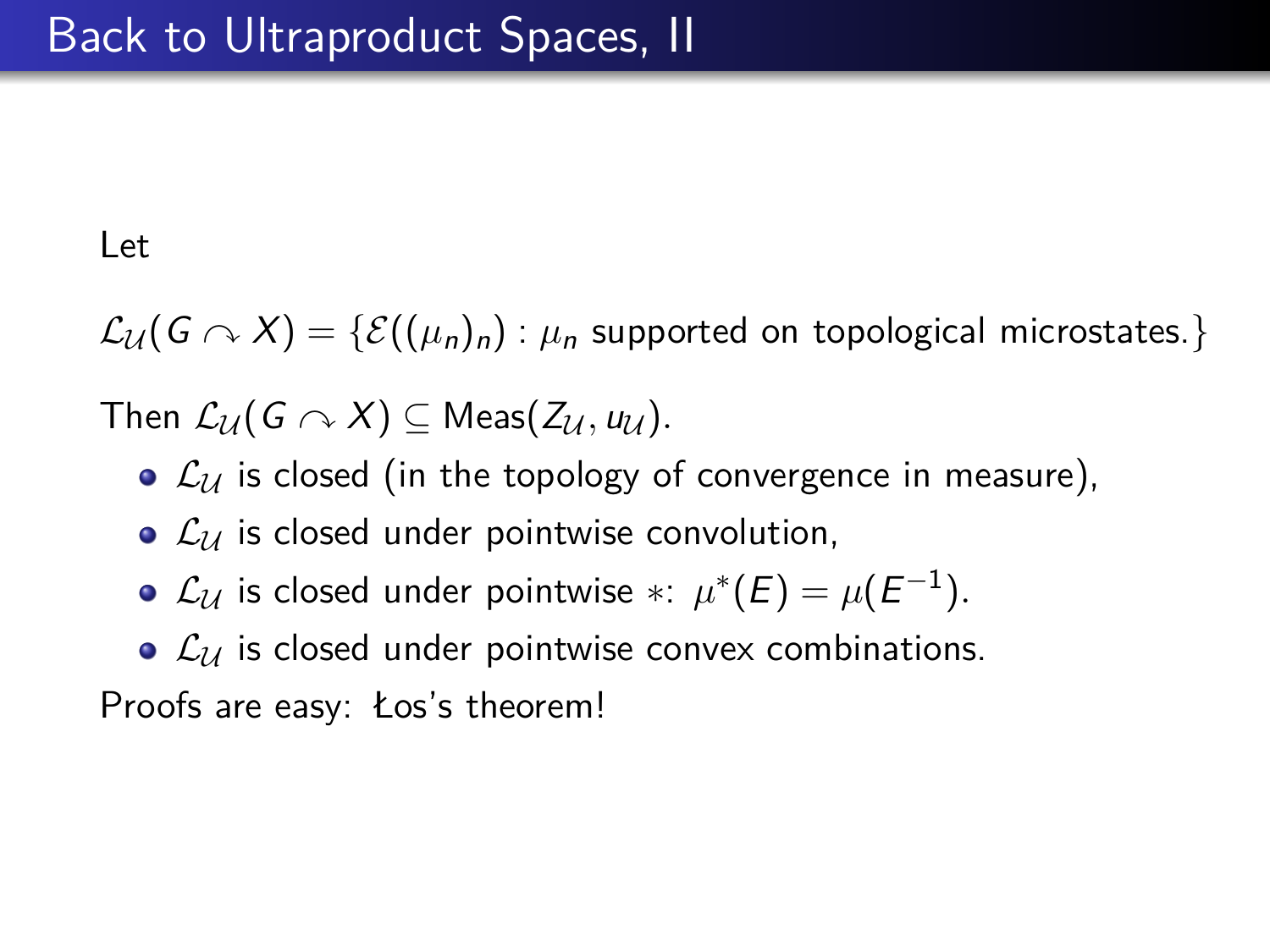$\mathcal{L}_{\mathcal{U}}(G \curvearrowright X) = \{ \mathcal{E}((\mu_n)_n) : \mu_n \text{ supported on topological microstates.} \}$ 

Then  $\mathcal{L}_{\mathcal{U}}(G \curvearrowright X) \subseteq \mathsf{Meas}(\mathcal{Z}_{\mathcal{U}}, \mathbf{u}_{\mathcal{U}}).$ 

- $\bullet$   $\mathcal{L}_U$  is closed (in the topology of convergence in measure),
- $\mathcal{L}_u$  is closed under pointwise convolution,
- $\mathcal{L}_{\mathcal{U}}$  is closed under pointwise  $* \colon \mu^*(E) = \mu(E^{-1}).$
- $\bullet$   $\mathcal{L}_\mathcal{U}$  is closed under pointwise convex combinations.

Proofs are easy: Łos's theorem!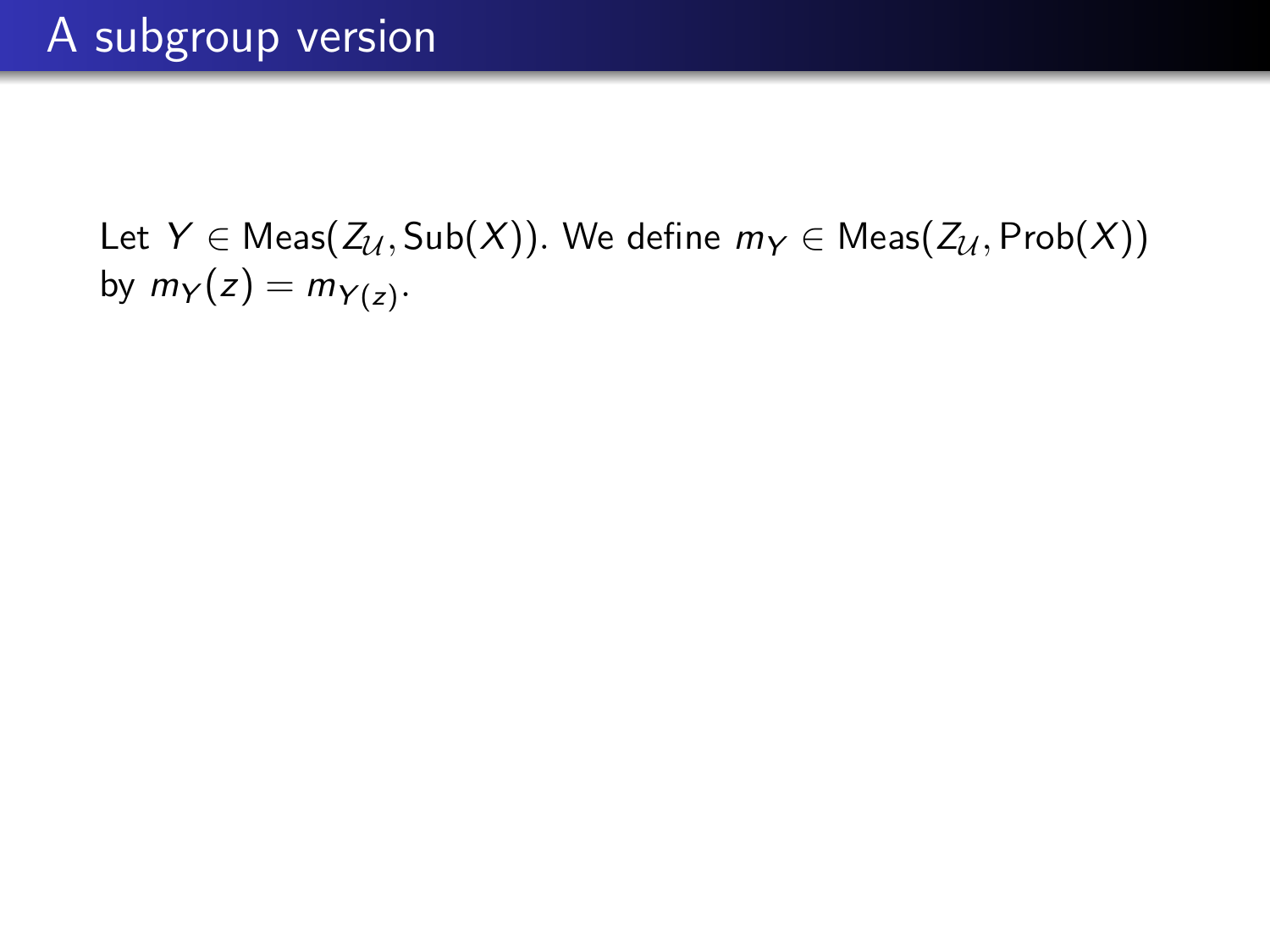Let  $Y \in \text{Meas}(Z_{\mathcal{U}}, \text{Sub}(X))$ . We define  $m_Y \in \text{Meas}(Z_{\mathcal{U}}, \text{Prob}(X))$ by  $m_Y(z) = m_{Y(z)}$ .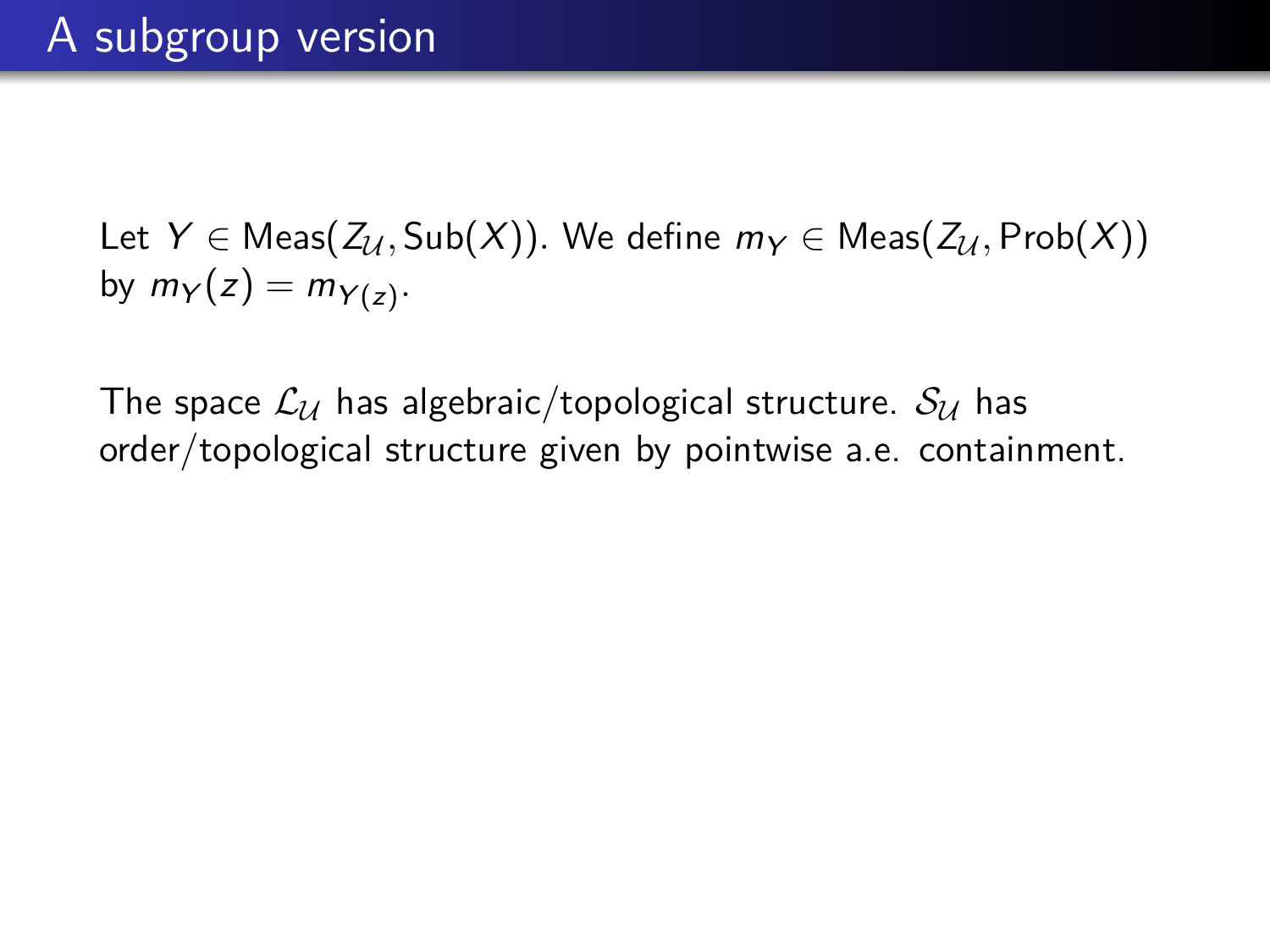Let  $Y \in \text{Meas}(Z_{\mathcal{U}}, \text{Sub}(X))$ . We define  $m_Y \in \text{Meas}(Z_{\mathcal{U}}, \text{Prob}(X))$ by  $m_Y(z) = m_{Y(z)}$ .

The space  $\mathcal{L}_U$  has algebraic/topological structure.  $\mathcal{S}_U$  has order/topological structure given by pointwise a.e. containment.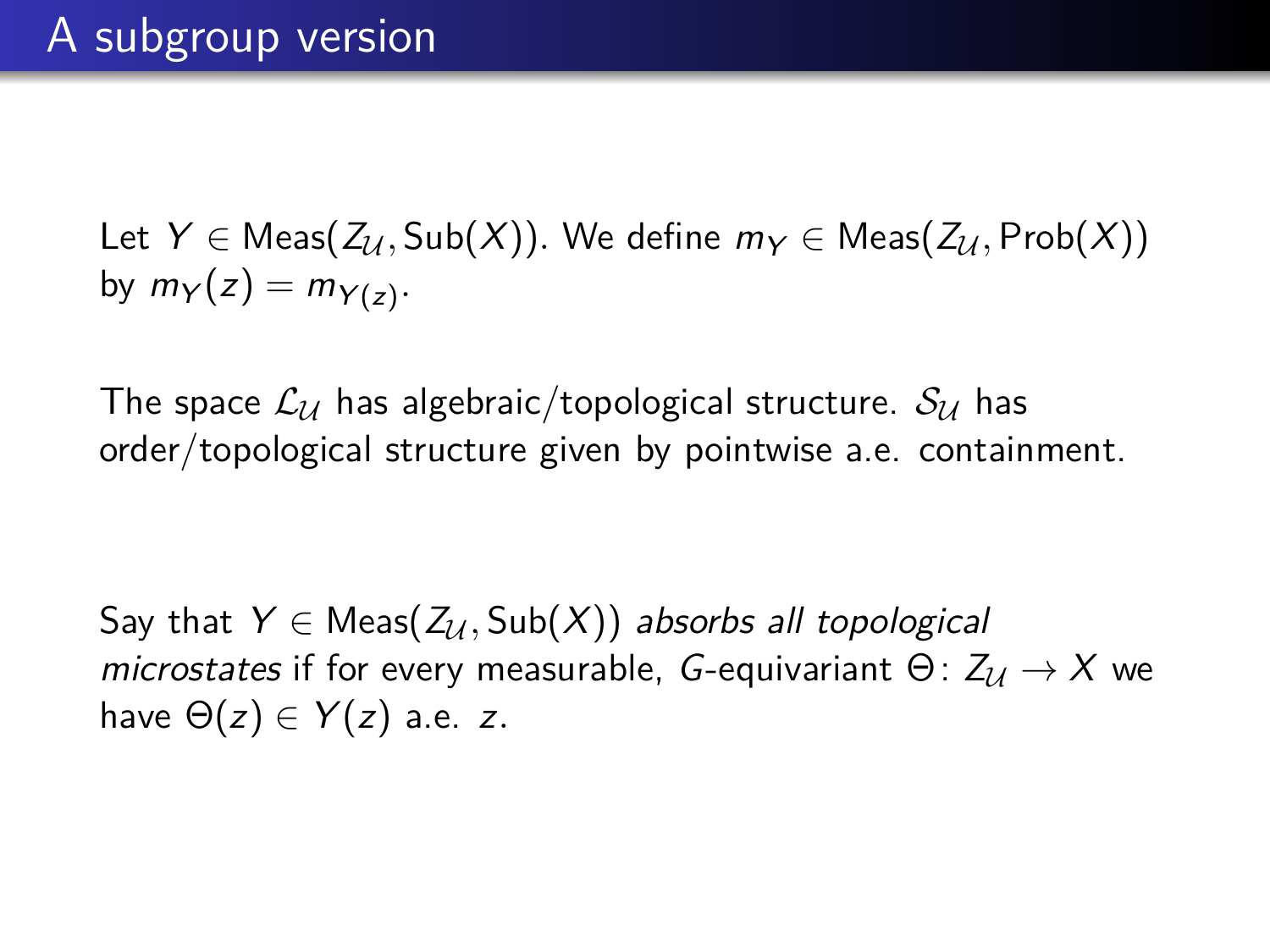Let  $Y \in \text{Meas}(Z_{\mathcal{U}}, \text{Sub}(X))$ . We define  $m_Y \in \text{Meas}(Z_{\mathcal{U}}, \text{Prob}(X))$ by  $m_Y(z) = m_{Y(z)}$ .

The space  $\mathcal{L}_U$  has algebraic/topological structure.  $\mathcal{S}_U$  has order/topological structure given by pointwise a.e. containment.

Say that  $Y \in Meas(Z_U, Sub(X))$  absorbs all topological microstates if for every measurable, G-equivariant  $\Theta$ :  $Z_{\mathcal{U}} \to X$  we have  $\Theta(z) \in Y(z)$  a.e. z.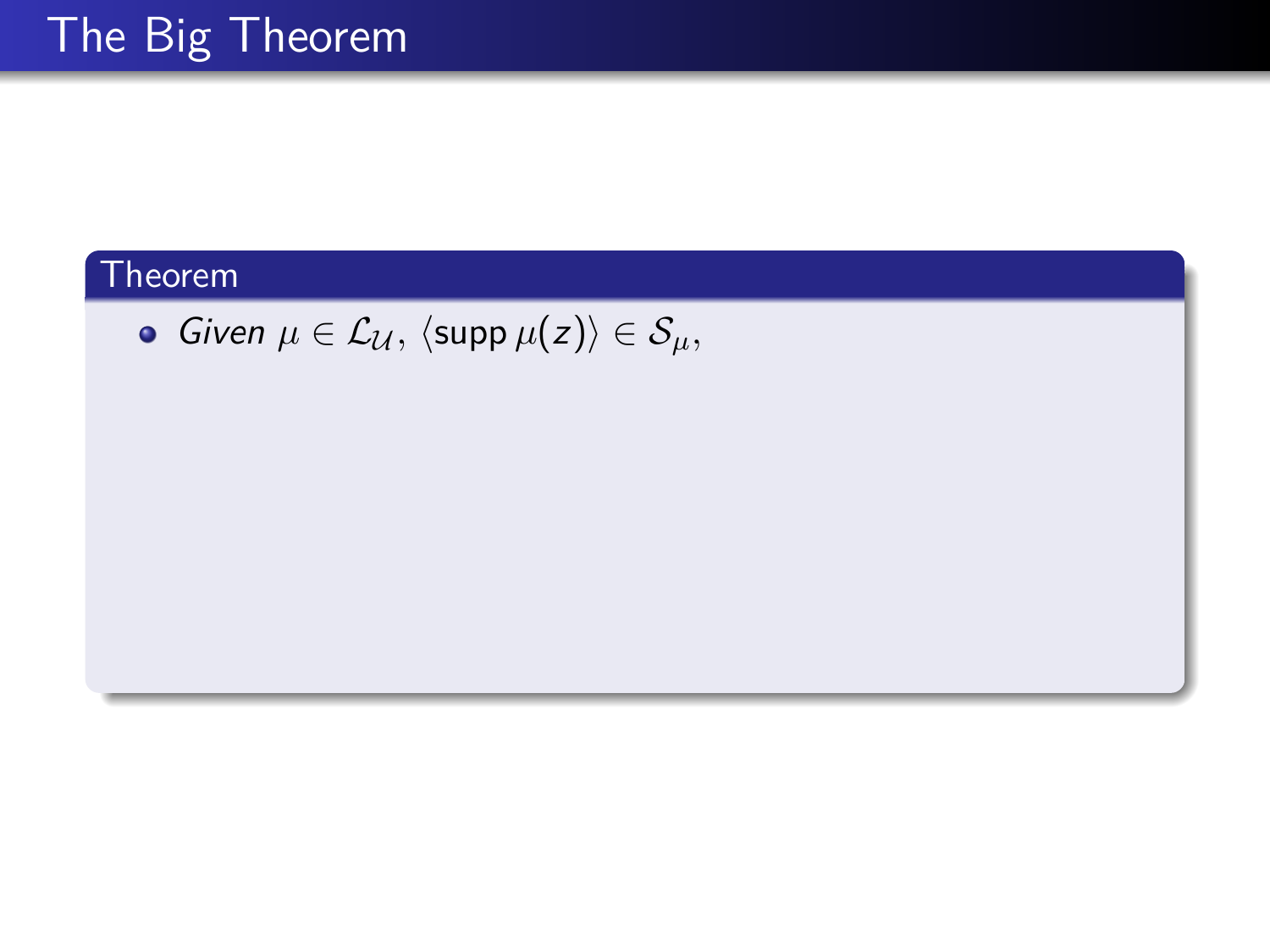$\bullet$  *Given*  $\mu \in \mathcal{L}_{\mathcal{U}},$   $\langle \text{supp }\mu(z)\rangle \in \mathcal{S}_{\mu},$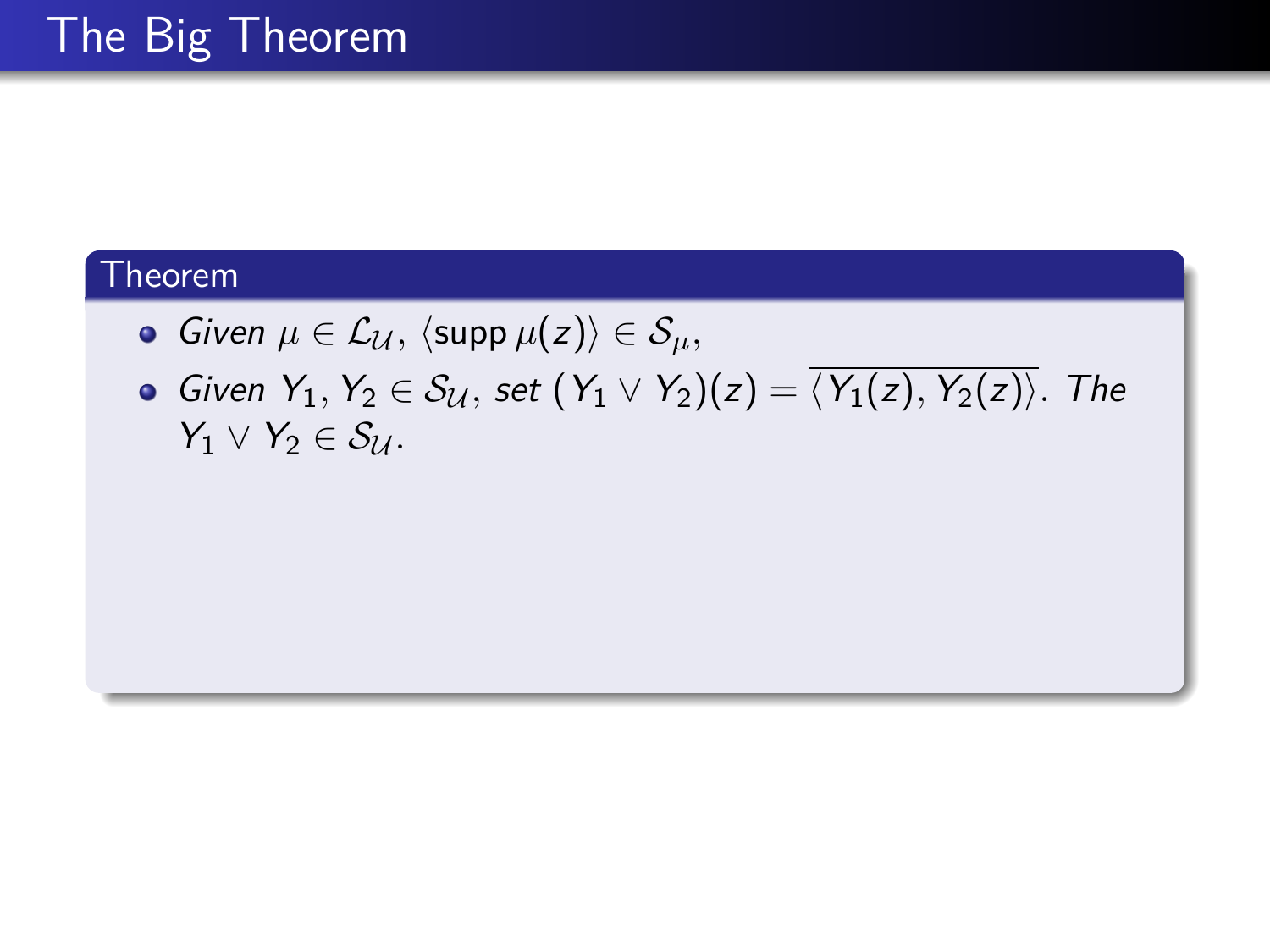• Given 
$$
\mu \in \mathcal{L}_{\mathcal{U}}
$$
,  $\langle \text{supp } \mu(z) \rangle \in \mathcal{S}_{\mu}$ ,

Given  $Y_1, Y_2 \in S_{\mathcal{U}},$  set  $(Y_1 \vee Y_2)(z) = \overline{\langle Y_1(z), Y_2(z) \rangle}$ . The  $Y_1 \vee Y_2 \in S_{\mathcal{U}}$ .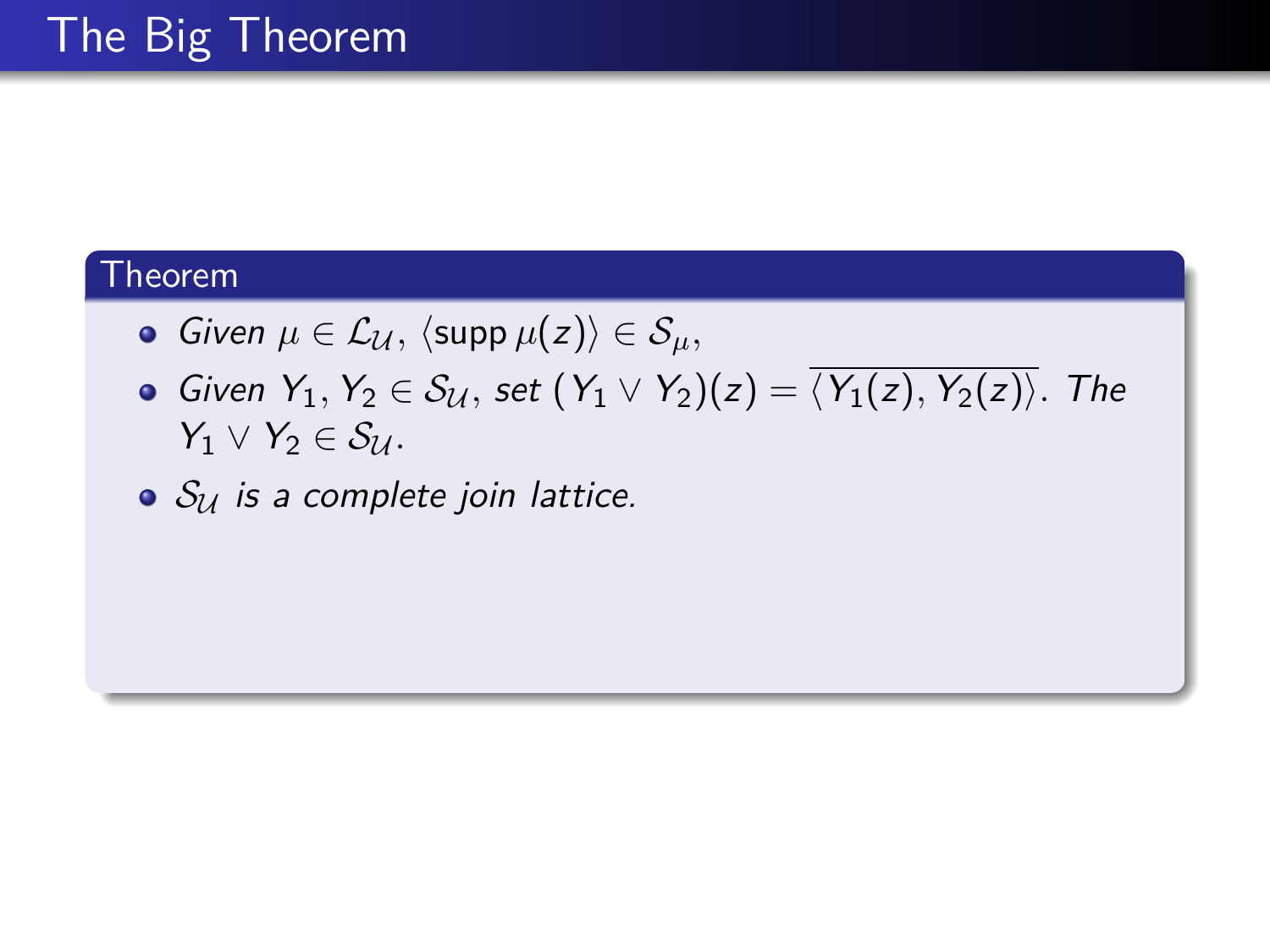• Given 
$$
\mu \in \mathcal{L}_{\mathcal{U}}
$$
,  $\langle \text{supp } \mu(z) \rangle \in \mathcal{S}_{\mu}$ ,

Given  $Y_1, Y_2 \in S_{\mathcal{U}},$  set  $(Y_1 \vee Y_2)(z) = \overline{\langle Y_1(z), Y_2(z) \rangle}$ . The  $Y_1 \vee Y_2 \in S_{\mathcal{U}}$ .

 $\bullet$   $S_U$  is a complete join lattice.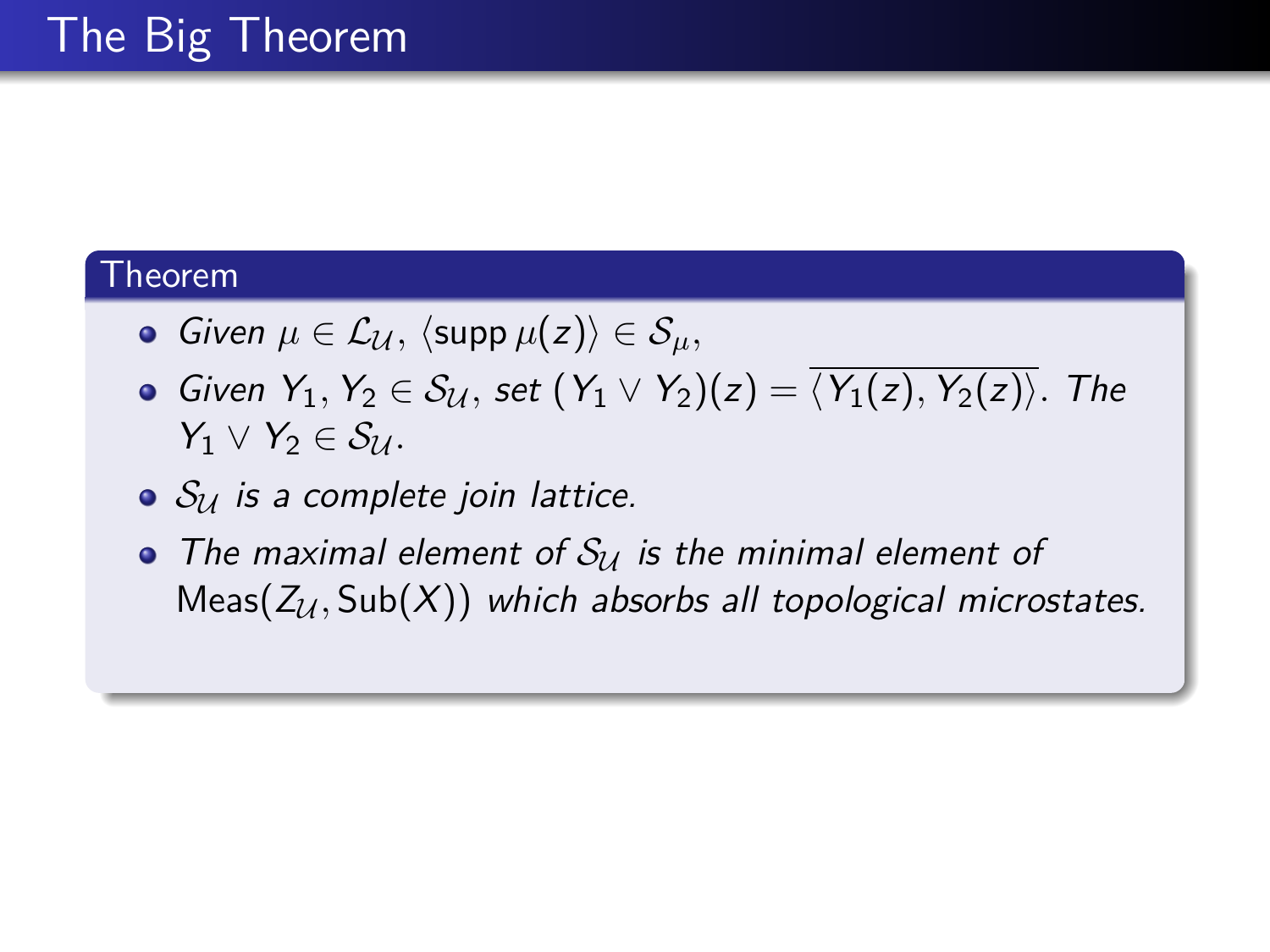- $\bullet$  *Given*  $\mu \in \mathcal{L}_{\mathcal{U}}, \langle \operatorname{supp} \mu(z) \rangle \in \mathcal{S}_{\mu},$
- **•** Given  $Y_1, Y_2 \in S_{\mathcal{U}},$  set  $(Y_1 \vee Y_2)(z) = \overline{\langle Y_1(z), Y_2(z) \rangle}$ . The  $Y_1 \vee Y_2 \in S_{\mathcal{U}}$ .
- $\bullet$   $S_{14}$  is a complete join lattice.
- The maximal element of  $S_U$  is the minimal element of  $Meas(Z<sub>U</sub>, Sub(X))$  which absorbs all topological microstates.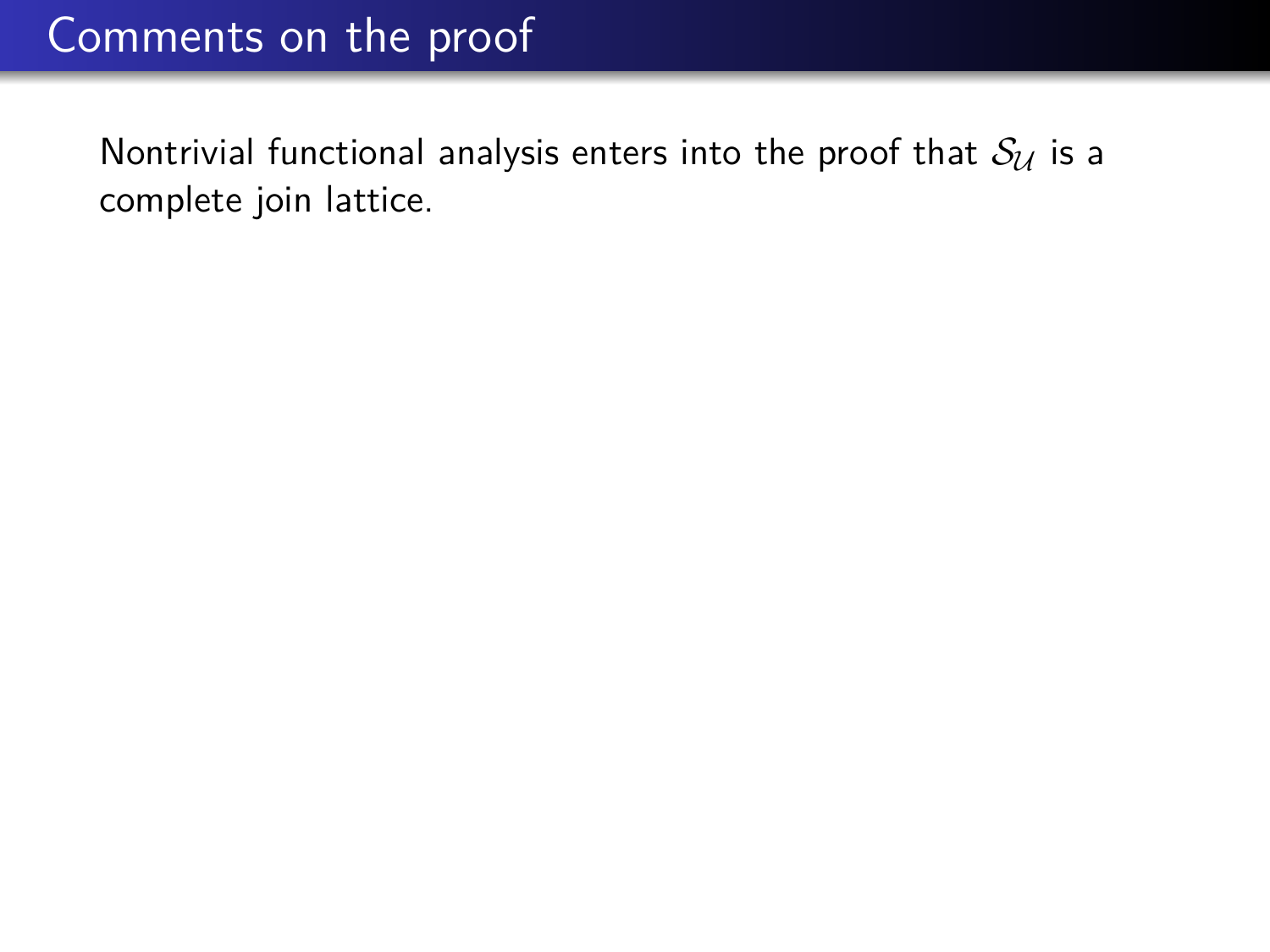# Comments on the proof

Nontrivial functional analysis enters into the proof that  $S_{\mathcal{U}}$  is a complete join lattice.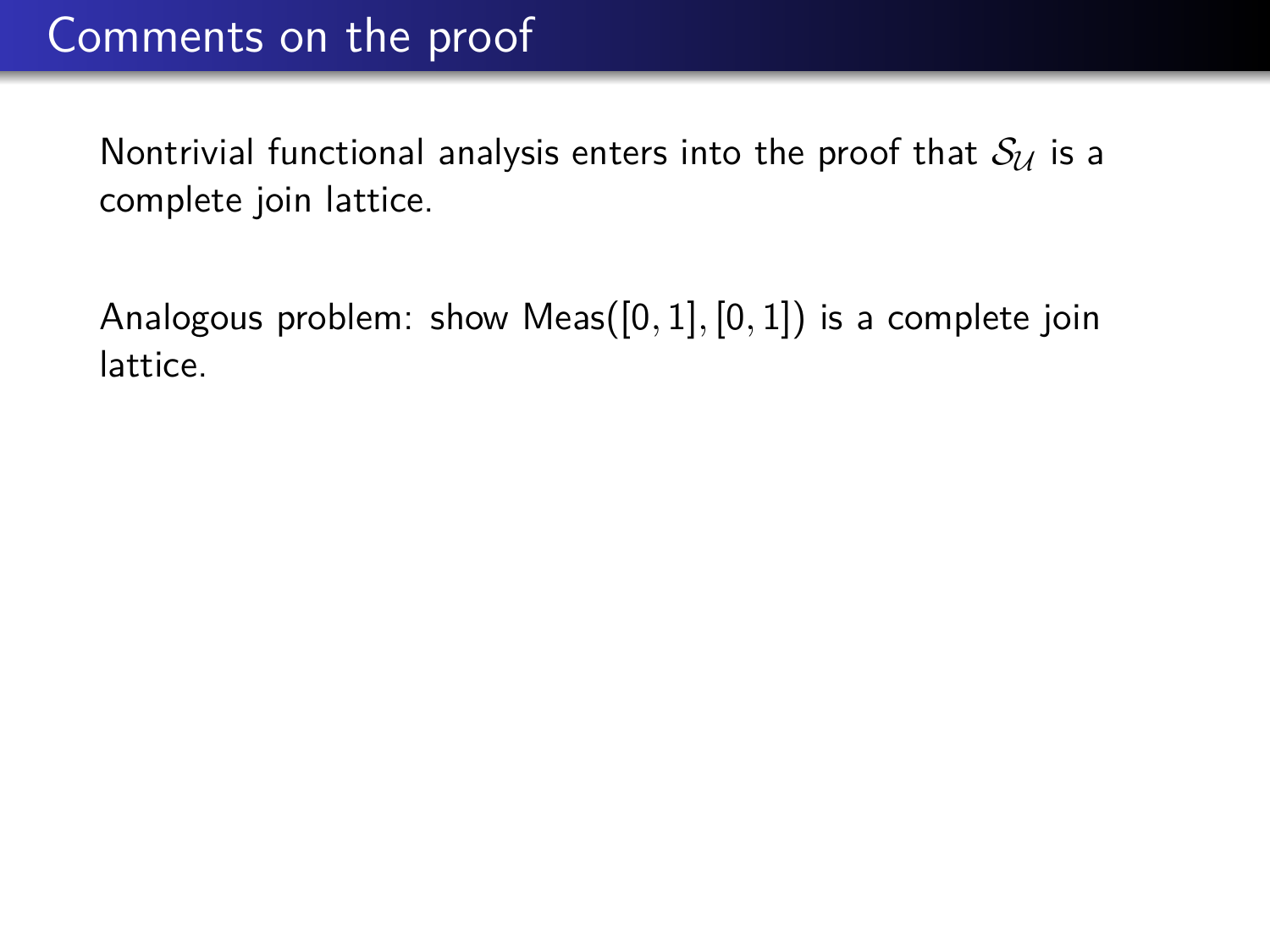# Comments on the proof

Nontrivial functional analysis enters into the proof that  $S_{\mathcal{U}}$  is a complete join lattice.

Analogous problem: show Meas([0*,* 1]*,* [0*,* 1]) is a complete join lattice.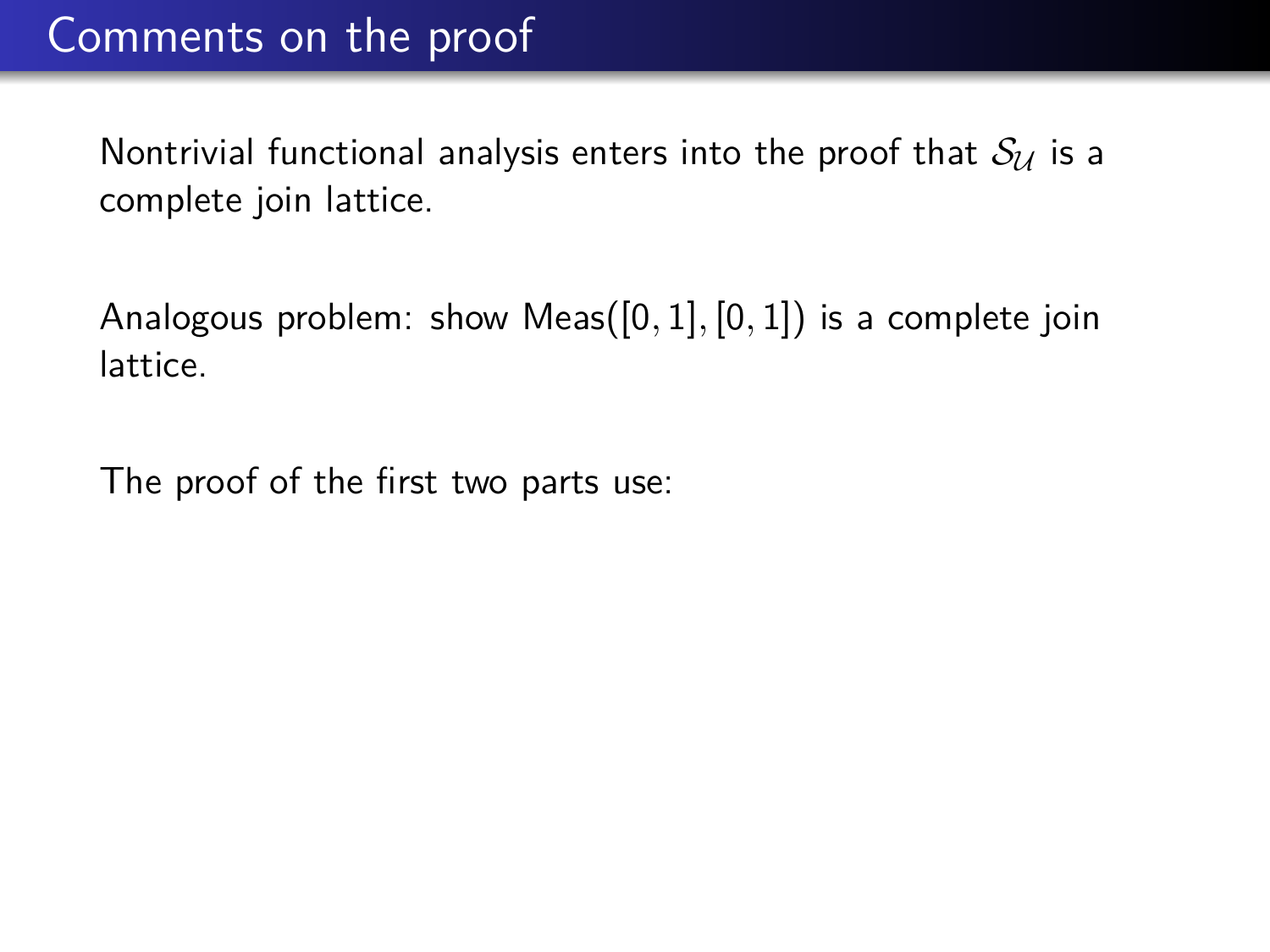Nontrivial functional analysis enters into the proof that  $S_{\mathcal{U}}$  is a complete join lattice.

Analogous problem: show Meas([0*,* 1]*,* [0*,* 1]) is a complete join lattice.

The proof of the first two parts use: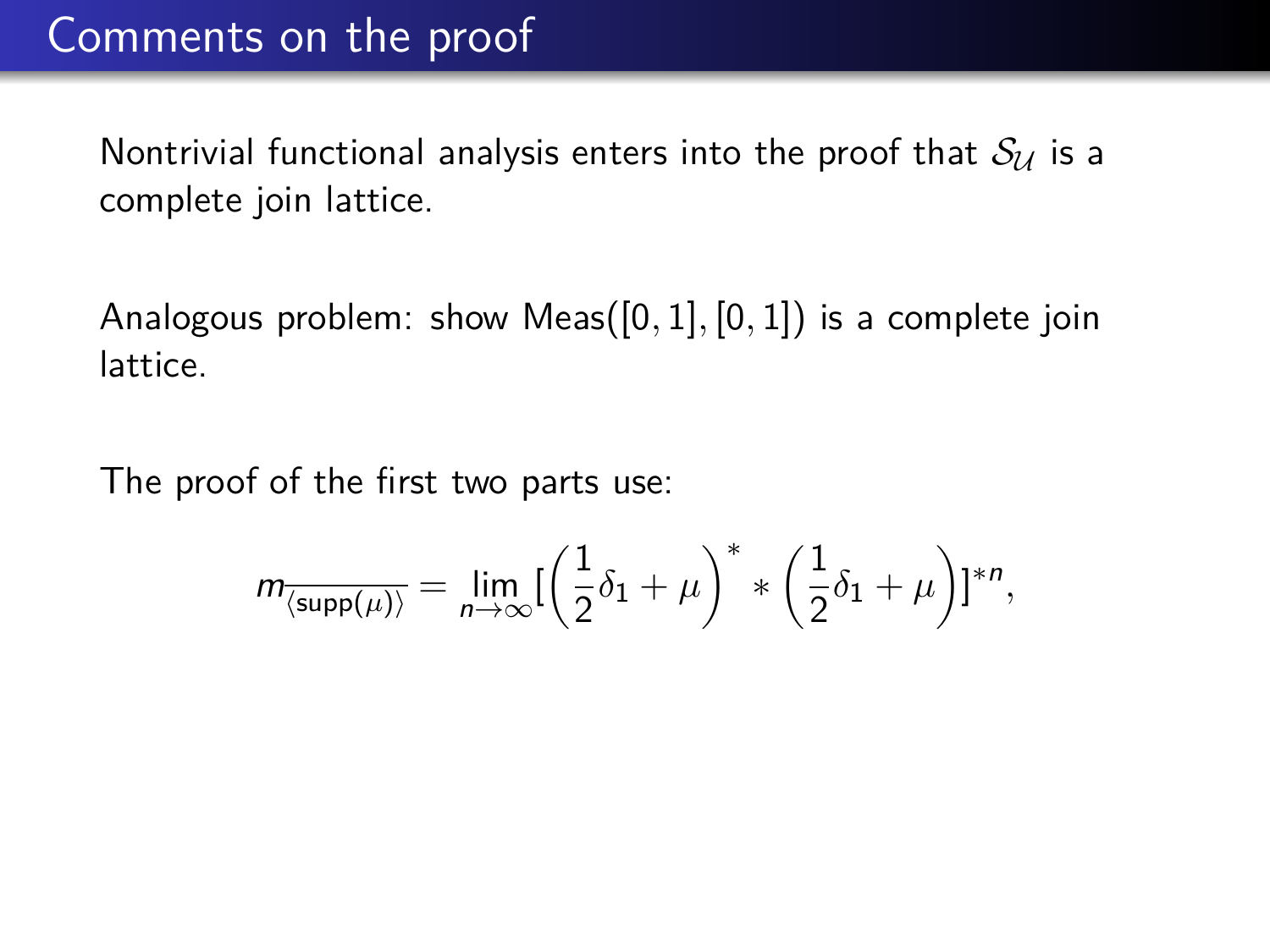Nontrivial functional analysis enters into the proof that  $S_{\mathcal{U}}$  is a complete join lattice.

Analogous problem: show Meas([0*,* 1]*,* [0*,* 1]) is a complete join lattice.

The proof of the first two parts use:

$$
m_{\overline{\langle \operatorname{supp}(\mu) \rangle}} = \lim_{n \to \infty} [ \left( \frac{1}{2} \delta_1 + \mu \right)^* * \left( \frac{1}{2} \delta_1 + \mu \right) ]^{*n},
$$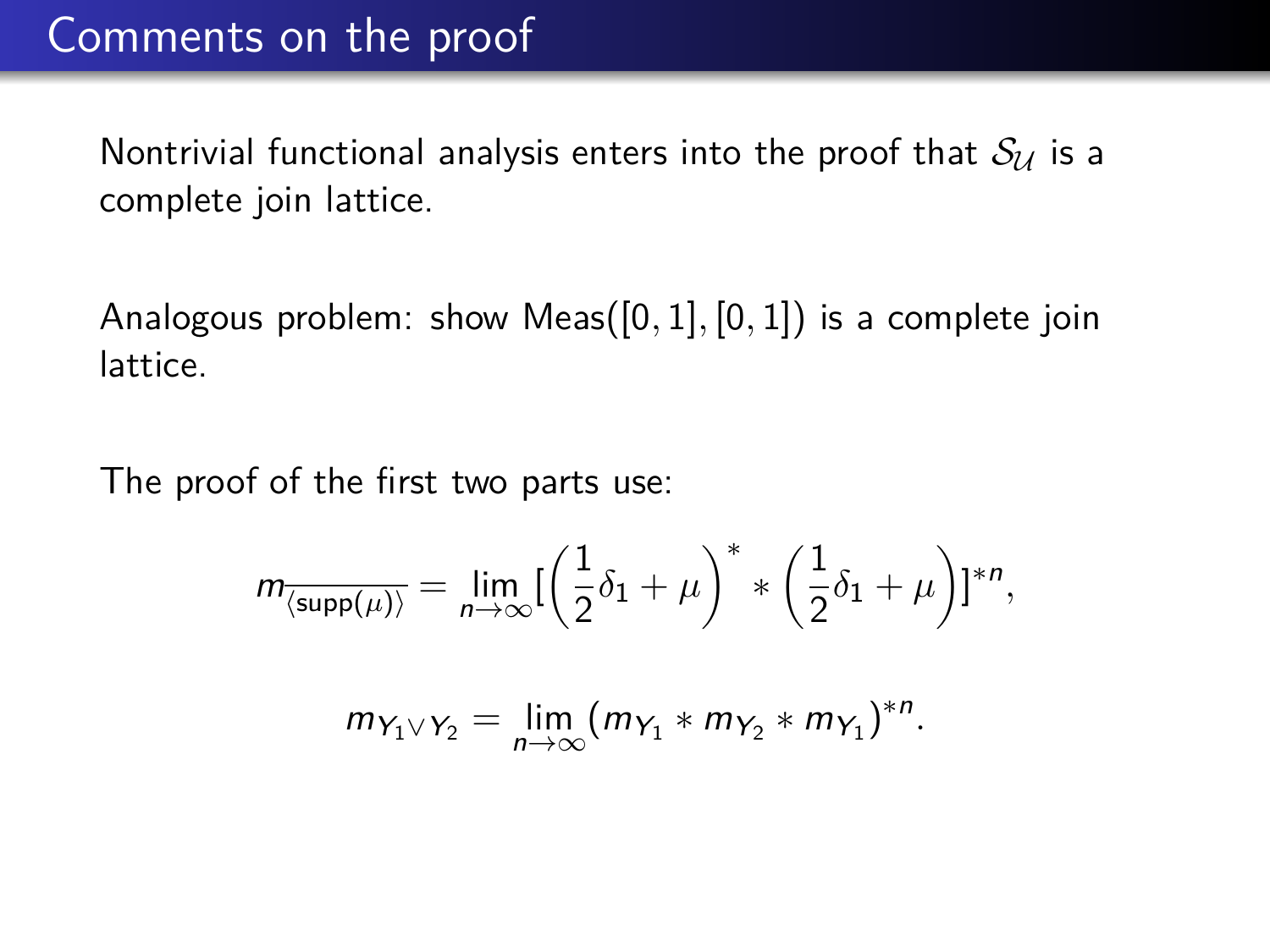Nontrivial functional analysis enters into the proof that  $S_{\mathcal{U}}$  is a complete join lattice.

Analogous problem: show Meas([0*,* 1]*,* [0*,* 1]) is a complete join lattice.

The proof of the first two parts use:

$$
m_{\overline{\langle \text{supp}(\mu) \rangle}} = \lim_{n \to \infty} \left[ \left( \frac{1}{2} \delta_1 + \mu \right)^* * \left( \frac{1}{2} \delta_1 + \mu \right) \right]^{*n},
$$

$$
m_{Y_1\vee Y_2}=\lim_{n\to\infty}(m_{Y_1}*m_{Y_2}*m_{Y_1})^{*n}.
$$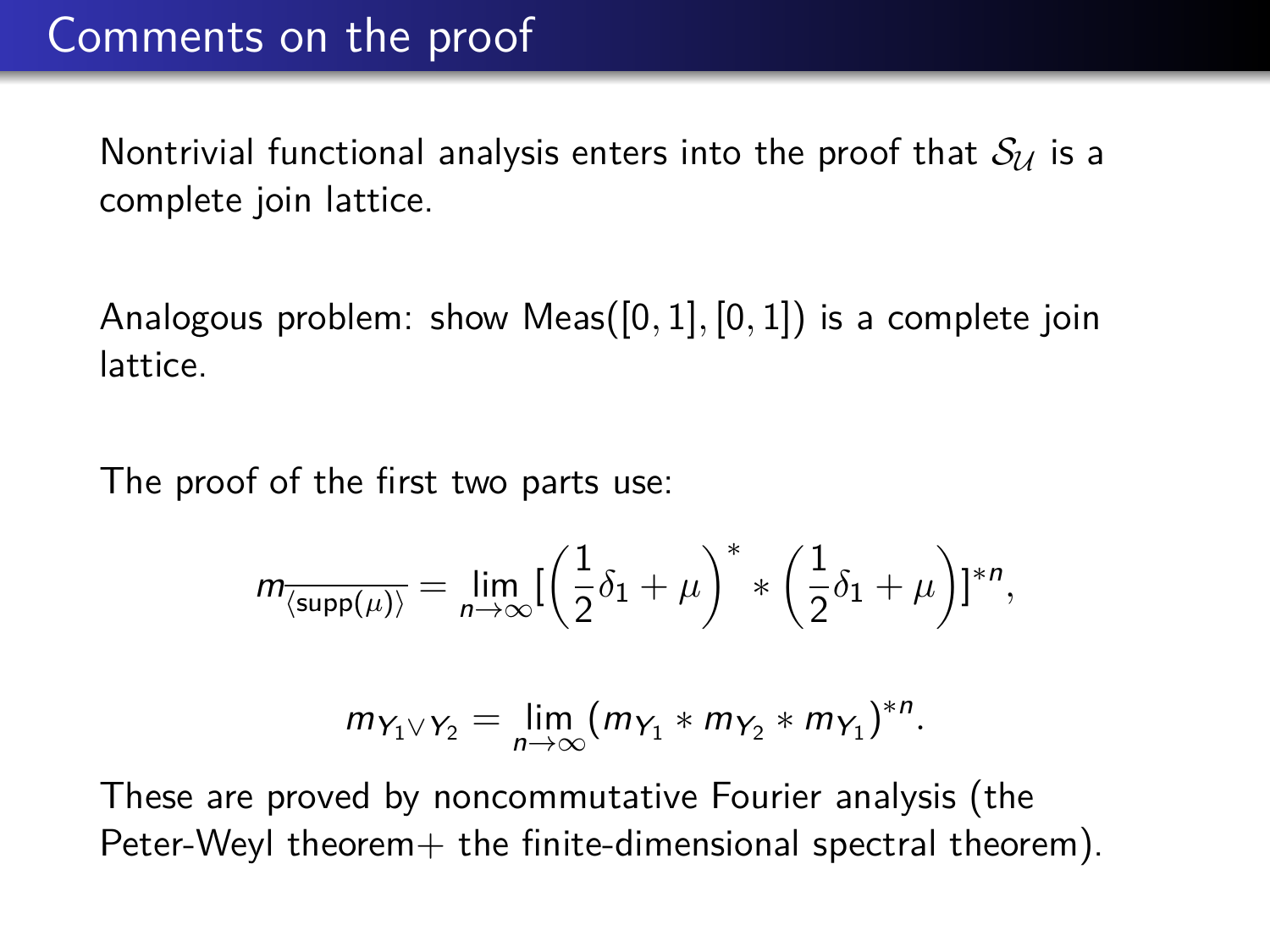Nontrivial functional analysis enters into the proof that  $S_{\mathcal{U}}$  is a complete join lattice.

Analogous problem: show Meas([0*,* 1]*,* [0*,* 1]) is a complete join lattice.

The proof of the first two parts use:

$$
m_{\overline{\langle \operatorname{supp}(\mu) \rangle}} = \lim_{n \to \infty} \left[ \left( \frac{1}{2} \delta_1 + \mu \right)^* * \left( \frac{1}{2} \delta_1 + \mu \right) \right]^{*n},
$$

$$
m_{Y_1\vee Y_2}=\lim_{n\to\infty}(m_{Y_1}\ast m_{Y_2}\ast m_{Y_1})^{\ast n}.
$$

These are proved by noncommutative Fourier analysis (the Peter-Weyl theorem $+$  the finite-dimensional spectral theorem).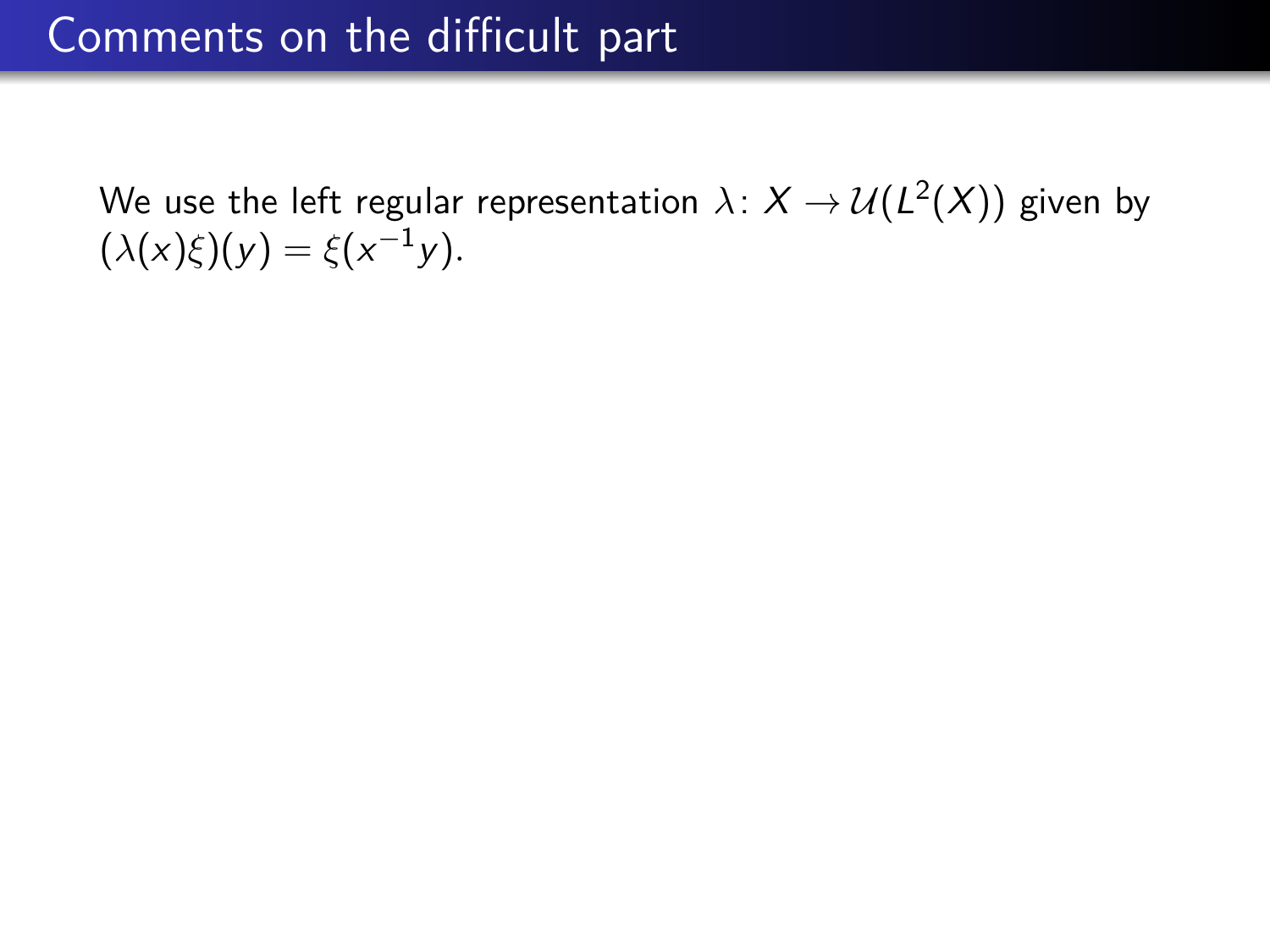We use the left regular representation  $\lambda \colon X \to \mathcal{U}(L^2(X))$  given by  $(\lambda(x)\xi)(y) = \xi(x^{-1}y).$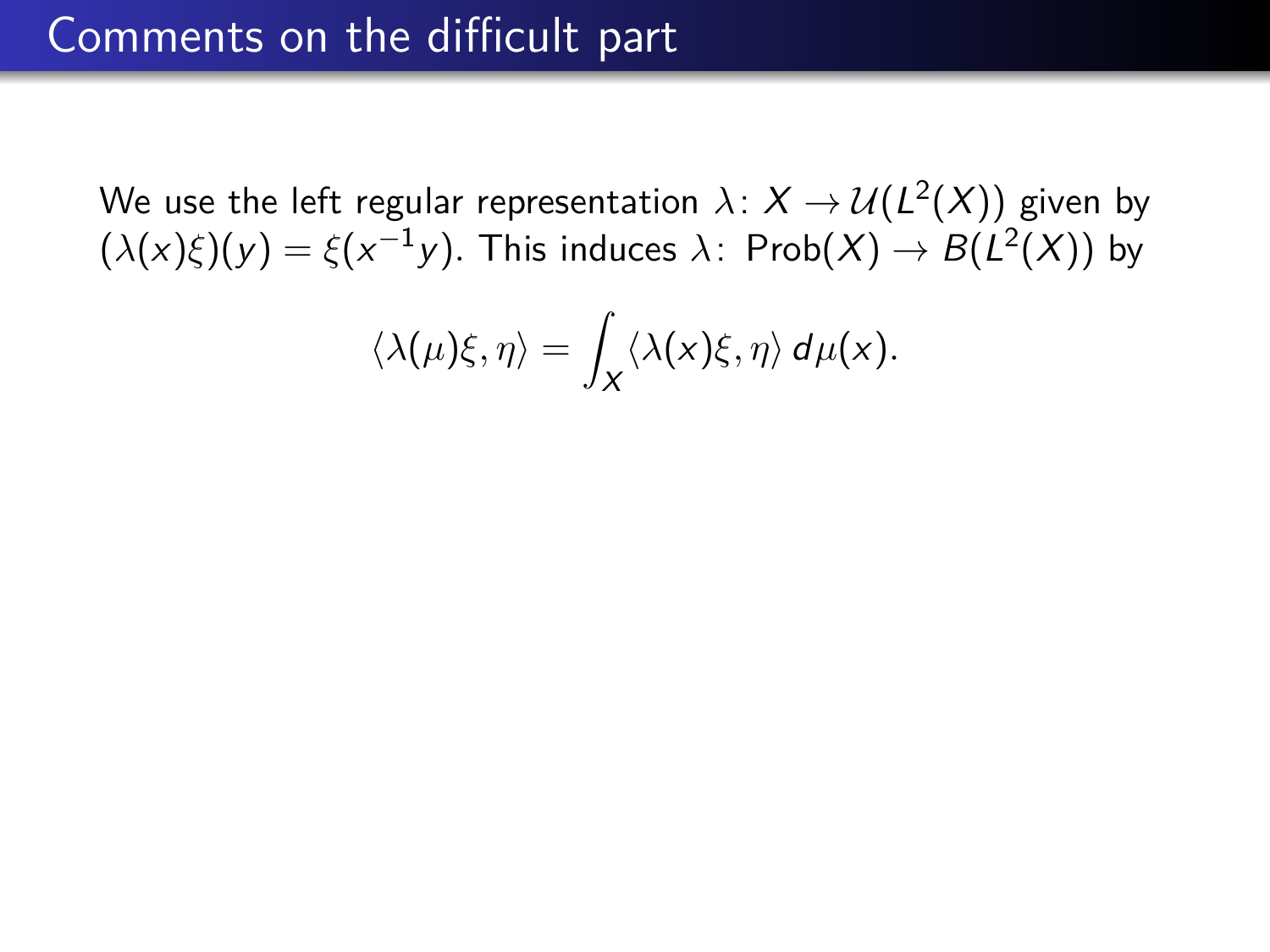$$
\langle \lambda(\mu)\xi, \eta \rangle = \int_X \langle \lambda(x)\xi, \eta \rangle d\mu(x).
$$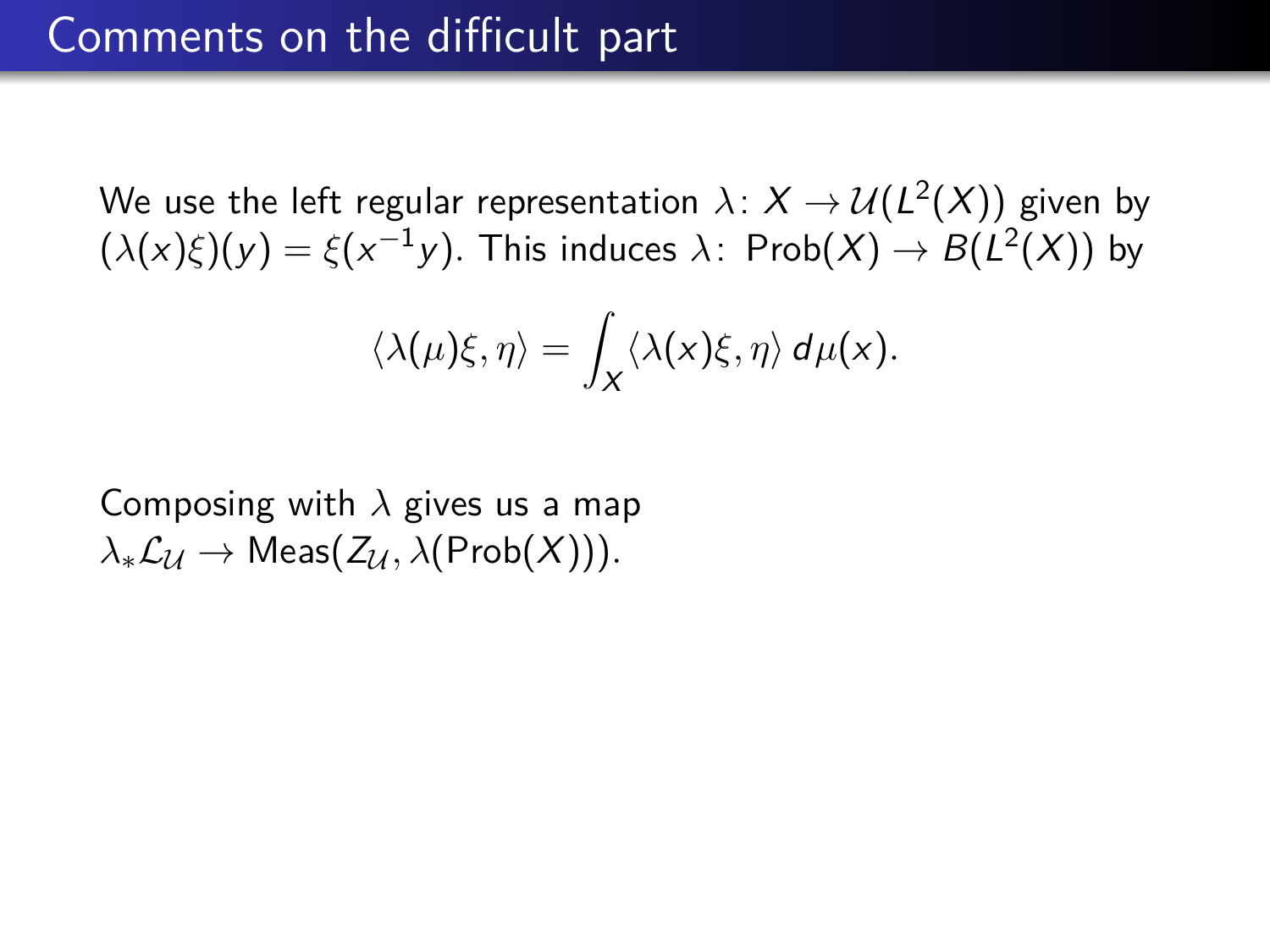$$
\langle \lambda(\mu)\xi, \eta \rangle = \int_X \langle \lambda(x)\xi, \eta \rangle d\mu(x).
$$

Composing with *λ* gives us a map  $\lambda_*\mathcal{L}_{\mathcal{U}} \to \text{Meas}(Z_{\mathcal{U}}, \lambda(\text{Prob}(X))).$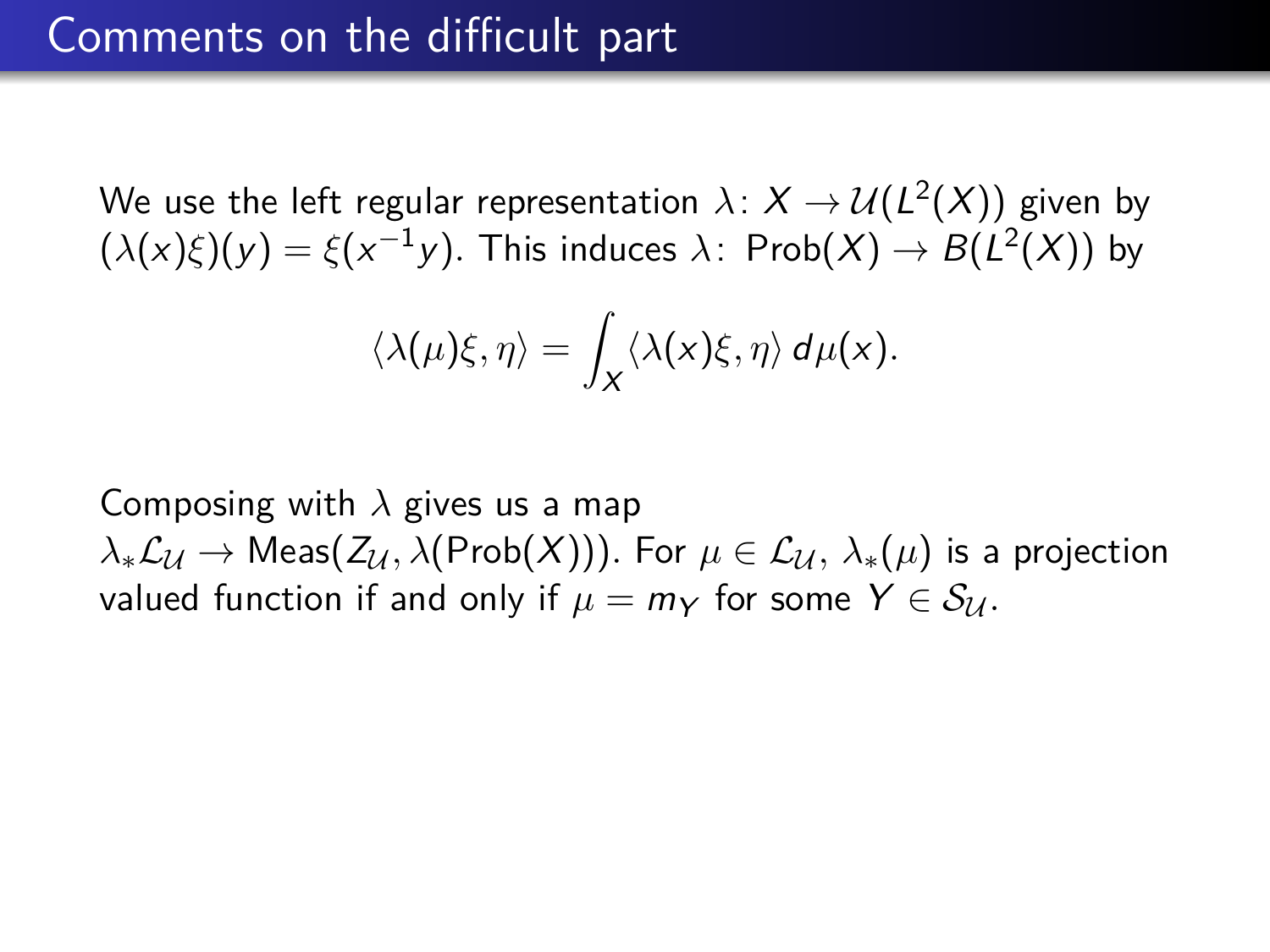$$
\langle \lambda(\mu)\xi, \eta \rangle = \int_X \langle \lambda(x)\xi, \eta \rangle d\mu(x).
$$

Composing with *λ* gives us a map  $\lambda_*\mathcal{L}_\mathcal{U} \to \text{Meas}(Z_\mathcal{U}, \lambda(\text{Prob}(X)))$ . For  $\mu \in \mathcal{L}_\mathcal{U}, \lambda_*(\mu)$  is a projection valued function if and only if  $\mu = m_Y$  for some  $Y \in S_{\mathcal{U}}$ .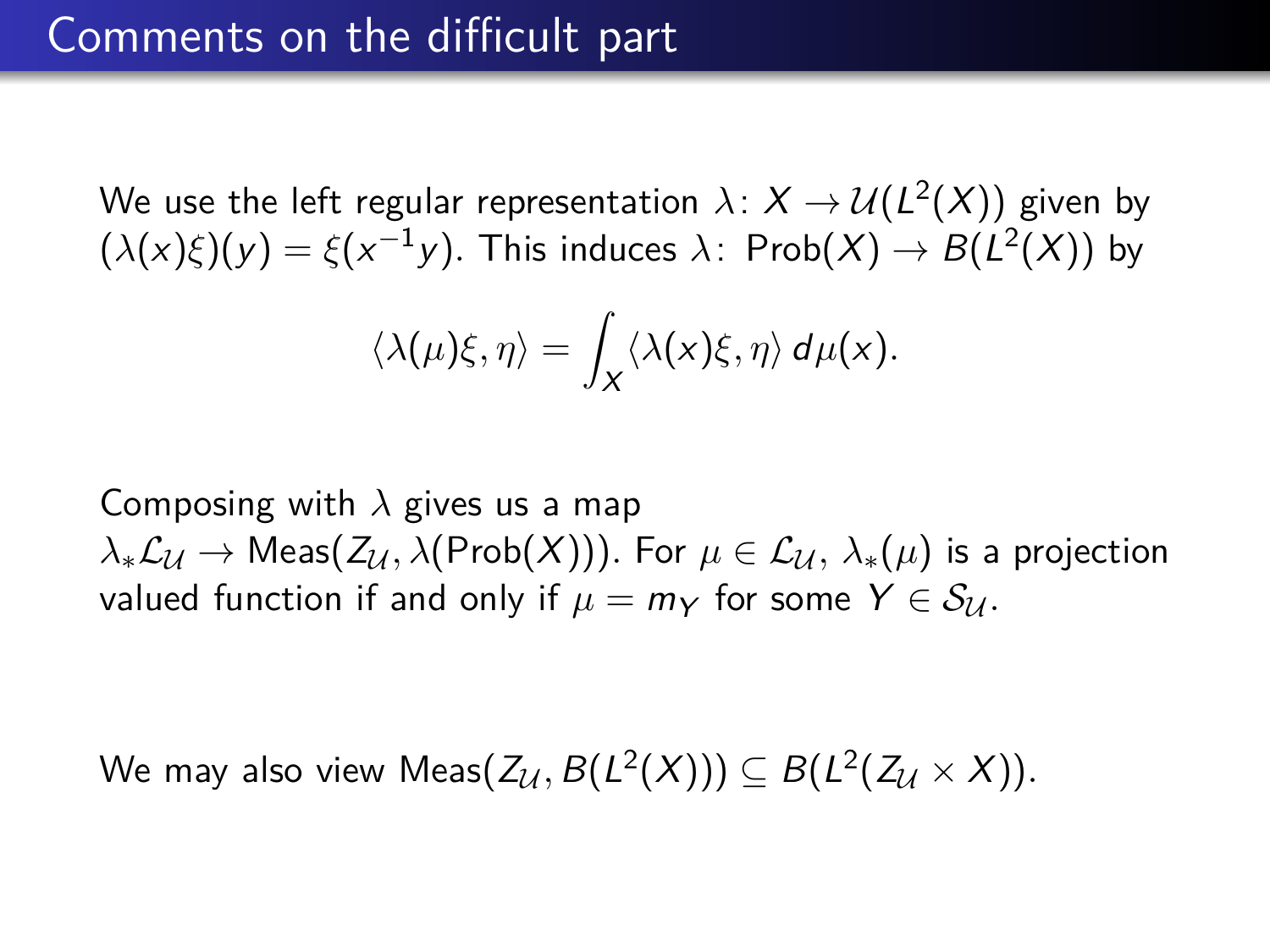$$
\langle \lambda(\mu)\xi,\eta\rangle = \int_X \langle \lambda(x)\xi,\eta\rangle d\mu(x).
$$

Composing with *λ* gives us a map  $\lambda_*\mathcal{L}_\mathcal{U} \to \text{Meas}(Z_\mathcal{U}, \lambda(\text{Prob}(X)))$ . For  $\mu \in \mathcal{L}_\mathcal{U}, \lambda_*(\mu)$  is a projection valued function if and only if  $\mu = m_Y$  for some  $Y \in S_{\mathcal{U}}$ .

We may also view  $\mathsf{Meas}(Z_\mathcal{U},B(L^2(X))) \subseteq B(L^2(Z_\mathcal{U} \times X)).$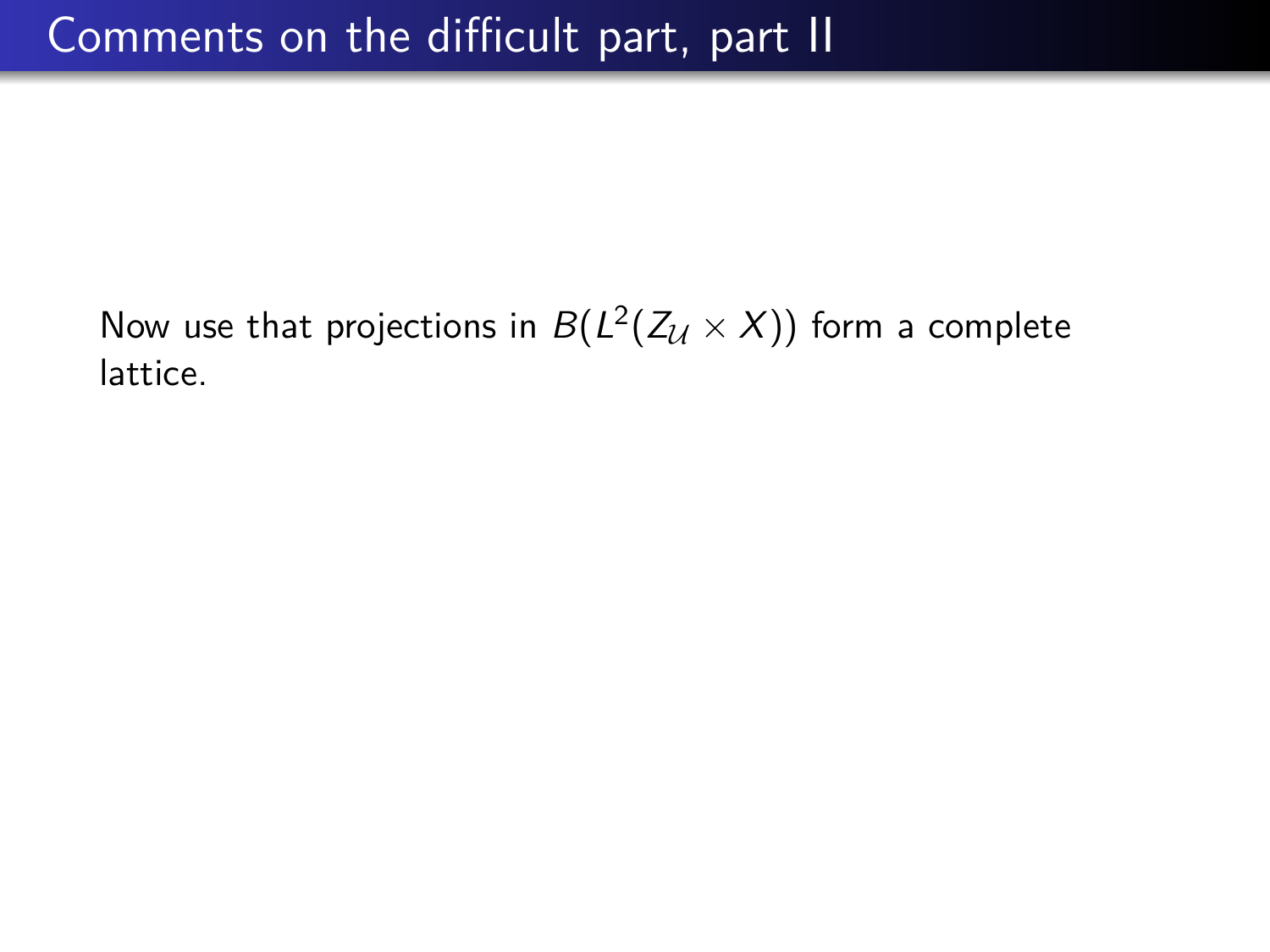Now use that projections in  $B(L^2(Z_{\mathcal{U}}\times X))$  form a complete lattice.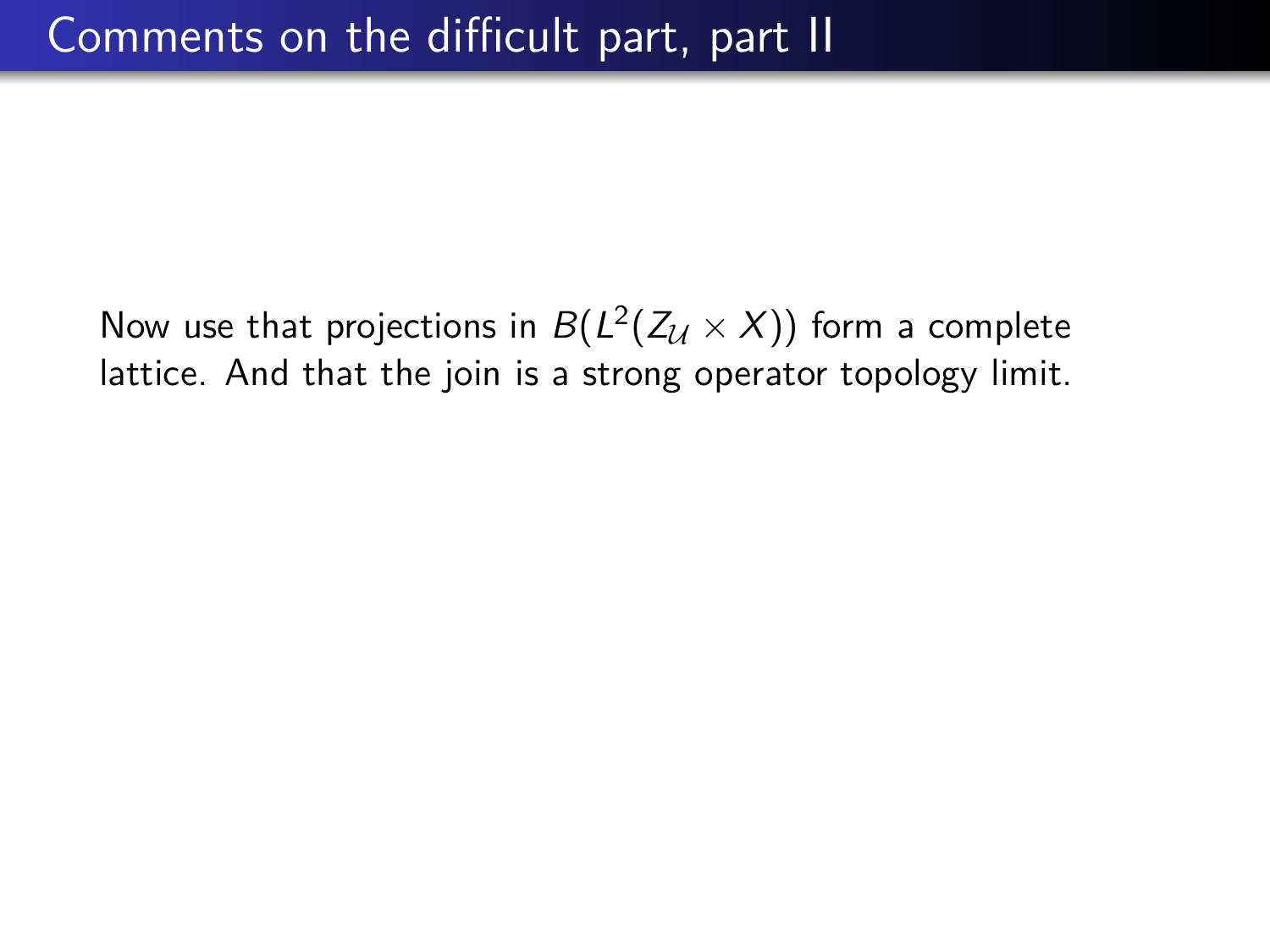Now use that projections in  $B(L^2(Z_{\mathcal{U}}\times X))$  form a complete lattice. And that the join is a strong operator topology limit.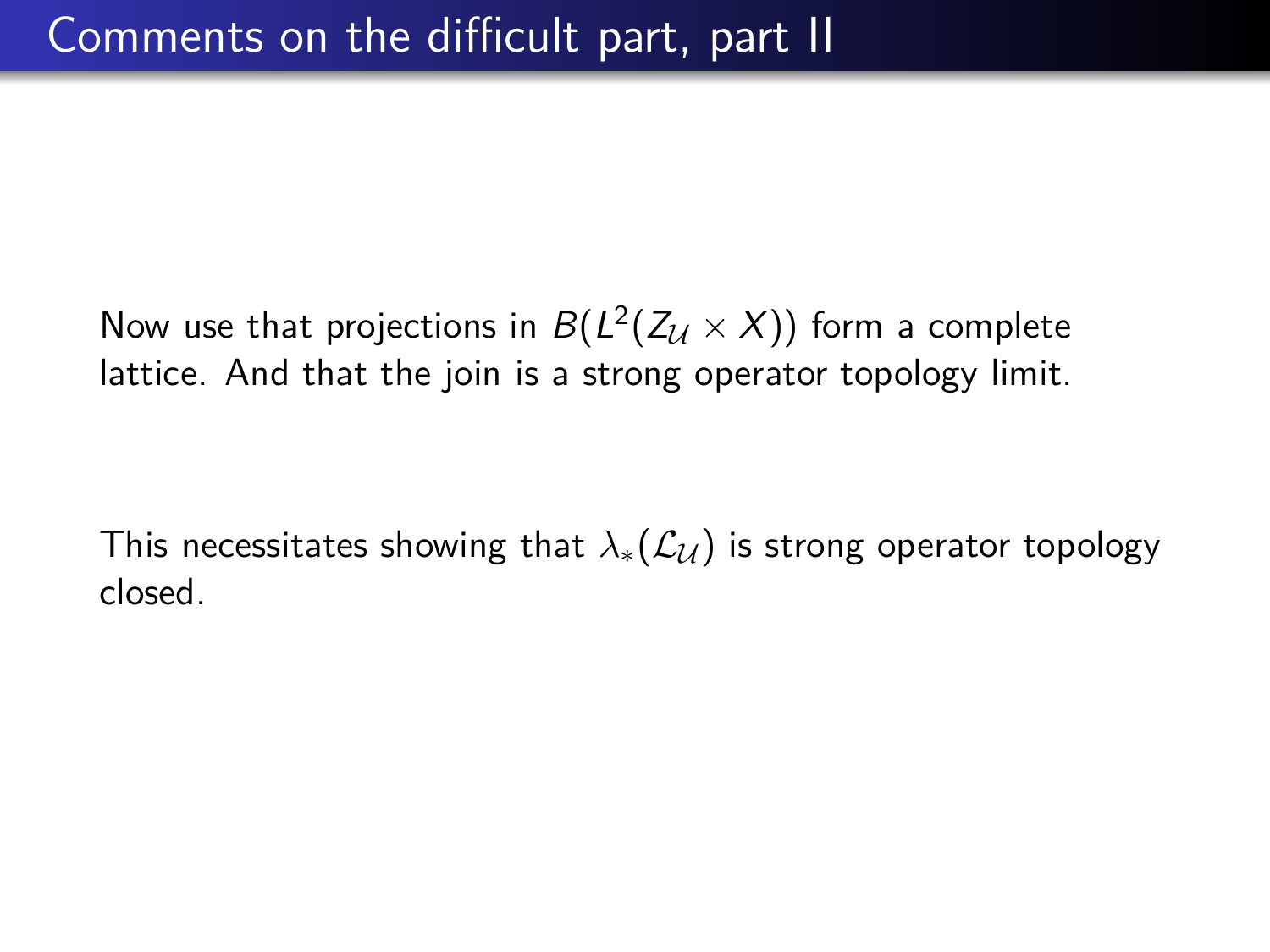Now use that projections in  $B(L^2(Z_{\mathcal{U}}\times X))$  form a complete lattice. And that the join is a strong operator topology limit.

This necessitates showing that  $\lambda_*(\mathcal{L}_U)$  is strong operator topology closed.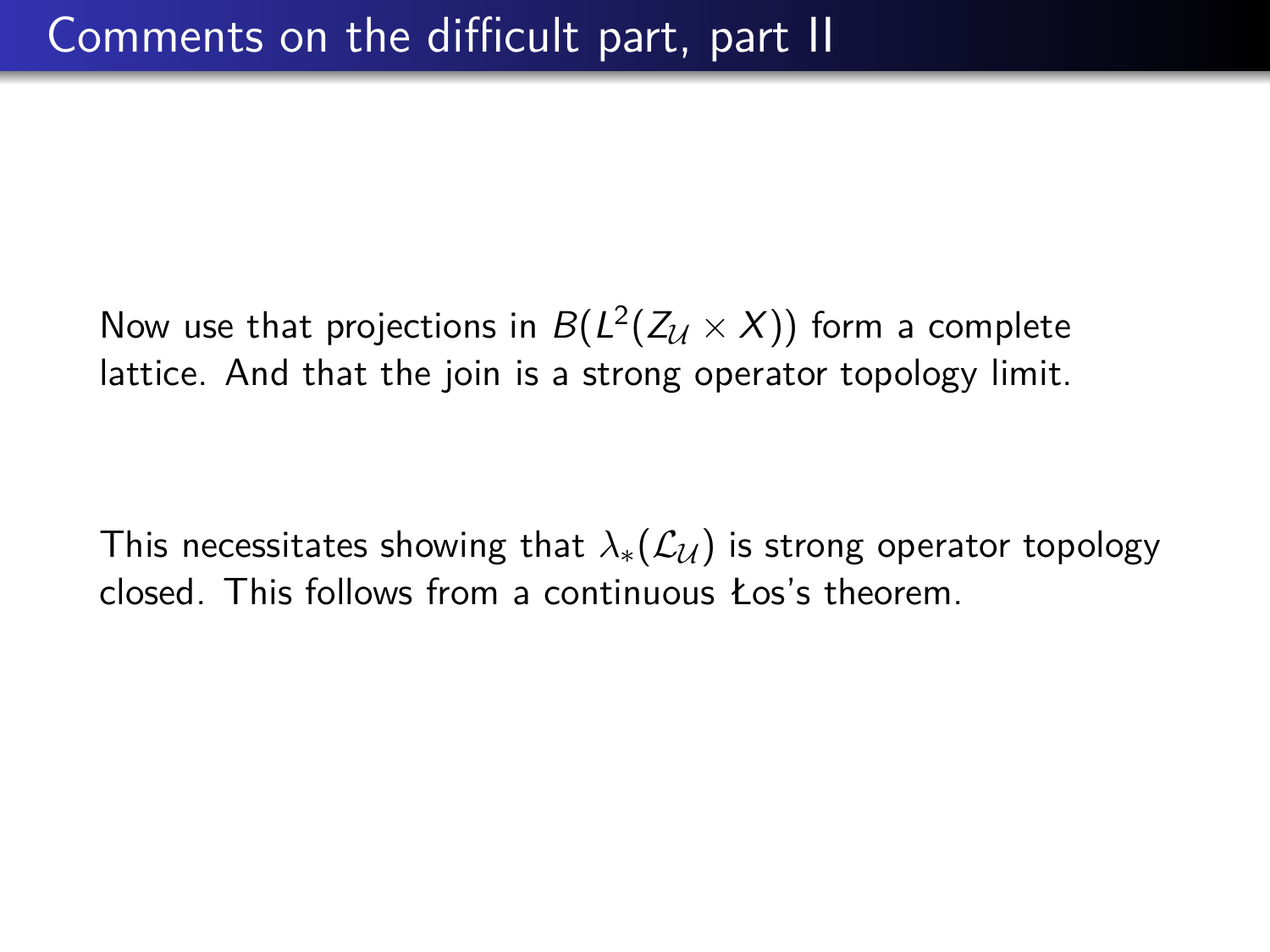Now use that projections in  $B(L^2(Z_{\mathcal{U}}\times X))$  form a complete lattice. And that the join is a strong operator topology limit.

This necessitates showing that  $\lambda_*(\mathcal{L}_U)$  is strong operator topology closed. This follows from a continuous Łos's theorem.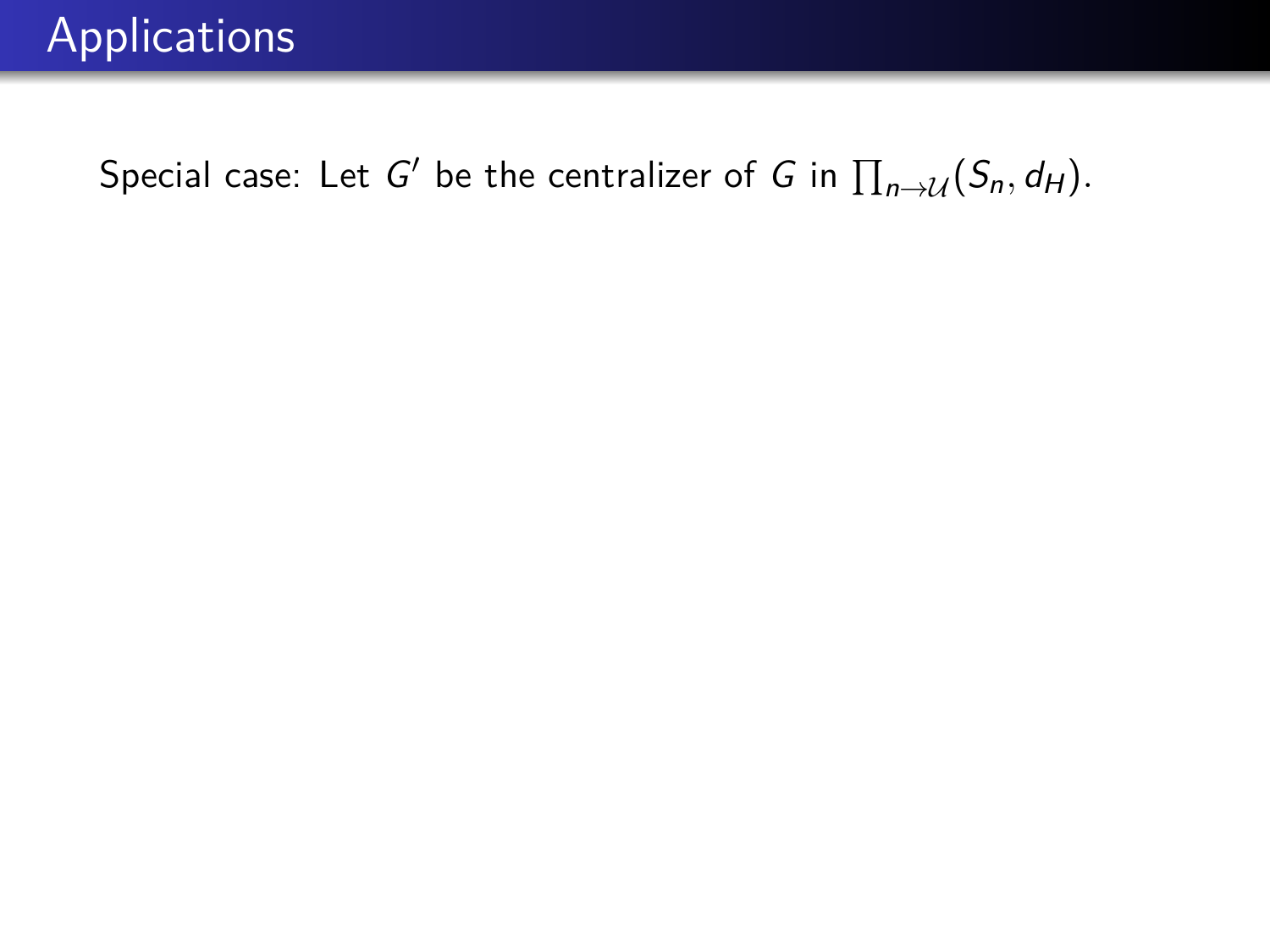Special case: Let  $G'$  be the centralizer of G in  $\prod_{n\to\mathcal{U}}(S_n,d_H).$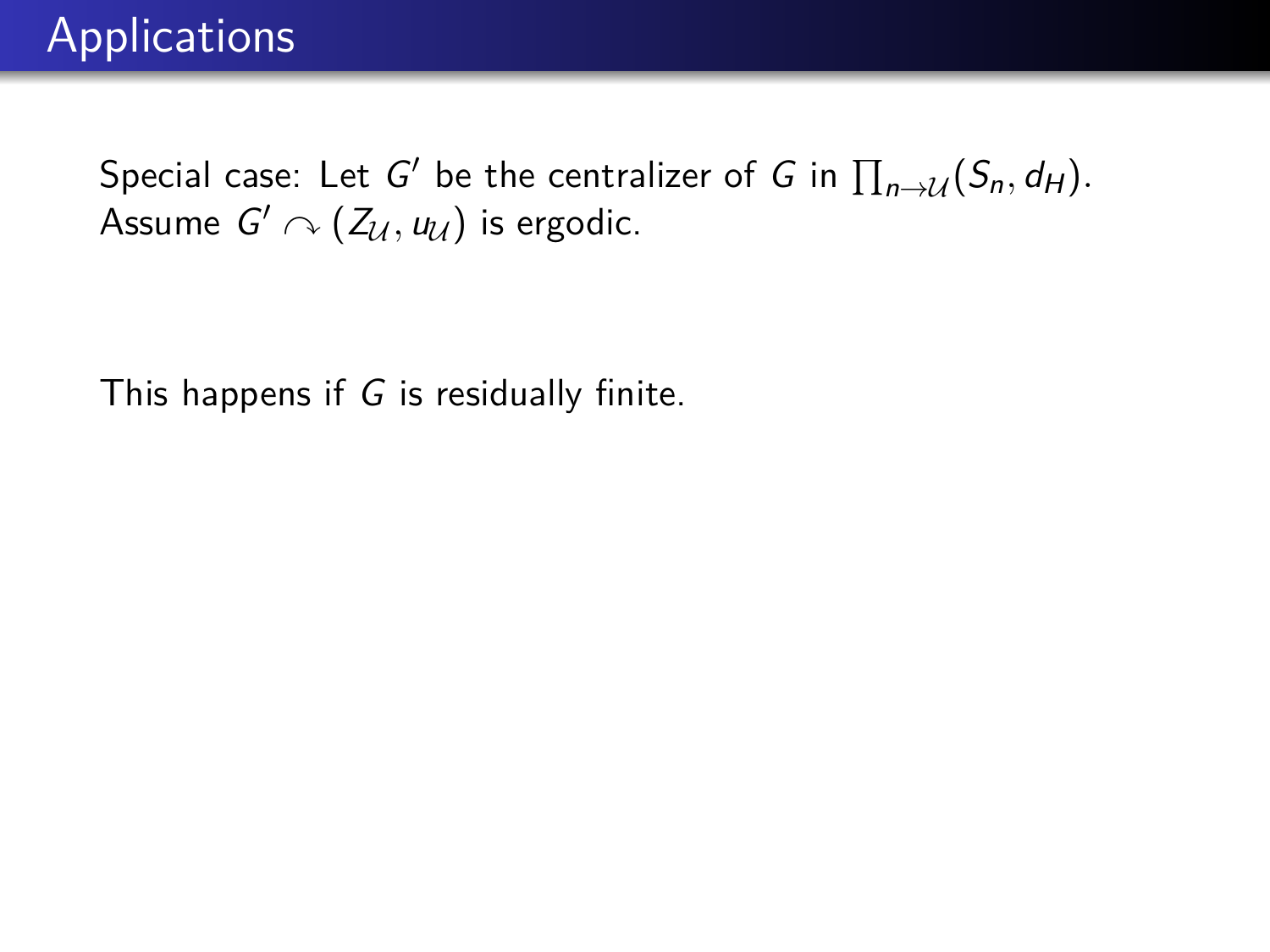This happens if  $G$  is residually finite.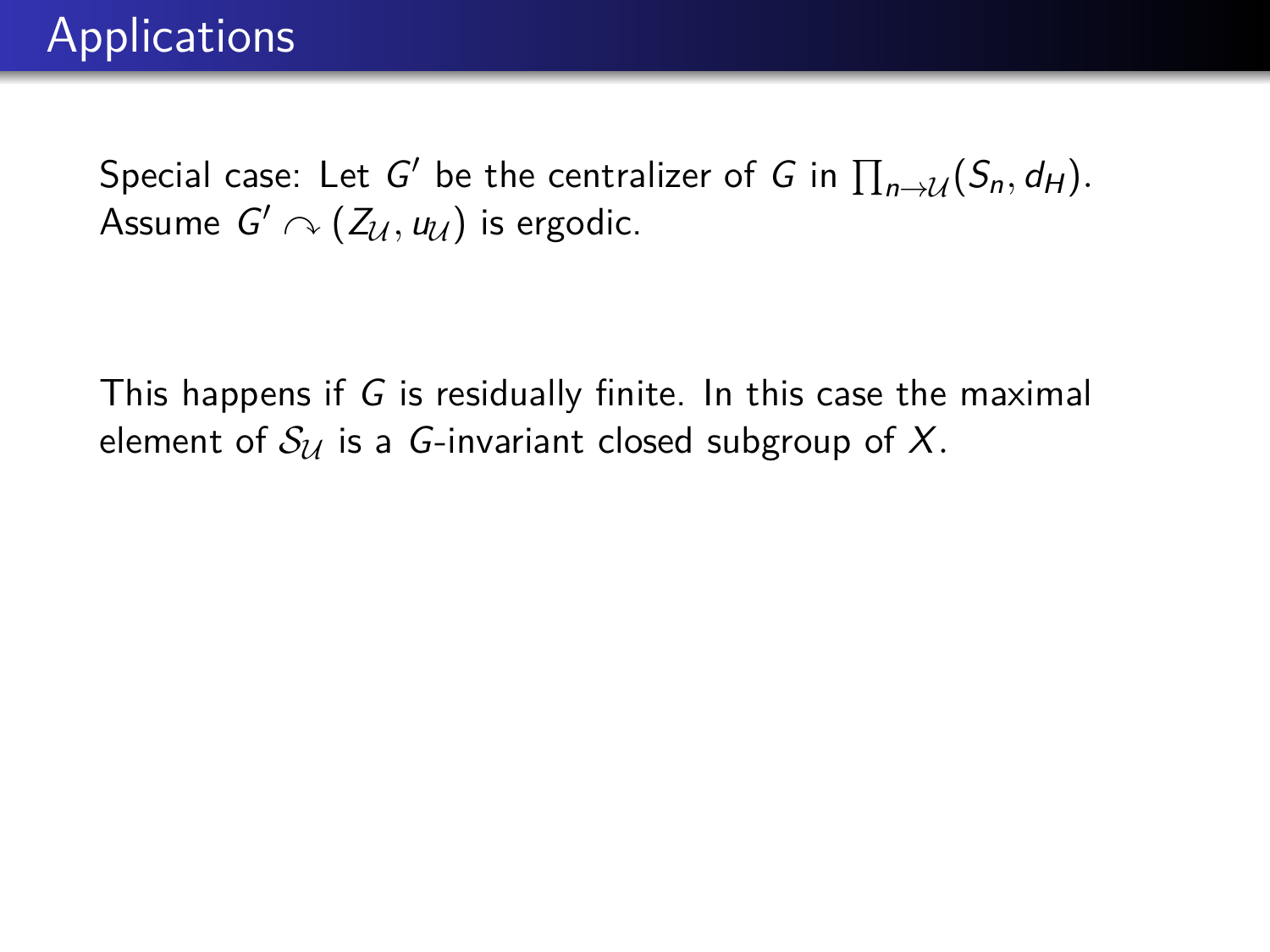This happens if G is residually finite. In this case the maximal element of  $S_{\mathcal{U}}$  is a G-invariant closed subgroup of X.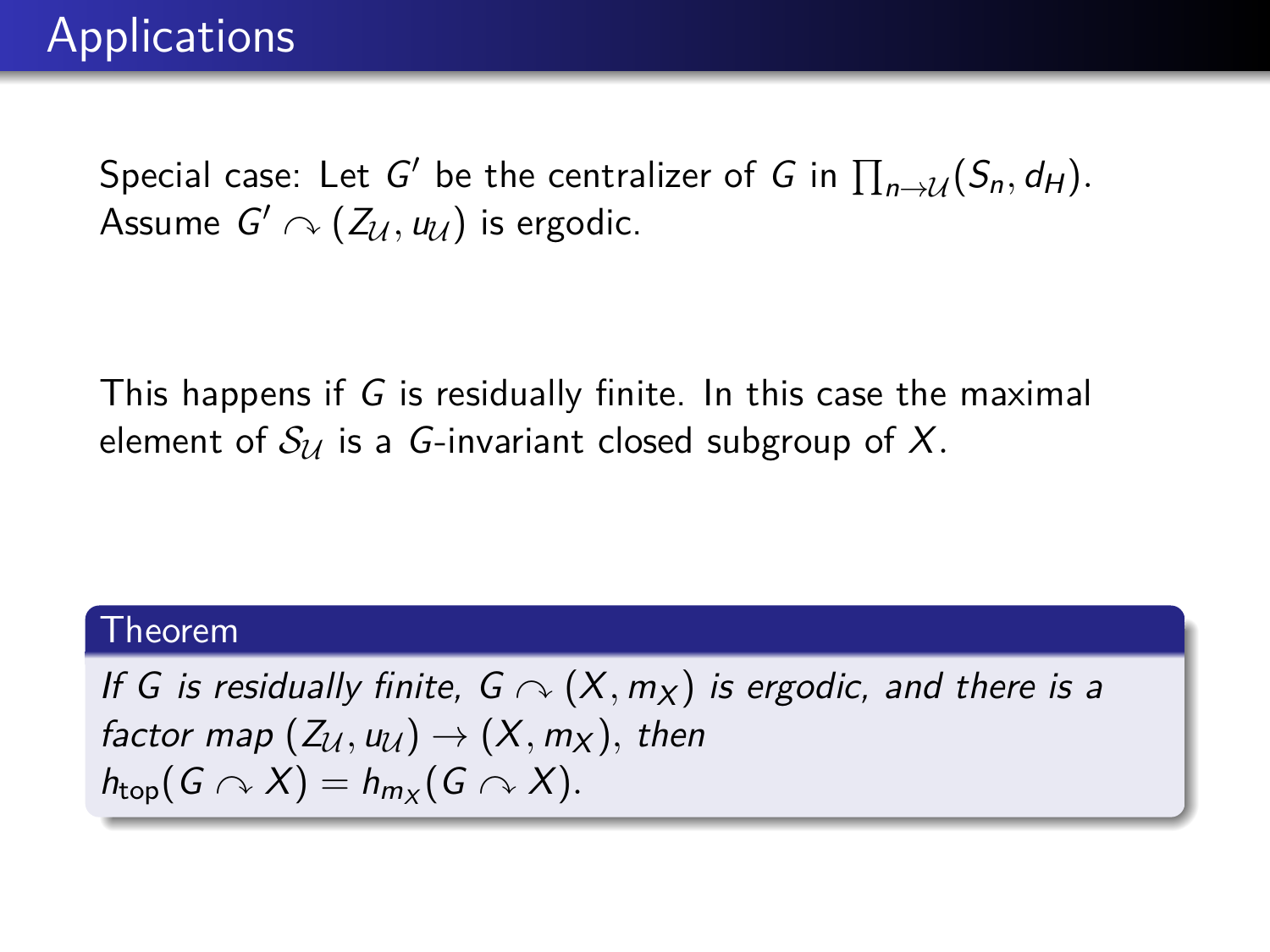This happens if G is residually finite. In this case the maximal element of  $S_{\mathcal{U}}$  is a *G*-invariant closed subgroup of X.

### Theorem

If G is residually finite,  $G \curvearrowright (X, m_X)$  is ergodic, and there is a factor map  $(Z_{\mathcal{U}}, u_{\mathcal{U}}) \rightarrow (X, m_X)$ , then  $h_{\text{top}}(G \cap X) = h_{m_X}(G \cap X).$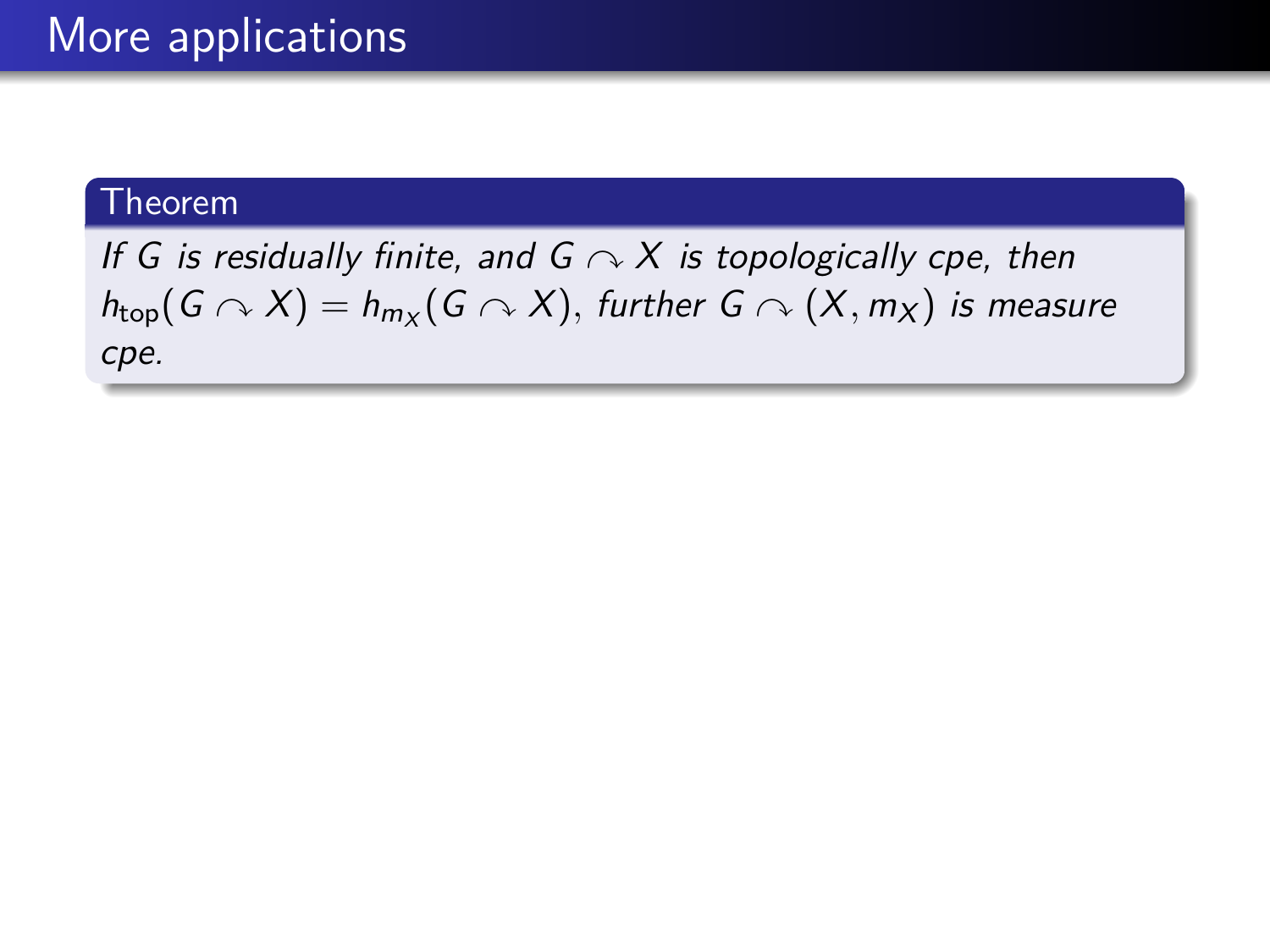If G is residually finite, and  $G \curvearrowright X$  is topologically cpe, then  $h_{\mathsf{top}}(G \curvearrowright X) = h_{m_X}(G \curvearrowright X),$  further  $G \curvearrowright (X, m_X)$  is measure cpe.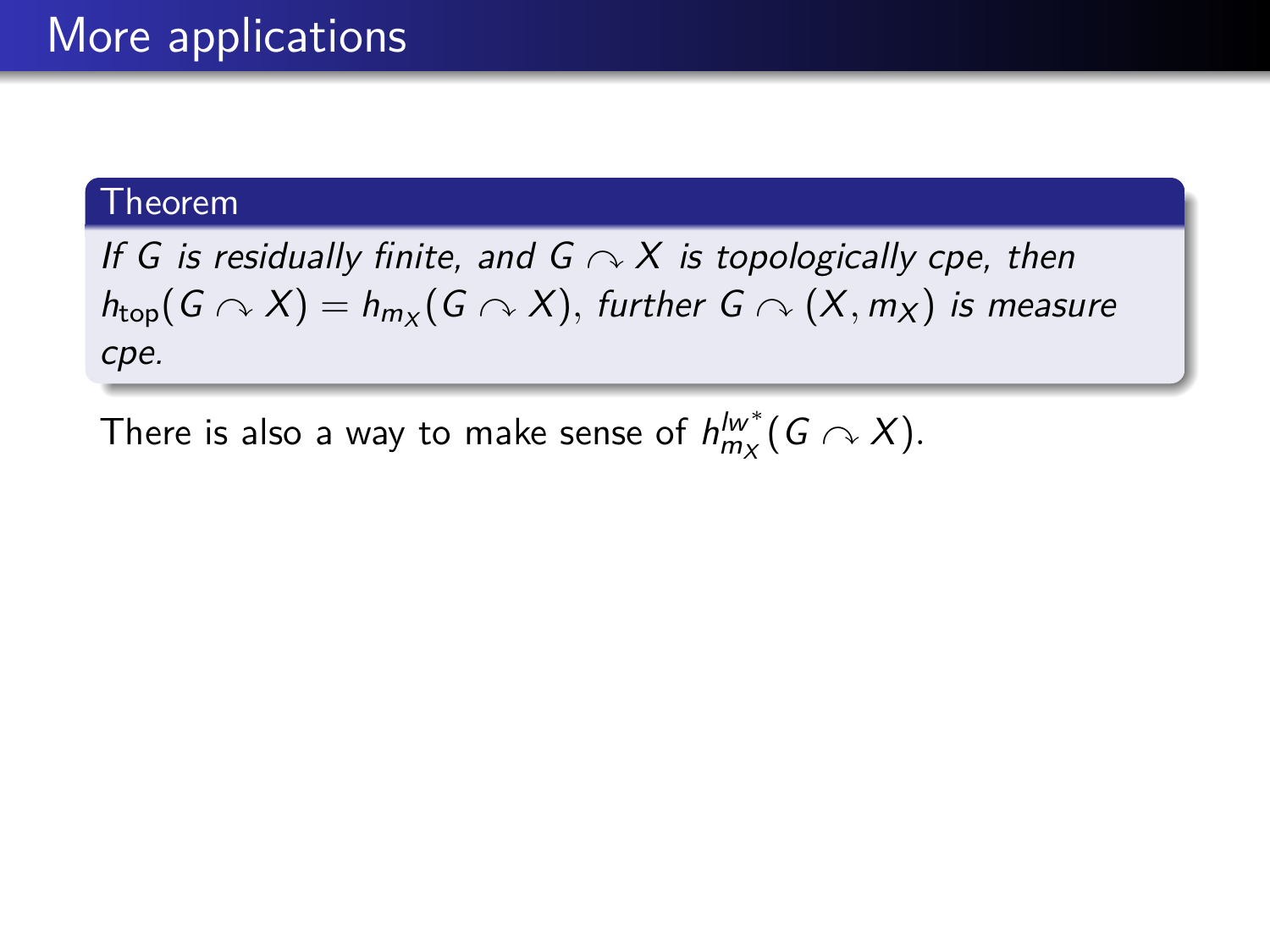If G is residually finite, and  $G \curvearrowright X$  is topologically cpe, then  $h_{\mathsf{top}}(G \curvearrowright X) = h_{m_X}(G \curvearrowright X),$  further  $G \curvearrowright (X, m_X)$  is measure cpe.

There is also a way to make sense of  $h_{m_\mathcal{X}}^{l w^\ast} (G \curvearrowright X)$ .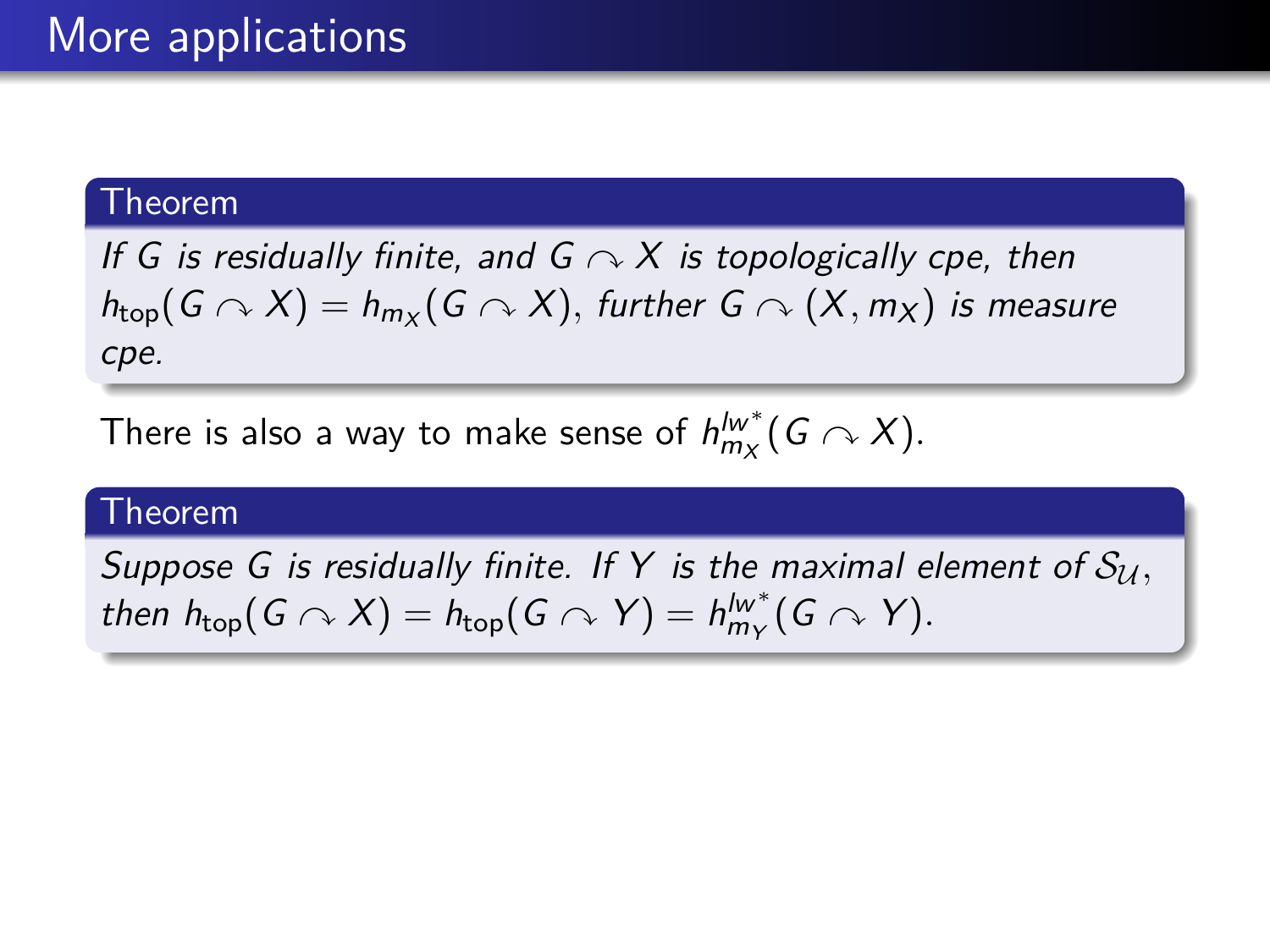If G is residually finite, and  $G \curvearrowright X$  is topologically cpe, then  $h_{\mathsf{top}}(G \curvearrowright X) = h_{m_X}(G \curvearrowright X),$  further  $G \curvearrowright (X, m_X)$  is measure cpe.

There is also a way to make sense of  $h_{m_\mathcal{X}}^{l w^\ast} (G \curvearrowright X)$ .

### Theorem

Suppose G is residually finite. If Y is the maximal element of  $S_{\mathcal{U}}$ , then  $h_{\text{top}}(G \cap X) = h_{\text{top}}(G \cap Y) = h_{m_Y}^{lw^*}(G \cap Y)$ .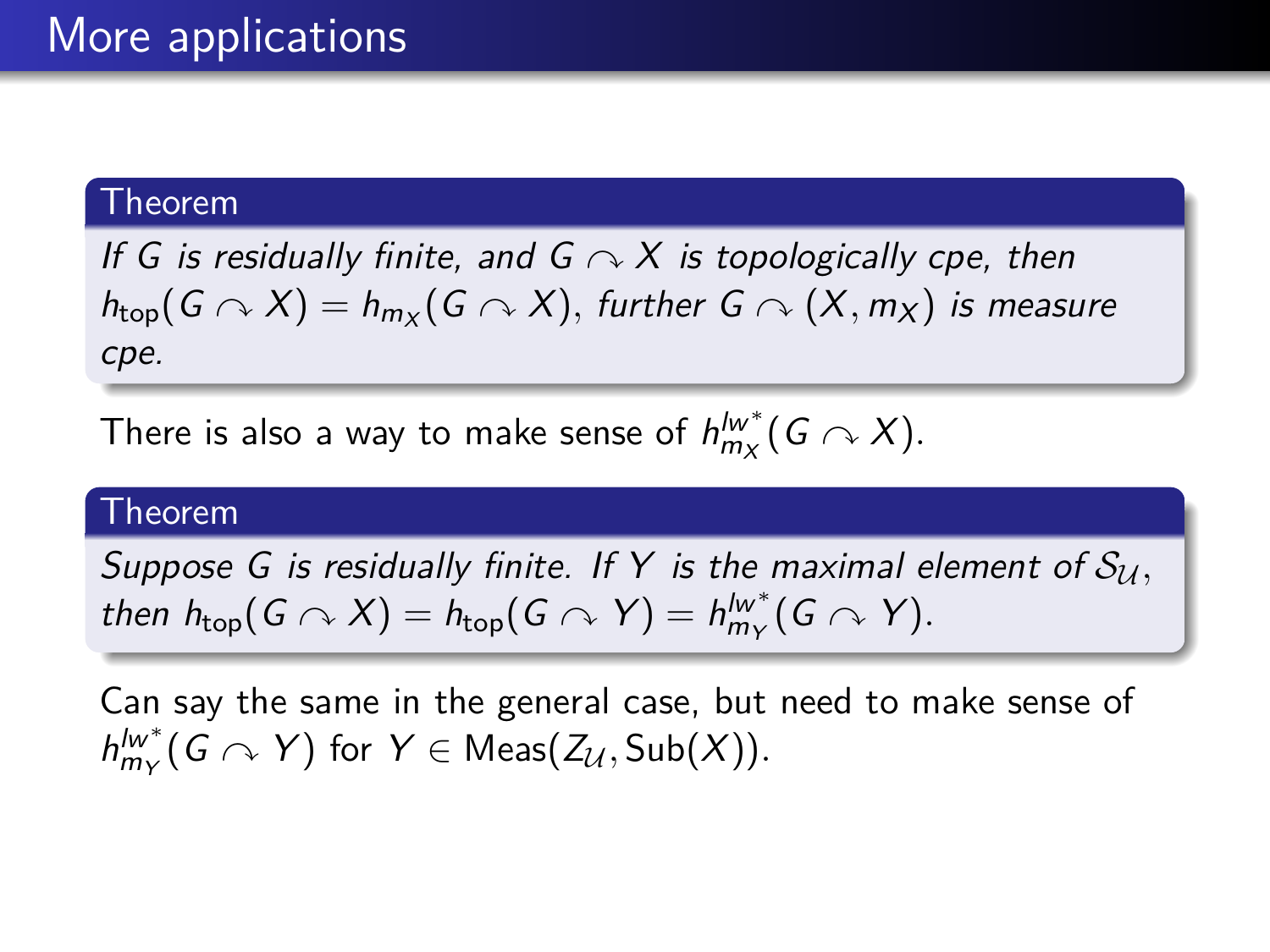If G is residually finite, and  $G \curvearrowright X$  is topologically cpe, then  $h_{\mathsf{top}}(G \curvearrowright X) = h_{m_X}(G \curvearrowright X),$  further  $G \curvearrowright (X, m_X)$  is measure cpe.

There is also a way to make sense of  $h_{m_\mathcal{X}}^{l w^\ast} (G \curvearrowright X)$ .

### Theorem

Suppose G is residually finite. If Y is the maximal element of  $S_{\mathcal{U}}$ , then  $h_{\text{top}}(G \cap X) = h_{\text{top}}(G \cap Y) = h_{m_Y}^{lw^*}(G \cap Y)$ .

Can say the same in the general case, but need to make sense of  $h^{lw^*}_{m_Y}(G \curvearrowright Y)$  for  $Y \in \mathsf{Meas}(\mathcal{Z}_\mathcal{U}, \mathsf{Sub}(X)).$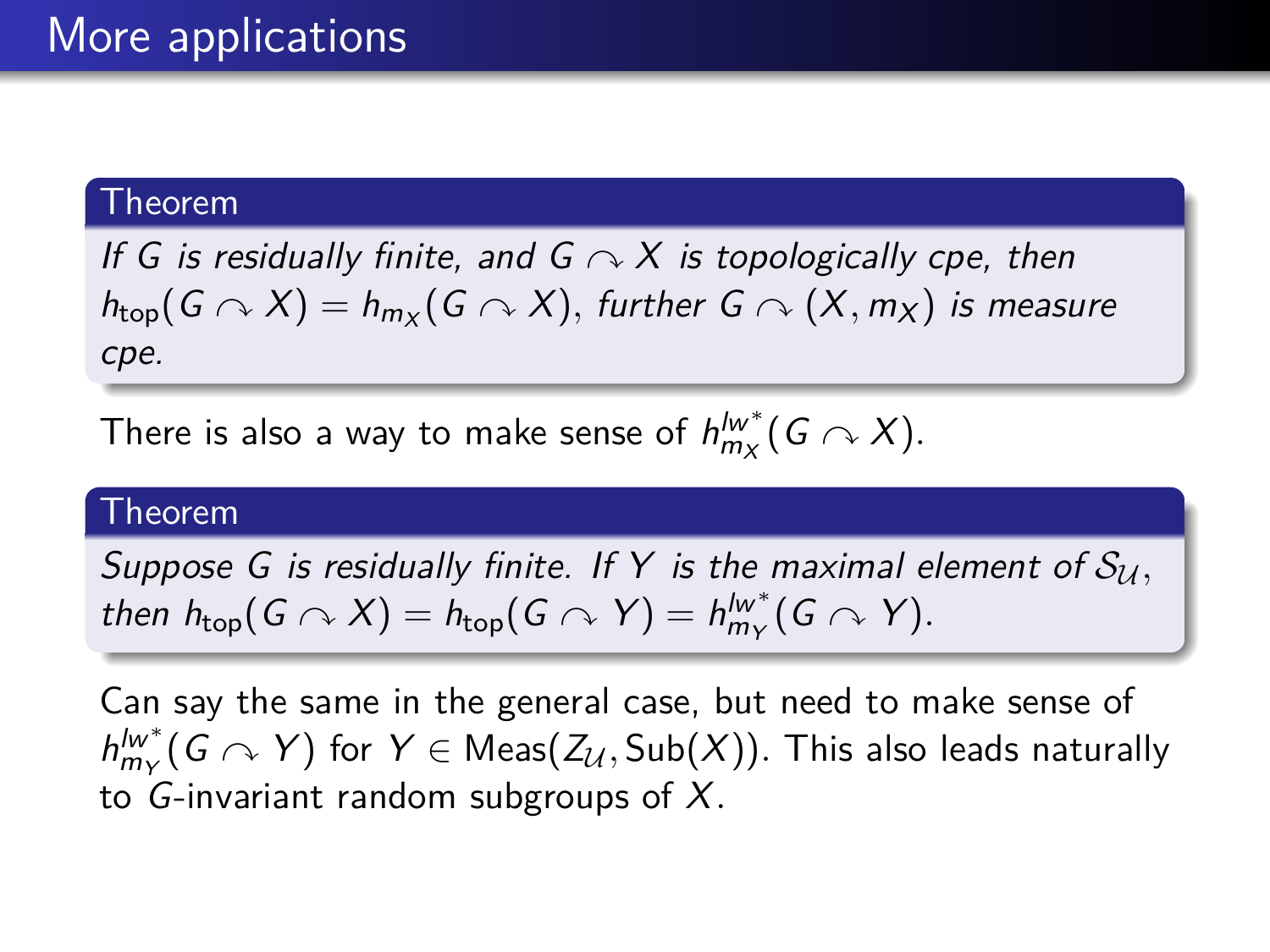If G is residually finite, and  $G \curvearrowright X$  is topologically cpe, then  $h_{\mathsf{top}}(G \curvearrowright X) = h_{m_X}(G \curvearrowright X),$  further  $G \curvearrowright (X, m_X)$  is measure cpe.

There is also a way to make sense of  $h_{m_\mathcal{X}}^{l w^\ast} (G \curvearrowright X)$ .

### Theorem

Suppose G is residually finite. If Y is the maximal element of  $S_{\mathcal{U}}$ , then  $h_{\text{top}}(G \cap X) = h_{\text{top}}(G \cap Y) = h_{m_Y}^{lw^*}(G \cap Y)$ .

Can say the same in the general case, but need to make sense of  $h^{lw^*}_{m_Y}(G \curvearrowright Y)$  for  $Y \in {\sf Meas}(\mathcal{Z}_\mathcal{U},\mathsf{Sub}(X)).$  This also leads naturally to G-invariant random subgroups of X*.*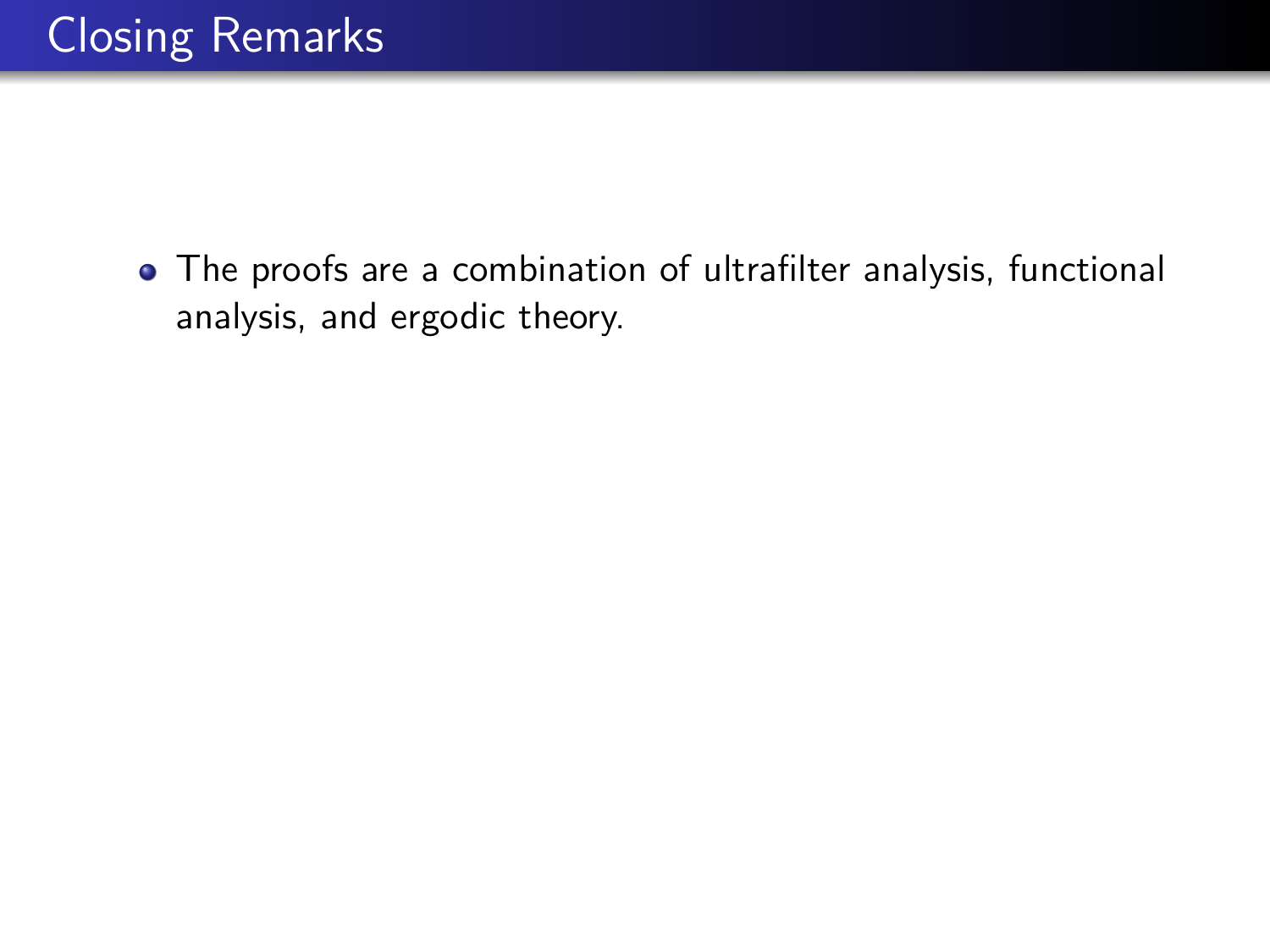The proofs are a combination of ultrafilter analysis, functional analysis, and ergodic theory.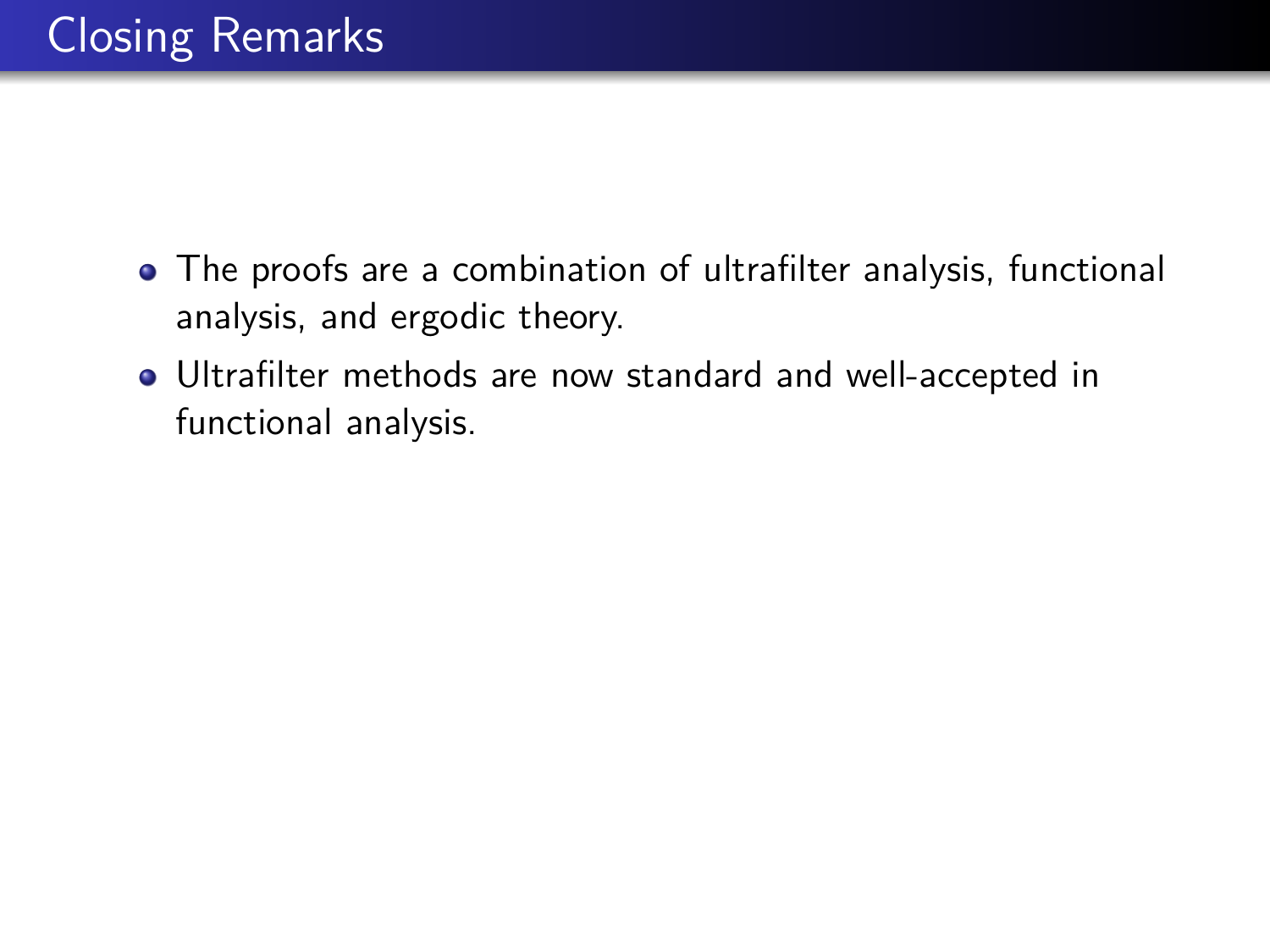- The proofs are a combination of ultrafilter analysis, functional analysis, and ergodic theory.
- Ultrafilter methods are now standard and well-accepted in functional analysis.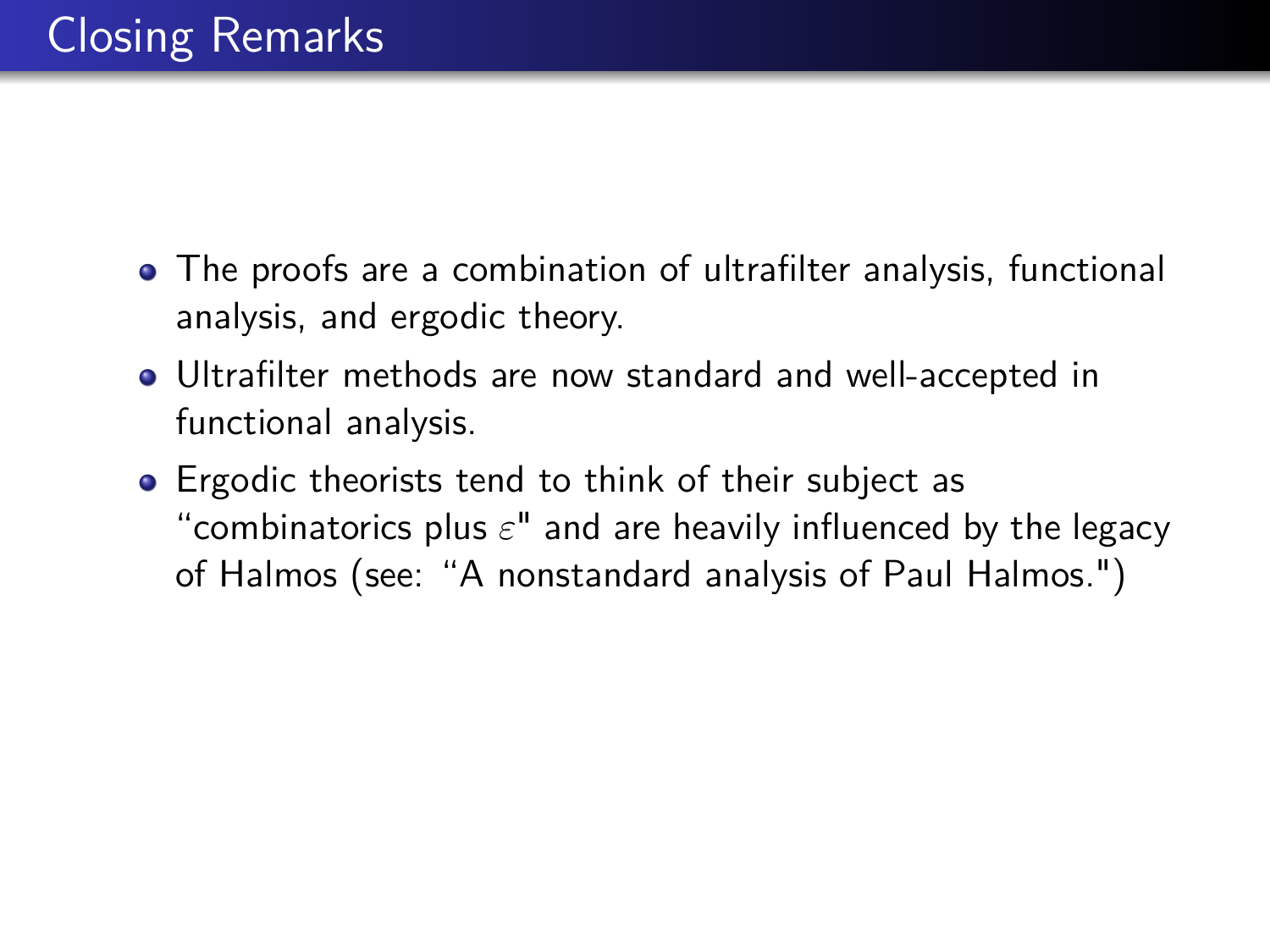- The proofs are a combination of ultrafilter analysis, functional analysis, and ergodic theory.
- Ultrafilter methods are now standard and well-accepted in functional analysis.
- **•** Ergodic theorists tend to think of their subject as "combinatorics plus *ε*" and are heavily influenced by the legacy of Halmos (see: "A nonstandard analysis of Paul Halmos.")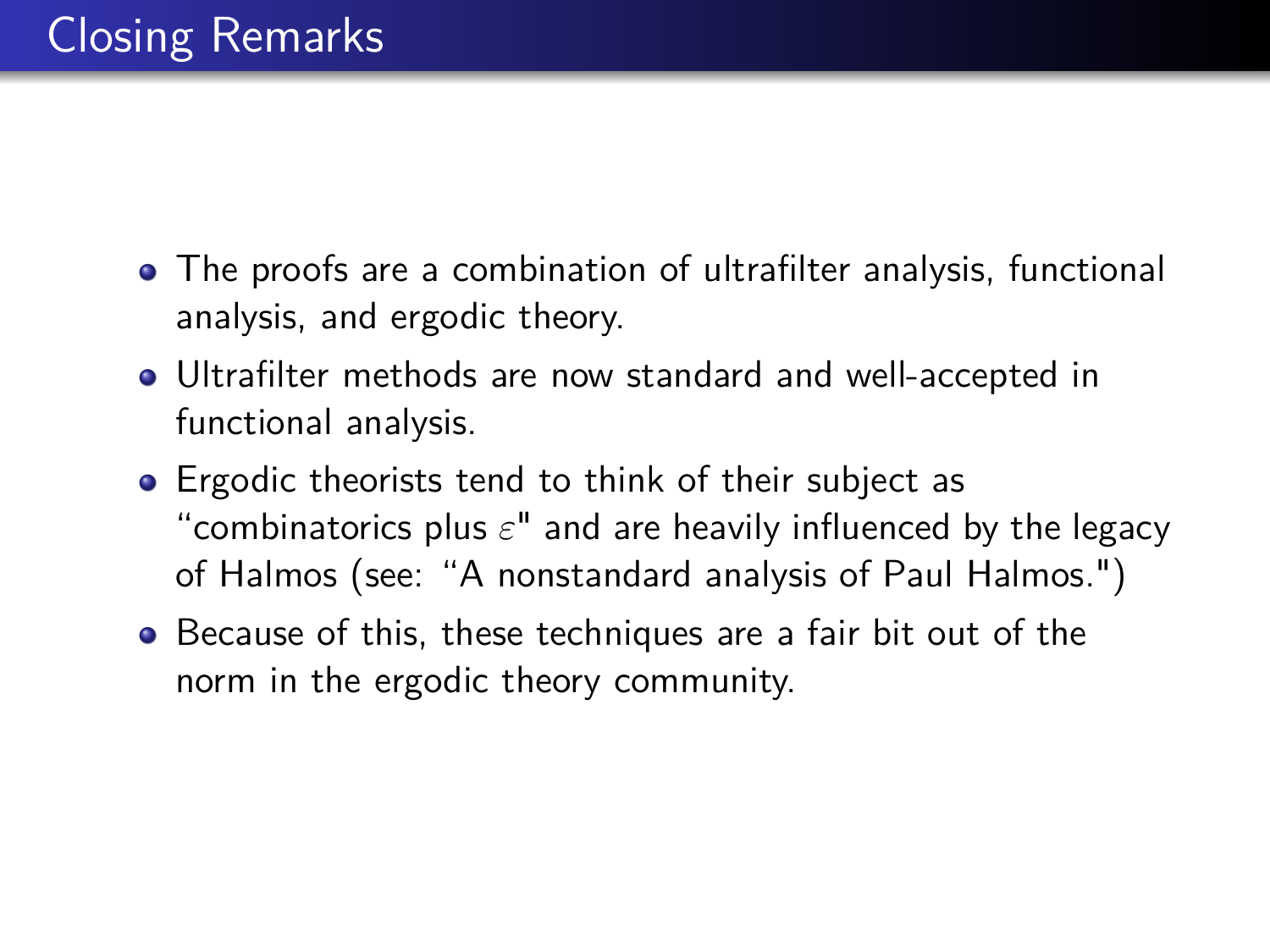- The proofs are a combination of ultrafilter analysis, functional analysis, and ergodic theory.
- Ultrafilter methods are now standard and well-accepted in functional analysis.
- **•** Ergodic theorists tend to think of their subject as "combinatorics plus *ε*" and are heavily influenced by the legacy of Halmos (see: "A nonstandard analysis of Paul Halmos.")
- Because of this, these techniques are a fair bit out of the norm in the ergodic theory community.